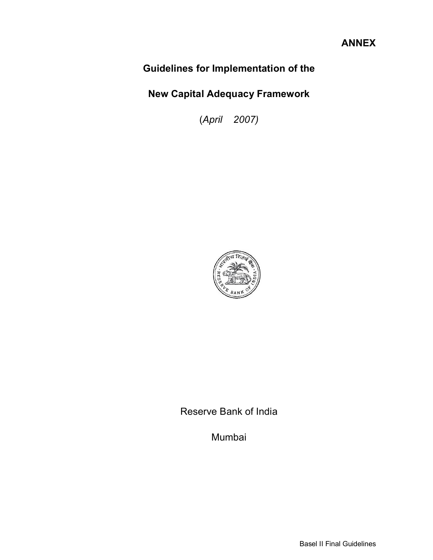# **Guidelines for Implementation of the**

# **New Capital Adequacy Framework**

(*April 2007)*



Reserve Bank of India

Mumbai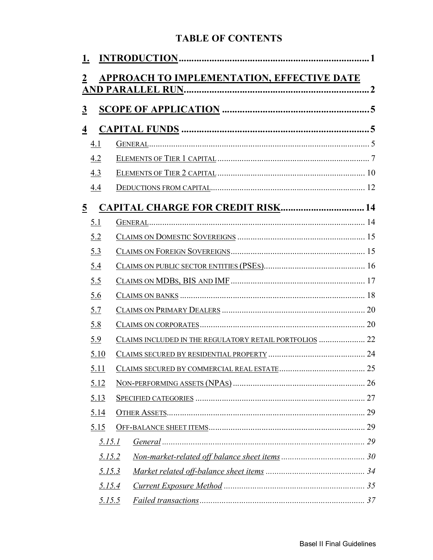# **TABLE OF CONTENTS**

| <u>1.</u>      |                                                         |    |
|----------------|---------------------------------------------------------|----|
| $\overline{2}$ | APPROACH TO IMPLEMENTATION, EFFECTIVE DATE              |    |
|                |                                                         |    |
| $\overline{3}$ |                                                         |    |
| 4              |                                                         |    |
| 4.1            |                                                         |    |
| 4.2            |                                                         |    |
| 4.3            |                                                         |    |
| 4.4            |                                                         |    |
| 5 <sup>5</sup> | <b>CAPITAL CHARGE FOR CREDIT RISK 14</b>                |    |
| 5.1            |                                                         |    |
| 5.2            |                                                         |    |
| 5.3            |                                                         |    |
| <u>5.4</u>     |                                                         |    |
| 5.5            |                                                         |    |
| 5.6            |                                                         |    |
| 5.7            |                                                         |    |
| 5.8            |                                                         |    |
| 5.9            | CLAIMS INCLUDED IN THE REGULATORY RETAIL PORTFOLIOS  22 |    |
| 5.10           |                                                         |    |
| 5.11           |                                                         | 25 |
| <u>5.12</u>    |                                                         |    |
| 5.13           |                                                         |    |
| 5.14           |                                                         |    |
| 5.15           |                                                         |    |
| 5.15.1         |                                                         |    |
| 5.15.2         |                                                         |    |
| <u>5.15.3</u>  |                                                         |    |
| <u>5.15.4</u>  |                                                         |    |
| <u>5.15.5</u>  |                                                         |    |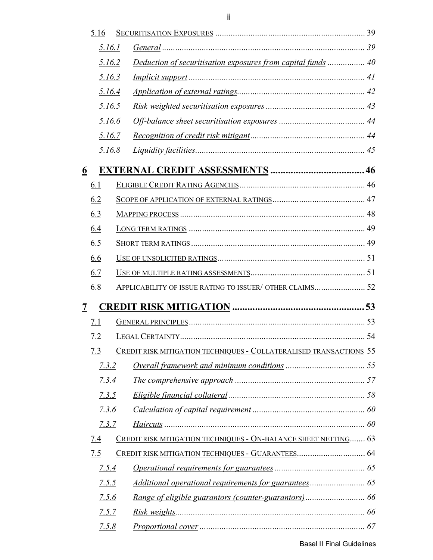|   | 5.16          |                                                                           |  |
|---|---------------|---------------------------------------------------------------------------|--|
|   | <u>5.16.1</u> |                                                                           |  |
|   | 5.16.2        | Deduction of securitisation exposures from capital funds  40              |  |
|   | 5.16.3        |                                                                           |  |
|   | 5.16.4        |                                                                           |  |
|   | 5.16.5        |                                                                           |  |
|   | 5.16.6        |                                                                           |  |
|   | 5.16.7        |                                                                           |  |
|   | 5.16.8        |                                                                           |  |
| 6 |               |                                                                           |  |
|   | 6.1           |                                                                           |  |
|   | 6.2           |                                                                           |  |
|   | 6.3           |                                                                           |  |
|   | 6.4           |                                                                           |  |
|   | 6.5           |                                                                           |  |
|   | 6.6           |                                                                           |  |
|   | 6.7           |                                                                           |  |
|   | 6.8           | APPLICABILITY OF ISSUE RATING TO ISSUER/ OTHER CLAIMS 52                  |  |
| 7 |               |                                                                           |  |
|   | 7.1           |                                                                           |  |
|   | 7.2           |                                                                           |  |
|   | <u>7.3</u>    | <b>CREDIT RISK MITIGATION TECHNIQUES - COLLATERALISED TRANSACTIONS 55</b> |  |
|   | 7.3.2         |                                                                           |  |
|   | <u>7.3.4</u>  |                                                                           |  |
|   | 7.3.5         |                                                                           |  |
|   | 7.3.6         |                                                                           |  |
|   | 7.3.7         |                                                                           |  |
|   | 7.4           | CREDIT RISK MITIGATION TECHNIQUES - ON-BALANCE SHEET NETTING 63           |  |
|   | 7.5           |                                                                           |  |
|   | 7.5.4         |                                                                           |  |
|   | 7.5.5         |                                                                           |  |
|   | 7.5.6         |                                                                           |  |
|   | 7.5.7         |                                                                           |  |
|   | 7.5.8         |                                                                           |  |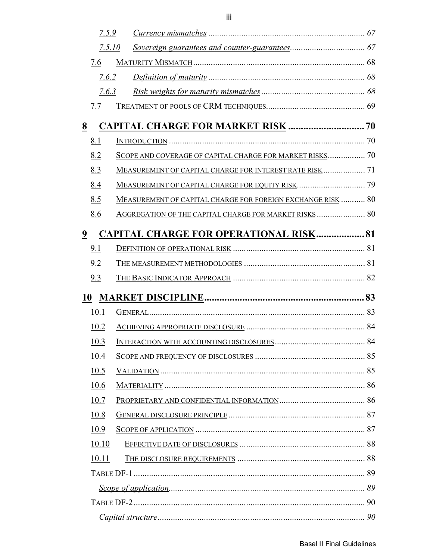|                         | 7.5.9       |                                                             |  |
|-------------------------|-------------|-------------------------------------------------------------|--|
|                         | 7.5.10      |                                                             |  |
|                         | 7.6         |                                                             |  |
|                         | 7.6.2       |                                                             |  |
|                         | 7.6.3       |                                                             |  |
|                         | 7.7         |                                                             |  |
| <u>8</u>                |             | <b>CAPITAL CHARGE FOR MARKET RISK  70</b>                   |  |
|                         | 8.1         |                                                             |  |
|                         | 8.2         | SCOPE AND COVERAGE OF CAPITAL CHARGE FOR MARKET RISKS 70    |  |
|                         | 8.3         | MEASUREMENT OF CAPITAL CHARGE FOR INTEREST RATE RISK 71     |  |
|                         | 8.4         |                                                             |  |
|                         | 8.5         | MEASUREMENT OF CAPITAL CHARGE FOR FOREIGN EXCHANGE RISK  80 |  |
|                         | 8.6         | AGGREGATION OF THE CAPITAL CHARGE FOR MARKET RISKS 80       |  |
| $\overline{\mathbf{b}}$ |             | <b>CAPITAL CHARGE FOR OPERATIONAL RISK 81</b>               |  |
|                         | 9.1         |                                                             |  |
|                         | 9.2         |                                                             |  |
|                         | 9.3         |                                                             |  |
|                         |             |                                                             |  |
|                         | 10.1        |                                                             |  |
|                         | 10.2        |                                                             |  |
|                         |             |                                                             |  |
|                         | <u>10.4</u> |                                                             |  |
|                         | 10.5        |                                                             |  |
|                         | 10.6        |                                                             |  |
|                         | 10.7        |                                                             |  |
|                         | 10.8        |                                                             |  |
|                         | 10.9        |                                                             |  |
|                         | 10.10       |                                                             |  |
|                         | 10.11       |                                                             |  |
|                         |             |                                                             |  |
|                         |             |                                                             |  |
|                         |             |                                                             |  |
|                         |             |                                                             |  |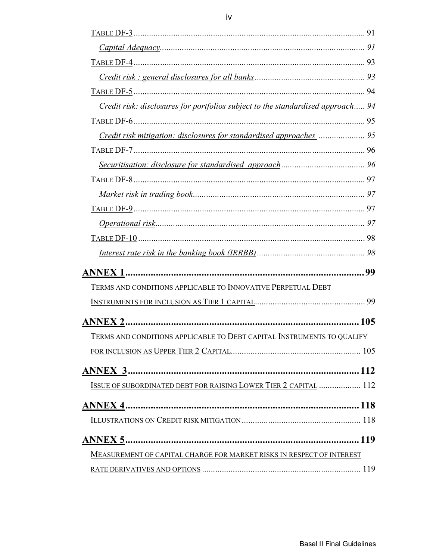| Credit risk: disclosures for portfolios subject to the standardised approach 94 |  |
|---------------------------------------------------------------------------------|--|
|                                                                                 |  |
|                                                                                 |  |
|                                                                                 |  |
|                                                                                 |  |
|                                                                                 |  |
|                                                                                 |  |
|                                                                                 |  |
|                                                                                 |  |
|                                                                                 |  |
|                                                                                 |  |
|                                                                                 |  |
| TERMS AND CONDITIONS APPLICABLE TO INNOVATIVE PERPETUAL DEBT                    |  |
|                                                                                 |  |
|                                                                                 |  |
| TERMS AND CONDITIONS APPLICABLE TO DEBT CAPITAL INSTRUMENTS TO QUALIFY          |  |
|                                                                                 |  |
|                                                                                 |  |
| ISSUE OF SUBORDINATED DEBT FOR RAISING LOWER TIER 2 CAPITAL  112                |  |
|                                                                                 |  |
|                                                                                 |  |
|                                                                                 |  |
| MEASUREMENT OF CAPITAL CHARGE FOR MARKET RISKS IN RESPECT OF INTEREST           |  |
|                                                                                 |  |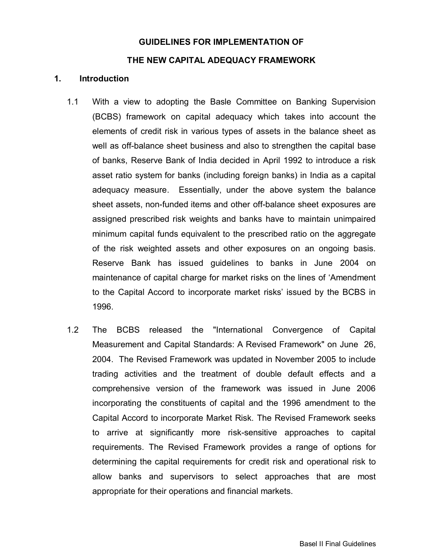#### **GUIDELINES FOR IMPLEMENTATION OF**

#### **THE NEW CAPITAL ADEQUACY FRAMEWORK**

#### **1. Introduction**

- 1.1 With a view to adopting the Basle Committee on Banking Supervision (BCBS) framework on capital adequacy which takes into account the elements of credit risk in various types of assets in the balance sheet as well as off-balance sheet business and also to strengthen the capital base of banks, Reserve Bank of India decided in April 1992 to introduce a risk asset ratio system for banks (including foreign banks) in India as a capital adequacy measure. Essentially, under the above system the balance sheet assets, non-funded items and other off-balance sheet exposures are assigned prescribed risk weights and banks have to maintain unimpaired minimum capital funds equivalent to the prescribed ratio on the aggregate of the risk weighted assets and other exposures on an ongoing basis. Reserve Bank has issued guidelines to banks in June 2004 on maintenance of capital charge for market risks on the lines of 'Amendment to the Capital Accord to incorporate market risks' issued by the BCBS in 1996.
- 1.2 The BCBS released the "International Convergence of Capital Measurement and Capital Standards: A Revised Framework" on June 26, 2004. The Revised Framework was updated in November 2005 to include trading activities and the treatment of double default effects and a comprehensive version of the framework was issued in June 2006 incorporating the constituents of capital and the 1996 amendment to the Capital Accord to incorporate Market Risk. The Revised Framework seeks to arrive at significantly more risk-sensitive approaches to capital requirements. The Revised Framework provides a range of options for determining the capital requirements for credit risk and operational risk to allow banks and supervisors to select approaches that are most appropriate for their operations and financial markets.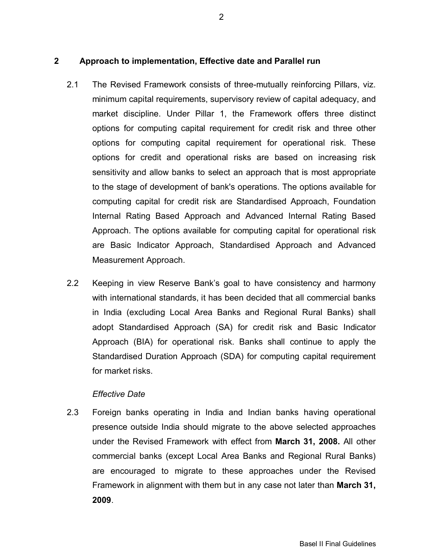#### **2 Approach to implementation, Effective date and Parallel run**

- 2.1 The Revised Framework consists of three-mutually reinforcing Pillars, viz. minimum capital requirements, supervisory review of capital adequacy, and market discipline. Under Pillar 1, the Framework offers three distinct options for computing capital requirement for credit risk and three other options for computing capital requirement for operational risk. These options for credit and operational risks are based on increasing risk sensitivity and allow banks to select an approach that is most appropriate to the stage of development of bank's operations. The options available for computing capital for credit risk are Standardised Approach, Foundation Internal Rating Based Approach and Advanced Internal Rating Based Approach. The options available for computing capital for operational risk are Basic Indicator Approach, Standardised Approach and Advanced Measurement Approach.
- 2.2 Keeping in view Reserve Bank's goal to have consistency and harmony with international standards, it has been decided that all commercial banks in India (excluding Local Area Banks and Regional Rural Banks) shall adopt Standardised Approach (SA) for credit risk and Basic Indicator Approach (BIA) for operational risk. Banks shall continue to apply the Standardised Duration Approach (SDA) for computing capital requirement for market risks.

#### *Effective Date*

2.3 Foreign banks operating in India and Indian banks having operational presence outside India should migrate to the above selected approaches under the Revised Framework with effect from **March 31, 2008.** All other commercial banks (except Local Area Banks and Regional Rural Banks) are encouraged to migrate to these approaches under the Revised Framework in alignment with them but in any case not later than **March 31, 2009**.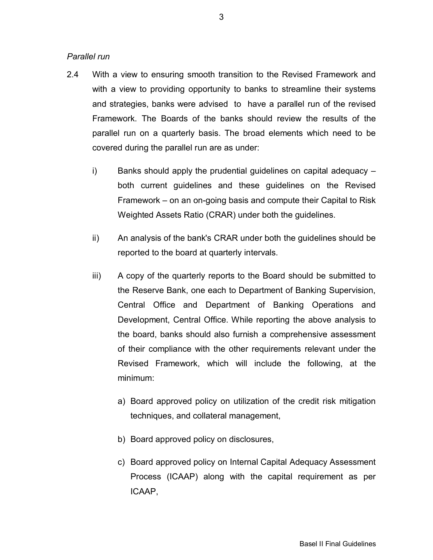#### *Parallel run*

- 2.4 With a view to ensuring smooth transition to the Revised Framework and with a view to providing opportunity to banks to streamline their systems and strategies, banks were advised to have a parallel run of the revised Framework. The Boards of the banks should review the results of the parallel run on a quarterly basis. The broad elements which need to be covered during the parallel run are as under:
	- i) Banks should apply the prudential guidelines on capital adequacy both current guidelines and these guidelines on the Revised Framework – on an on-going basis and compute their Capital to Risk Weighted Assets Ratio (CRAR) under both the guidelines.
	- ii) An analysis of the bank's CRAR under both the guidelines should be reported to the board at quarterly intervals.
	- iii) A copy of the quarterly reports to the Board should be submitted to the Reserve Bank, one each to Department of Banking Supervision, Central Office and Department of Banking Operations and Development, Central Office. While reporting the above analysis to the board, banks should also furnish a comprehensive assessment of their compliance with the other requirements relevant under the Revised Framework, which will include the following, at the minimum:
		- a) Board approved policy on utilization of the credit risk mitigation techniques, and collateral management,
		- b) Board approved policy on disclosures,
		- c) Board approved policy on Internal Capital Adequacy Assessment Process (ICAAP) along with the capital requirement as per ICAAP,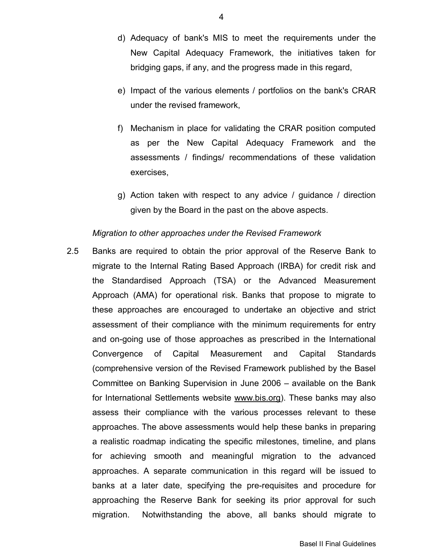- d) Adequacy of bank's MIS to meet the requirements under the New Capital Adequacy Framework, the initiatives taken for bridging gaps, if any, and the progress made in this regard,
- e) Impact of the various elements / portfolios on the bank's CRAR under the revised framework,
- f) Mechanism in place for validating the CRAR position computed as per the New Capital Adequacy Framework and the assessments / findings/ recommendations of these validation exercises,
- g) Action taken with respect to any advice / guidance / direction given by the Board in the past on the above aspects.

#### *Migration to other approaches under the Revised Framework*

2.5 Banks are required to obtain the prior approval of the Reserve Bank to migrate to the Internal Rating Based Approach (IRBA) for credit risk and the Standardised Approach (TSA) or the Advanced Measurement Approach (AMA) for operational risk. Banks that propose to migrate to these approaches are encouraged to undertake an objective and strict assessment of their compliance with the minimum requirements for entry and on-going use of those approaches as prescribed in the International Convergence of Capital Measurement and Capital Standards (comprehensive version of the Revised Framework published by the Basel Committee on Banking Supervision in June 2006 – available on the Bank for International Settlements website www.bis.org). These banks may also assess their compliance with the various processes relevant to these approaches. The above assessments would help these banks in preparing a realistic roadmap indicating the specific milestones, timeline, and plans for achieving smooth and meaningful migration to the advanced approaches. A separate communication in this regard will be issued to banks at a later date, specifying the pre-requisites and procedure for approaching the Reserve Bank for seeking its prior approval for such migration. Notwithstanding the above, all banks should migrate to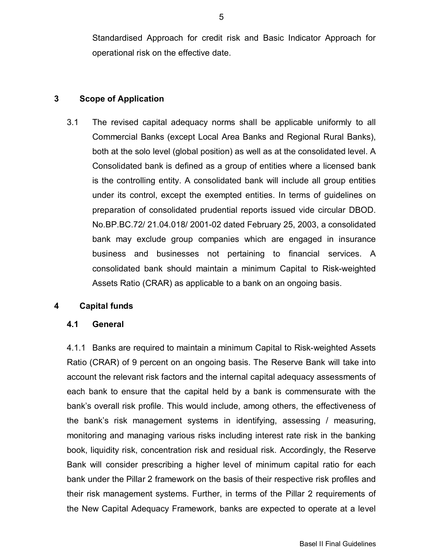Standardised Approach for credit risk and Basic Indicator Approach for operational risk on the effective date.

#### **3 Scope of Application**

3.1 The revised capital adequacy norms shall be applicable uniformly to all Commercial Banks (except Local Area Banks and Regional Rural Banks), both at the solo level (global position) as well as at the consolidated level. A Consolidated bank is defined as a group of entities where a licensed bank is the controlling entity. A consolidated bank will include all group entities under its control, except the exempted entities. In terms of guidelines on preparation of consolidated prudential reports issued vide circular DBOD. No.BP.BC.72/ 21.04.018/ 2001-02 dated February 25, 2003, a consolidated bank may exclude group companies which are engaged in insurance business and businesses not pertaining to financial services. A consolidated bank should maintain a minimum Capital to Risk-weighted Assets Ratio (CRAR) as applicable to a bank on an ongoing basis.

## **4 Capital funds**

#### **4.1 General**

4.1.1 Banks are required to maintain a minimum Capital to Risk-weighted Assets Ratio (CRAR) of 9 percent on an ongoing basis. The Reserve Bank will take into account the relevant risk factors and the internal capital adequacy assessments of each bank to ensure that the capital held by a bank is commensurate with the bank's overall risk profile. This would include, among others, the effectiveness of the bank's risk management systems in identifying, assessing / measuring, monitoring and managing various risks including interest rate risk in the banking book, liquidity risk, concentration risk and residual risk. Accordingly, the Reserve Bank will consider prescribing a higher level of minimum capital ratio for each bank under the Pillar 2 framework on the basis of their respective risk profiles and their risk management systems. Further, in terms of the Pillar 2 requirements of the New Capital Adequacy Framework, banks are expected to operate at a level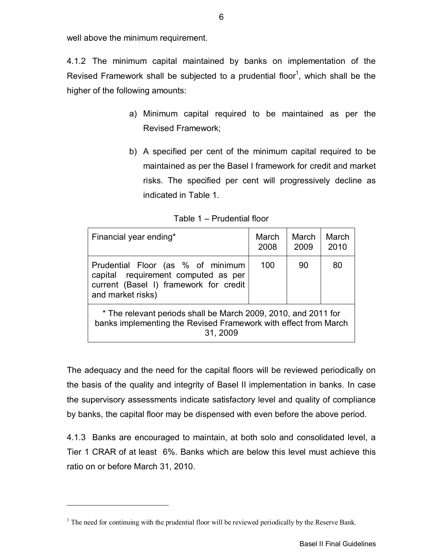well above the minimum requirement.

4.1.2 The minimum capital maintained by banks on implementation of the Revised Framework shall be subjected to a prudential floor<sup>1</sup>, which shall be the higher of the following amounts:

- a) Minimum capital required to be maintained as per the Revised Framework;
- b) A specified per cent of the minimum capital required to be maintained as per the Basel I framework for credit and market risks. The specified per cent will progressively decline as indicated in Table 1.

| Financial year ending*                                                                                                                        | March<br>2008 | March<br>2009 | March<br>2010 |  |  |
|-----------------------------------------------------------------------------------------------------------------------------------------------|---------------|---------------|---------------|--|--|
| Prudential Floor (as % of minimum<br>capital requirement computed as per<br>current (Basel I) framework for credit<br>and market risks)       | 100           | 90            | 80            |  |  |
| * The relevant periods shall be March 2009, 2010, and 2011 for<br>banks implementing the Revised Framework with effect from March<br>31, 2009 |               |               |               |  |  |

| Table 1 - Prudential floor |  |  |  |  |  |  |
|----------------------------|--|--|--|--|--|--|
|----------------------------|--|--|--|--|--|--|

The adequacy and the need for the capital floors will be reviewed periodically on the basis of the quality and integrity of Basel II implementation in banks. In case the supervisory assessments indicate satisfactory level and quality of compliance by banks, the capital floor may be dispensed with even before the above period.

4.1.3 Banks are encouraged to maintain, at both solo and consolidated level, a Tier 1 CRAR of at least 6%. Banks which are below this level must achieve this ratio on or before March 31, 2010.

l

 $<sup>1</sup>$  The need for continuing with the prudential floor will be reviewed periodically by the Reserve Bank.</sup>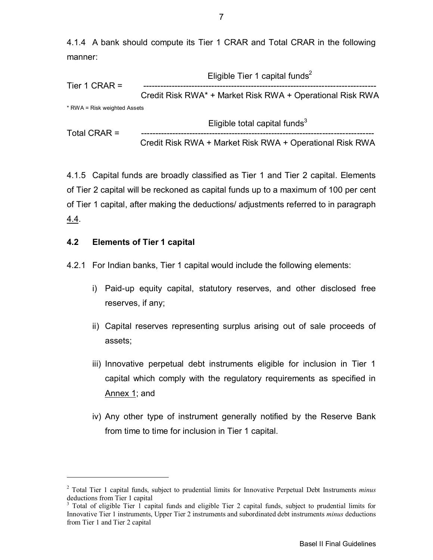4.1.4 A bank should compute its Tier 1 CRAR and Total CRAR in the following manner:

| Tier 1 CRAR $=$              | Eligible Tier 1 capital funds <sup>2</sup>                |
|------------------------------|-----------------------------------------------------------|
|                              | Credit Risk RWA* + Market Risk RWA + Operational Risk RWA |
| * RWA = Risk weighted Assets |                                                           |
| Total CRAR =                 | Eligible total capital funds <sup>3</sup>                 |
|                              | Credit Risk RWA + Market Risk RWA + Operational Risk RWA  |

4.1.5 Capital funds are broadly classified as Tier 1 and Tier 2 capital. Elements of Tier 2 capital will be reckoned as capital funds up to a maximum of 100 per cent of Tier 1 capital, after making the deductions/ adjustments referred to in paragraph 4.4.

# **4.2 Elements of Tier 1 capital**

l

4.2.1 For Indian banks, Tier 1 capital would include the following elements:

- i) Paid-up equity capital, statutory reserves, and other disclosed free reserves, if any;
- ii) Capital reserves representing surplus arising out of sale proceeds of assets;
- iii) Innovative perpetual debt instruments eligible for inclusion in Tier 1 capital which comply with the regulatory requirements as specified in Annex 1; and
- iv) Any other type of instrument generally notified by the Reserve Bank from time to time for inclusion in Tier 1 capital.

<sup>2</sup> Total Tier 1 capital funds, subject to prudential limits for Innovative Perpetual Debt Instruments *minus* deductions from Tier 1 capital

<sup>&</sup>lt;sup>3</sup> Total of eligible Tier 1 capital funds and eligible Tier 2 capital funds, subject to prudential limits for Innovative Tier 1 instruments, Upper Tier 2 instruments and subordinated debt instruments *minus* deductions from Tier 1 and Tier 2 capital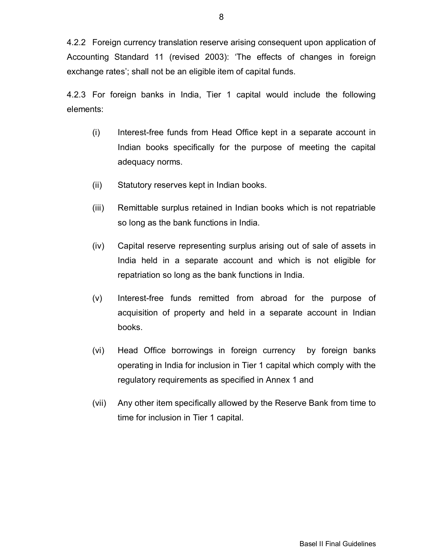4.2.2 Foreign currency translation reserve arising consequent upon application of Accounting Standard 11 (revised 2003): 'The effects of changes in foreign exchange rates'; shall not be an eligible item of capital funds.

4.2.3 For foreign banks in India, Tier 1 capital would include the following elements:

- (i) Interest-free funds from Head Office kept in a separate account in Indian books specifically for the purpose of meeting the capital adequacy norms.
- (ii) Statutory reserves kept in Indian books.
- (iii) Remittable surplus retained in Indian books which is not repatriable so long as the bank functions in India.
- (iv) Capital reserve representing surplus arising out of sale of assets in India held in a separate account and which is not eligible for repatriation so long as the bank functions in India.
- (v) Interest-free funds remitted from abroad for the purpose of acquisition of property and held in a separate account in Indian books.
- (vi) Head Office borrowings in foreign currency by foreign banks operating in India for inclusion in Tier 1 capital which comply with the regulatory requirements as specified in Annex 1 and
- (vii) Any other item specifically allowed by the Reserve Bank from time to time for inclusion in Tier 1 capital.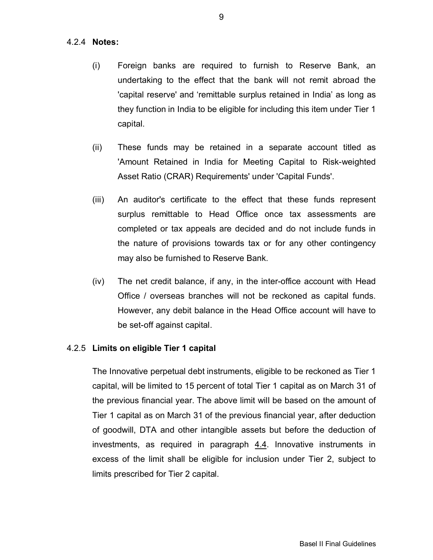#### 4.2.4 **Notes:**

- (i) Foreign banks are required to furnish to Reserve Bank, an undertaking to the effect that the bank will not remit abroad the 'capital reserve' and 'remittable surplus retained in India' as long as they function in India to be eligible for including this item under Tier 1 capital.
- (ii) These funds may be retained in a separate account titled as 'Amount Retained in India for Meeting Capital to Risk-weighted Asset Ratio (CRAR) Requirements' under 'Capital Funds'.
- (iii) An auditor's certificate to the effect that these funds represent surplus remittable to Head Office once tax assessments are completed or tax appeals are decided and do not include funds in the nature of provisions towards tax or for any other contingency may also be furnished to Reserve Bank.
- (iv) The net credit balance, if any, in the inter-office account with Head Office / overseas branches will not be reckoned as capital funds. However, any debit balance in the Head Office account will have to be set-off against capital.

#### 4.2.5 **Limits on eligible Tier 1 capital**

The Innovative perpetual debt instruments, eligible to be reckoned as Tier 1 capital, will be limited to 15 percent of total Tier 1 capital as on March 31 of the previous financial year. The above limit will be based on the amount of Tier 1 capital as on March 31 of the previous financial year, after deduction of goodwill, DTA and other intangible assets but before the deduction of investments, as required in paragraph 4.4. Innovative instruments in excess of the limit shall be eligible for inclusion under Tier 2, subject to limits prescribed for Tier 2 capital.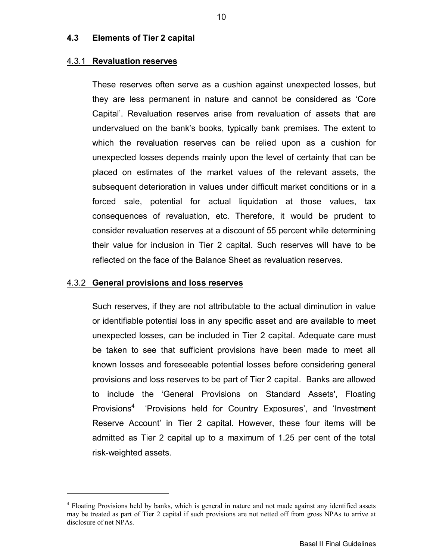#### **4.3 Elements of Tier 2 capital**

## 4.3.1 **Revaluation reserves**

These reserves often serve as a cushion against unexpected losses, but they are less permanent in nature and cannot be considered as 'Core Capital'. Revaluation reserves arise from revaluation of assets that are undervalued on the bank's books, typically bank premises. The extent to which the revaluation reserves can be relied upon as a cushion for unexpected losses depends mainly upon the level of certainty that can be placed on estimates of the market values of the relevant assets, the subsequent deterioration in values under difficult market conditions or in a forced sale, potential for actual liquidation at those values, tax consequences of revaluation, etc. Therefore, it would be prudent to consider revaluation reserves at a discount of 55 percent while determining their value for inclusion in Tier 2 capital. Such reserves will have to be reflected on the face of the Balance Sheet as revaluation reserves.

### 4.3.2 **General provisions and loss reserves**

 $\overline{a}$ 

Such reserves, if they are not attributable to the actual diminution in value or identifiable potential loss in any specific asset and are available to meet unexpected losses, can be included in Tier 2 capital. Adequate care must be taken to see that sufficient provisions have been made to meet all known losses and foreseeable potential losses before considering general provisions and loss reserves to be part of Tier 2 capital. Banks are allowed to include the 'General Provisions on Standard Assets', Floating Provisions<sup>4</sup> 'Provisions held for Country Exposures', and 'Investment Reserve Account' in Tier 2 capital. However, these four items will be admitted as Tier 2 capital up to a maximum of 1.25 per cent of the total risk-weighted assets.

<sup>&</sup>lt;sup>4</sup> Floating Provisions held by banks, which is general in nature and not made against any identified assets may be treated as part of Tier 2 capital if such provisions are not netted off from gross NPAs to arrive at disclosure of net NPAs.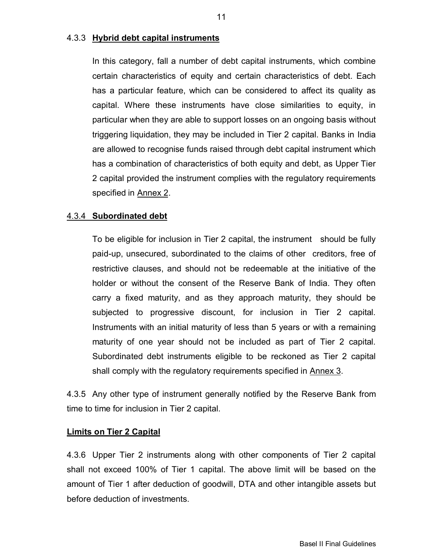## 4.3.3 **Hybrid debt capital instruments**

In this category, fall a number of debt capital instruments, which combine certain characteristics of equity and certain characteristics of debt. Each has a particular feature, which can be considered to affect its quality as capital. Where these instruments have close similarities to equity, in particular when they are able to support losses on an ongoing basis without triggering liquidation, they may be included in Tier 2 capital. Banks in India are allowed to recognise funds raised through debt capital instrument which has a combination of characteristics of both equity and debt, as Upper Tier 2 capital provided the instrument complies with the regulatory requirements specified in Annex 2.

## 4.3.4 **Subordinated debt**

To be eligible for inclusion in Tier 2 capital, the instrument should be fully paid-up, unsecured, subordinated to the claims of other creditors, free of restrictive clauses, and should not be redeemable at the initiative of the holder or without the consent of the Reserve Bank of India. They often carry a fixed maturity, and as they approach maturity, they should be subjected to progressive discount, for inclusion in Tier 2 capital. Instruments with an initial maturity of less than 5 years or with a remaining maturity of one year should not be included as part of Tier 2 capital. Subordinated debt instruments eligible to be reckoned as Tier 2 capital shall comply with the regulatory requirements specified in Annex 3.

4.3.5 Any other type of instrument generally notified by the Reserve Bank from time to time for inclusion in Tier 2 capital.

## **Limits on Tier 2 Capital**

4.3.6 Upper Tier 2 instruments along with other components of Tier 2 capital shall not exceed 100% of Tier 1 capital. The above limit will be based on the amount of Tier 1 after deduction of goodwill, DTA and other intangible assets but before deduction of investments.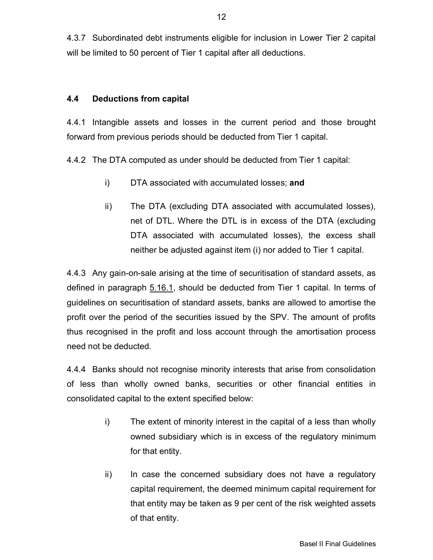4.3.7 Subordinated debt instruments eligible for inclusion in Lower Tier 2 capital will be limited to 50 percent of Tier 1 capital after all deductions.

## **4.4 Deductions from capital**

4.4.1 Intangible assets and losses in the current period and those brought forward from previous periods should be deducted from Tier 1 capital.

4.4.2 The DTA computed as under should be deducted from Tier 1 capital:

- i) DTA associated with accumulated losses; **and**
- ii) The DTA (excluding DTA associated with accumulated losses), net of DTL. Where the DTL is in excess of the DTA (excluding DTA associated with accumulated losses), the excess shall neither be adjusted against item (i) nor added to Tier 1 capital.

4.4.3 Any gain-on-sale arising at the time of securitisation of standard assets, as defined in paragraph 5.16.1, should be deducted from Tier 1 capital. In terms of guidelines on securitisation of standard assets, banks are allowed to amortise the profit over the period of the securities issued by the SPV. The amount of profits thus recognised in the profit and loss account through the amortisation process need not be deducted.

4.4.4 Banks should not recognise minority interests that arise from consolidation of less than wholly owned banks, securities or other financial entities in consolidated capital to the extent specified below:

- i) The extent of minority interest in the capital of a less than wholly owned subsidiary which is in excess of the regulatory minimum for that entity.
- ii) In case the concerned subsidiary does not have a regulatory capital requirement, the deemed minimum capital requirement for that entity may be taken as 9 per cent of the risk weighted assets of that entity.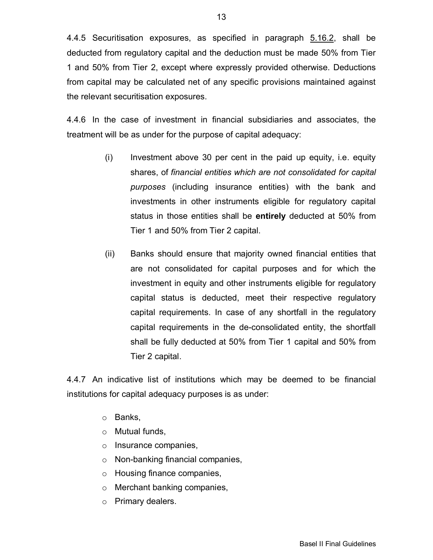4.4.5 Securitisation exposures, as specified in paragraph 5.16.2, shall be deducted from regulatory capital and the deduction must be made 50% from Tier 1 and 50% from Tier 2, except where expressly provided otherwise. Deductions from capital may be calculated net of any specific provisions maintained against the relevant securitisation exposures.

4.4.6 In the case of investment in financial subsidiaries and associates, the treatment will be as under for the purpose of capital adequacy:

- (i) Investment above 30 per cent in the paid up equity, i.e. equity shares, of *financial entities which are not consolidated for capital purposes* (including insurance entities) with the bank and investments in other instruments eligible for regulatory capital status in those entities shall be **entirely** deducted at 50% from Tier 1 and 50% from Tier 2 capital.
- (ii) Banks should ensure that majority owned financial entities that are not consolidated for capital purposes and for which the investment in equity and other instruments eligible for regulatory capital status is deducted, meet their respective regulatory capital requirements. In case of any shortfall in the regulatory capital requirements in the de-consolidated entity, the shortfall shall be fully deducted at 50% from Tier 1 capital and 50% from Tier 2 capital.

4.4.7 An indicative list of institutions which may be deemed to be financial institutions for capital adequacy purposes is as under:

- o Banks,
- o Mutual funds,
- o Insurance companies,
- o Non-banking financial companies,
- o Housing finance companies,
- o Merchant banking companies,
- o Primary dealers.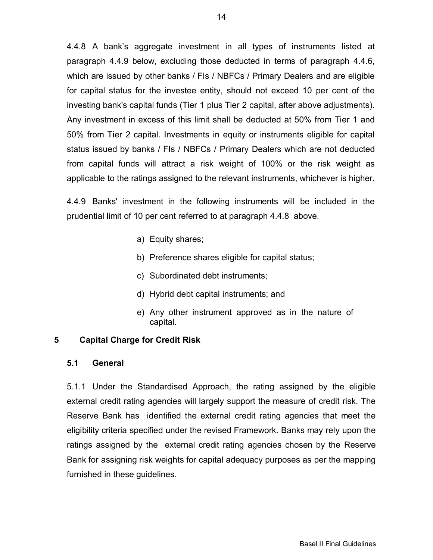4.4.8 A bank's aggregate investment in all types of instruments listed at paragraph 4.4.9 below, excluding those deducted in terms of paragraph 4.4.6, which are issued by other banks / FIs / NBFCs / Primary Dealers and are eligible for capital status for the investee entity, should not exceed 10 per cent of the investing bank's capital funds (Tier 1 plus Tier 2 capital, after above adjustments). Any investment in excess of this limit shall be deducted at 50% from Tier 1 and 50% from Tier 2 capital. Investments in equity or instruments eligible for capital status issued by banks / FIs / NBFCs / Primary Dealers which are not deducted from capital funds will attract a risk weight of 100% or the risk weight as applicable to the ratings assigned to the relevant instruments, whichever is higher.

4.4.9 Banks' investment in the following instruments will be included in the prudential limit of 10 per cent referred to at paragraph 4.4.8 above.

- a) Equity shares;
- b) Preference shares eligible for capital status;
- c) Subordinated debt instruments;
- d) Hybrid debt capital instruments; and
- e) Any other instrument approved as in the nature of capital.

## **5 Capital Charge for Credit Risk**

## **5.1 General**

5.1.1 Under the Standardised Approach, the rating assigned by the eligible external credit rating agencies will largely support the measure of credit risk. The Reserve Bank has identified the external credit rating agencies that meet the eligibility criteria specified under the revised Framework. Banks may rely upon the ratings assigned by the external credit rating agencies chosen by the Reserve Bank for assigning risk weights for capital adequacy purposes as per the mapping furnished in these guidelines.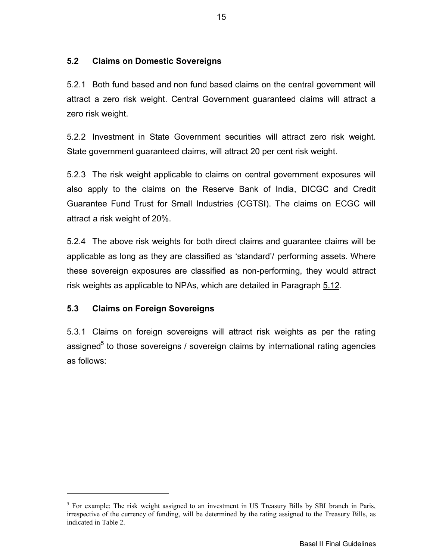## **5.2 Claims on Domestic Sovereigns**

5.2.1 Both fund based and non fund based claims on the central government will attract a zero risk weight. Central Government guaranteed claims will attract a zero risk weight.

5.2.2 Investment in State Government securities will attract zero risk weight. State government guaranteed claims, will attract 20 per cent risk weight.

5.2.3 The risk weight applicable to claims on central government exposures will also apply to the claims on the Reserve Bank of India, DICGC and Credit Guarantee Fund Trust for Small Industries (CGTSI). The claims on ECGC will attract a risk weight of 20%.

5.2.4 The above risk weights for both direct claims and guarantee claims will be applicable as long as they are classified as 'standard'/ performing assets. Where these sovereign exposures are classified as non-performing, they would attract risk weights as applicable to NPAs, which are detailed in Paragraph 5.12.

# **5.3 Claims on Foreign Sovereigns**

 $\overline{a}$ 

5.3.1 Claims on foreign sovereigns will attract risk weights as per the rating assigned<sup>5</sup> to those sovereigns / sovereign claims by international rating agencies as follows:

<sup>&</sup>lt;sup>5</sup> For example: The risk weight assigned to an investment in US Treasury Bills by SBI branch in Paris, irrespective of the currency of funding, will be determined by the rating assigned to the Treasury Bills, as indicated in Table 2.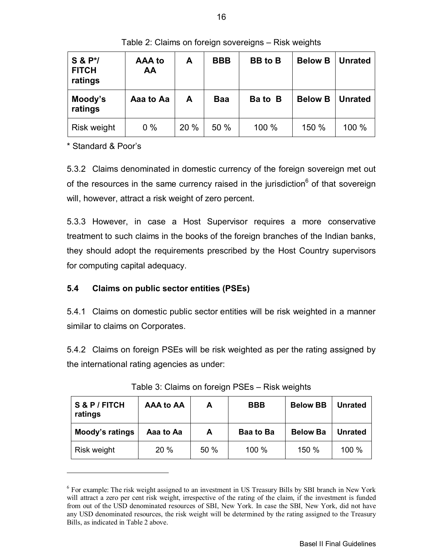| S & P*/<br><b>FITCH</b><br>ratings | AAA to<br>AA | A   | <b>BBB</b> | <b>BB</b> to B | <b>Below B</b> | <b>Unrated</b> |
|------------------------------------|--------------|-----|------------|----------------|----------------|----------------|
| Moody's<br>ratings                 | Aaa to Aa    | A   | <b>Baa</b> | Ba to B        | <b>Below B</b> | <b>Unrated</b> |
| <b>Risk weight</b>                 | $0\%$        | 20% | 50 %       | 100 %          | 150 %          | 100 %          |

Table 2: Claims on foreign sovereigns – Risk weights

\* Standard & Poor's

l

5.3.2 Claims denominated in domestic currency of the foreign sovereign met out of the resources in the same currency raised in the jurisdiction<sup>6</sup> of that sovereign will, however, attract a risk weight of zero percent.

5.3.3 However, in case a Host Supervisor requires a more conservative treatment to such claims in the books of the foreign branches of the Indian banks, they should adopt the requirements prescribed by the Host Country supervisors for computing capital adequacy.

# **5.4 Claims on public sector entities (PSEs)**

5.4.1 Claims on domestic public sector entities will be risk weighted in a manner similar to claims on Corporates.

5.4.2 Claims on foreign PSEs will be risk weighted as per the rating assigned by the international rating agencies as under:

| S & P / FITCH<br>ratings | AAA to AA | А    | <b>BBB</b>       | <b>Below BB</b> | <b>Unrated</b> |
|--------------------------|-----------|------|------------------|-----------------|----------------|
| Moody's ratings          | Aaa to Aa | A    | <b>Baa to Ba</b> | <b>Below Ba</b> | <b>Unrated</b> |
| Risk weight              | 20 %      | 50 % | 100 %            | 150 %           | 100 %          |

Table 3: Claims on foreign PSEs – Risk weights

<sup>&</sup>lt;sup>6</sup> For example: The risk weight assigned to an investment in US Treasury Bills by SBI branch in New York will attract a zero per cent risk weight, irrespective of the rating of the claim, if the investment is funded from out of the USD denominated resources of SBI, New York. In case the SBI, New York, did not have any USD denominated resources, the risk weight will be determined by the rating assigned to the Treasury Bills, as indicated in Table 2 above.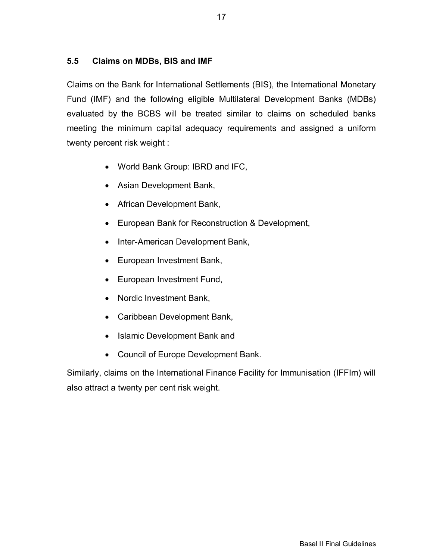## **5.5 Claims on MDBs, BIS and IMF**

Claims on the Bank for International Settlements (BIS), the International Monetary Fund (IMF) and the following eligible Multilateral Development Banks (MDBs) evaluated by the BCBS will be treated similar to claims on scheduled banks meeting the minimum capital adequacy requirements and assigned a uniform twenty percent risk weight :

- World Bank Group: IBRD and IFC,
- Asian Development Bank,
- African Development Bank,
- European Bank for Reconstruction & Development,
- Inter-American Development Bank,
- European Investment Bank,
- European Investment Fund,
- Nordic Investment Bank,
- Caribbean Development Bank,
- Islamic Development Bank and
- Council of Europe Development Bank.

Similarly, claims on the International Finance Facility for Immunisation (IFFIm) will also attract a twenty per cent risk weight.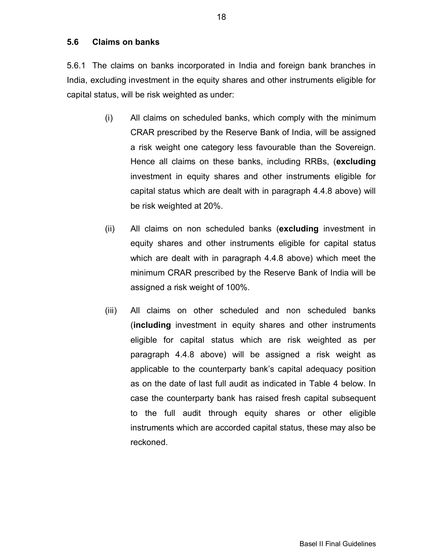## **5.6 Claims on banks**

5.6.1 The claims on banks incorporated in India and foreign bank branches in India, excluding investment in the equity shares and other instruments eligible for capital status, will be risk weighted as under:

- (i) All claims on scheduled banks, which comply with the minimum CRAR prescribed by the Reserve Bank of India, will be assigned a risk weight one category less favourable than the Sovereign. Hence all claims on these banks, including RRBs, (**excluding** investment in equity shares and other instruments eligible for capital status which are dealt with in paragraph 4.4.8 above) will be risk weighted at 20%.
- (ii) All claims on non scheduled banks (**excluding** investment in equity shares and other instruments eligible for capital status which are dealt with in paragraph 4.4.8 above) which meet the minimum CRAR prescribed by the Reserve Bank of India will be assigned a risk weight of 100%.
- (iii) All claims on other scheduled and non scheduled banks (**including** investment in equity shares and other instruments eligible for capital status which are risk weighted as per paragraph 4.4.8 above) will be assigned a risk weight as applicable to the counterparty bank's capital adequacy position as on the date of last full audit as indicated in Table 4 below. In case the counterparty bank has raised fresh capital subsequent to the full audit through equity shares or other eligible instruments which are accorded capital status, these may also be reckoned.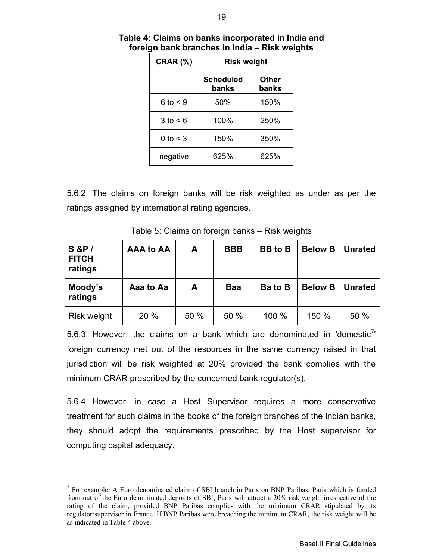| <b>CRAR (%)</b> | <b>Risk weight</b>        |                |
|-----------------|---------------------------|----------------|
|                 | <b>Scheduled</b><br>banks | Other<br>banks |
| $6$ to $\leq 9$ | 50%                       | 150%           |
| $3$ to $\leq 6$ | 100%                      | 250%           |
| 0 to $\leq$ 3   | 150%                      | 350%           |
| negative        | 625%                      | 625%           |

**Table 4: Claims on banks incorporated in India and foreign bank branches in India – Risk weights**

5.6.2 The claims on foreign banks will be risk weighted as under as per the ratings assigned by international rating agencies.

| <b>S&amp;P/</b><br><b>FITCH</b><br>ratings | AAA to AA | A    | <b>BBB</b> | <b>BB</b> to <b>B</b> | <b>Below B</b> | <b>Unrated</b> |
|--------------------------------------------|-----------|------|------------|-----------------------|----------------|----------------|
| Moody's<br>ratings                         | Aaa to Aa | A    | <b>Baa</b> | Ba to B               | <b>Below B</b> | <b>Unrated</b> |
| Risk weight                                | 20 %      | 50 % | 50 %       | 100 %                 | 150 %          | 50 %           |

Table 5: Claims on foreign banks – Risk weights

5.6.3 However, the claims on a bank which are denominated in 'domestic<sup>7</sup>' foreign currency met out of the resources in the same currency raised in that jurisdiction will be risk weighted at 20% provided the bank complies with the minimum CRAR prescribed by the concerned bank regulator(s).

5.6.4 However, in case a Host Supervisor requires a more conservative treatment for such claims in the books of the foreign branches of the Indian banks, they should adopt the requirements prescribed by the Host supervisor for computing capital adequacy.

l

<sup>&</sup>lt;sup>7</sup> For example: A Euro denominated claim of SBI branch in Paris on BNP Paribas, Paris which is funded from out of the Euro denominated deposits of SBI, Paris will attract a 20% risk weight irrespective of the rating of the claim, provided BNP Paribas complies with the minimum CRAR stipulated by its regulator/supervisor in France. If BNP Paribas were breaching the minimum CRAR, the risk weight will be as indicated in Table 4 above.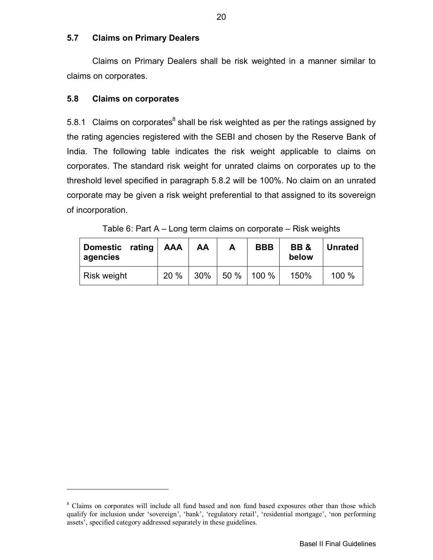**5.7 Claims on Primary Dealers**

Claims on Primary Dealers shall be risk weighted in a manner similar to claims on corporates.

## **5.8 Claims on corporates**

 $\overline{a}$ 

5.8.1 Claims on corporates $^8$  shall be risk weighted as per the ratings assigned by the rating agencies registered with the SEBI and chosen by the Reserve Bank of India. The following table indicates the risk weight applicable to claims on corporates. The standard risk weight for unrated claims on corporates up to the threshold level specified in paragraph 5.8.2 will be 100%. No claim on an unrated corporate may be given a risk weight preferential to that assigned to its sovereign of incorporation.

Table 6: Part A – Long term claims on corporate – Risk weights

| Domestic rating<br>agencies | <b>AAA</b> | AA  | A    | <b>BBB</b> | <b>BB&amp;</b><br>below | <b>Unrated</b> |
|-----------------------------|------------|-----|------|------------|-------------------------|----------------|
| Risk weight                 | 20 %       | 30% | 50 % | 100 %      | 150%                    | 100 %          |

<sup>&</sup>lt;sup>8</sup> Claims on corporates will include all fund based and non fund based exposures other than those which qualify for inclusion under 'sovereign', 'bank', 'regulatory retail', 'residential mortgage', 'non performing assets', specified category addressed separately in these guidelines.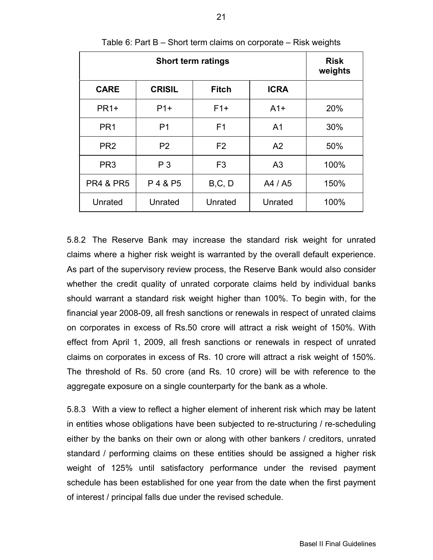|                      | <b>Risk</b><br>weights |                |                |      |
|----------------------|------------------------|----------------|----------------|------|
| <b>CARE</b>          | <b>CRISIL</b>          | <b>Fitch</b>   | <b>ICRA</b>    |      |
| PR <sub>1+</sub>     | $P1+$                  | $F1+$          | $A1+$          | 20%  |
| PR <sub>1</sub>      | P <sub>1</sub>         | F <sub>1</sub> | A <sub>1</sub> | 30%  |
| PR <sub>2</sub>      | P <sub>2</sub>         | F <sub>2</sub> | A <sub>2</sub> | 50%  |
| PR <sub>3</sub>      | P <sub>3</sub>         | F <sub>3</sub> | A <sub>3</sub> | 100% |
| <b>PR4 &amp; PR5</b> | P 4 & P5               | B, C, D        | A4 / A5        | 150% |
| Unrated              | Unrated                | Unrated        | Unrated        | 100% |

Table 6: Part B – Short term claims on corporate – Risk weights

5.8.2 The Reserve Bank may increase the standard risk weight for unrated claims where a higher risk weight is warranted by the overall default experience. As part of the supervisory review process, the Reserve Bank would also consider whether the credit quality of unrated corporate claims held by individual banks should warrant a standard risk weight higher than 100%. To begin with, for the financial year 2008-09, all fresh sanctions or renewals in respect of unrated claims on corporates in excess of Rs.50 crore will attract a risk weight of 150%. With effect from April 1, 2009, all fresh sanctions or renewals in respect of unrated claims on corporates in excess of Rs. 10 crore will attract a risk weight of 150%. The threshold of Rs. 50 crore (and Rs. 10 crore) will be with reference to the aggregate exposure on a single counterparty for the bank as a whole.

5.8.3 With a view to reflect a higher element of inherent risk which may be latent in entities whose obligations have been subjected to re-structuring / re-scheduling either by the banks on their own or along with other bankers / creditors, unrated standard / performing claims on these entities should be assigned a higher risk weight of 125% until satisfactory performance under the revised payment schedule has been established for one year from the date when the first payment of interest / principal falls due under the revised schedule.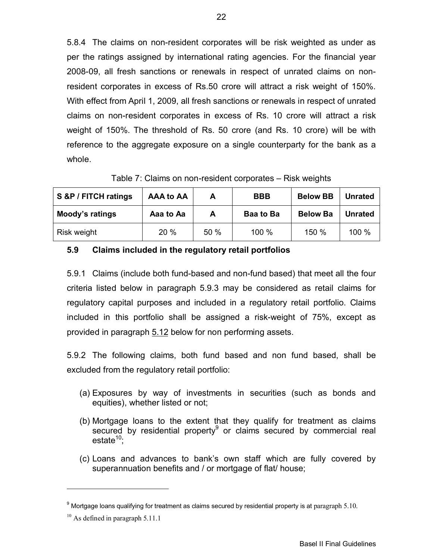5.8.4 The claims on non-resident corporates will be risk weighted as under as per the ratings assigned by international rating agencies. For the financial year 2008-09, all fresh sanctions or renewals in respect of unrated claims on nonresident corporates in excess of Rs.50 crore will attract a risk weight of 150%. With effect from April 1, 2009, all fresh sanctions or renewals in respect of unrated claims on non-resident corporates in excess of Rs. 10 crore will attract a risk weight of 150%. The threshold of Rs. 50 crore (and Rs. 10 crore) will be with reference to the aggregate exposure on a single counterparty for the bank as a whole.

|  | Table 7: Claims on non-resident corporates - Risk weights |  |
|--|-----------------------------------------------------------|--|
|--|-----------------------------------------------------------|--|

| S &P / FITCH ratings | <b>AAA to AA</b> |      | <b>BBB</b>       | <b>Below BB</b> | <b>Unrated</b> |
|----------------------|------------------|------|------------------|-----------------|----------------|
| Moody's ratings      | Aaa to Aa        |      | <b>Baa to Ba</b> | <b>Below Ba</b> | <b>Unrated</b> |
| Risk weight          | 20 %             | 50 % | 100 %            | 150 %           | 100 %          |

## **5.9 Claims included in the regulatory retail portfolios**

5.9.1 Claims (include both fund-based and non-fund based) that meet all the four criteria listed below in paragraph 5.9.3 may be considered as retail claims for regulatory capital purposes and included in a regulatory retail portfolio. Claims included in this portfolio shall be assigned a risk-weight of 75%, except as provided in paragraph 5.12 below for non performing assets.

5.9.2 The following claims, both fund based and non fund based, shall be excluded from the regulatory retail portfolio:

- (a) Exposures by way of investments in securities (such as bonds and equities), whether listed or not;
- (b) Mortgage loans to the extent that they qualify for treatment as claims secured by residential property<sup>9</sup> or claims secured by commercial real estate $10$ ;
- (c) Loans and advances to bank's own staff which are fully covered by superannuation benefits and / or mortgage of flat/ house;

l

 $^9$  Mortgage loans qualifying for treatment as claims secured by residential property is at paragraph 5.10.

 $10$  As defined in paragraph 5.11.1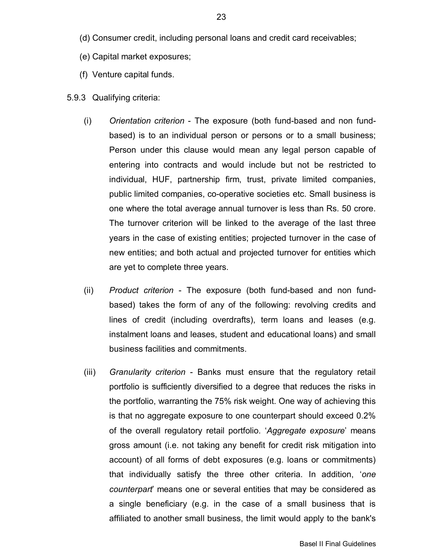- (d) Consumer credit, including personal loans and credit card receivables;
- (e) Capital market exposures;
- (f) Venture capital funds.
- 5.9.3 Qualifying criteria:
	- (i) *Orientation criterion*  The exposure (both fund-based and non fundbased) is to an individual person or persons or to a small business; Person under this clause would mean any legal person capable of entering into contracts and would include but not be restricted to individual, HUF, partnership firm, trust, private limited companies, public limited companies, co-operative societies etc. Small business is one where the total average annual turnover is less than Rs. 50 crore. The turnover criterion will be linked to the average of the last three years in the case of existing entities; projected turnover in the case of new entities; and both actual and projected turnover for entities which are yet to complete three years.
	- (ii) *Product criterion* The exposure (both fund-based and non fundbased) takes the form of any of the following: revolving credits and lines of credit (including overdrafts), term loans and leases (e.g. instalment loans and leases, student and educational loans) and small business facilities and commitments.
	- (iii) *Granularity criterion*  Banks must ensure that the regulatory retail portfolio is sufficiently diversified to a degree that reduces the risks in the portfolio, warranting the 75% risk weight. One way of achieving this is that no aggregate exposure to one counterpart should exceed 0.2% of the overall regulatory retail portfolio. '*Aggregate exposure*' means gross amount (i.e. not taking any benefit for credit risk mitigation into account) of all forms of debt exposures (e.g. loans or commitments) that individually satisfy the three other criteria. In addition, '*one counterpart*' means one or several entities that may be considered as a single beneficiary (e.g. in the case of a small business that is affiliated to another small business, the limit would apply to the bank's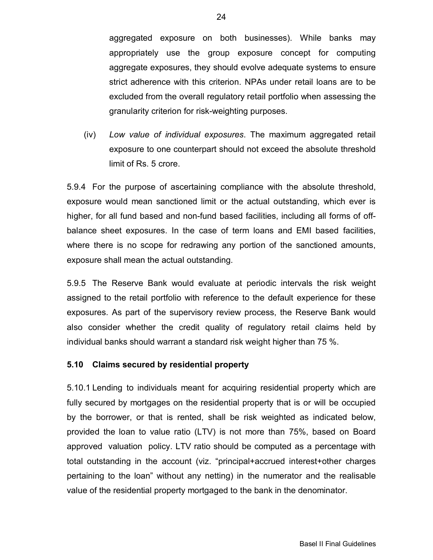aggregated exposure on both businesses). While banks may appropriately use the group exposure concept for computing aggregate exposures, they should evolve adequate systems to ensure strict adherence with this criterion. NPAs under retail loans are to be excluded from the overall regulatory retail portfolio when assessing the granularity criterion for risk-weighting purposes.

(iv) *Low value of individual exposures*. The maximum aggregated retail exposure to one counterpart should not exceed the absolute threshold limit of Rs. 5 crore.

5.9.4 For the purpose of ascertaining compliance with the absolute threshold, exposure would mean sanctioned limit or the actual outstanding, which ever is higher, for all fund based and non-fund based facilities, including all forms of offbalance sheet exposures. In the case of term loans and EMI based facilities, where there is no scope for redrawing any portion of the sanctioned amounts, exposure shall mean the actual outstanding.

5.9.5 The Reserve Bank would evaluate at periodic intervals the risk weight assigned to the retail portfolio with reference to the default experience for these exposures. As part of the supervisory review process, the Reserve Bank would also consider whether the credit quality of regulatory retail claims held by individual banks should warrant a standard risk weight higher than 75 %.

#### **5.10 Claims secured by residential property**

5.10.1 Lending to individuals meant for acquiring residential property which are fully secured by mortgages on the residential property that is or will be occupied by the borrower, or that is rented, shall be risk weighted as indicated below, provided the loan to value ratio (LTV) is not more than 75%, based on Board approved valuation policy. LTV ratio should be computed as a percentage with total outstanding in the account (viz. "principal+accrued interest+other charges pertaining to the loan" without any netting) in the numerator and the realisable value of the residential property mortgaged to the bank in the denominator.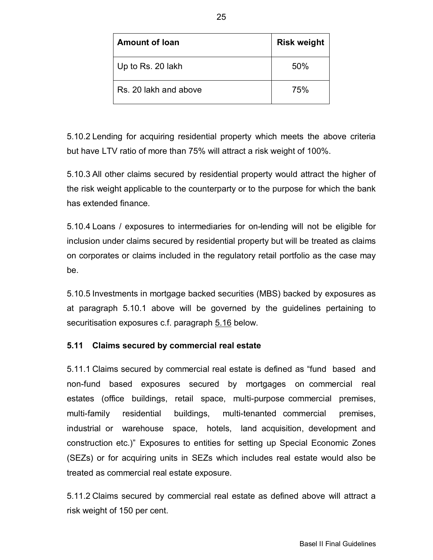| <b>Amount of loan</b> | <b>Risk weight</b> |  |
|-----------------------|--------------------|--|
| Up to Rs. 20 lakh     | 50%                |  |
| Rs. 20 lakh and above | 75%                |  |

5.10.2 Lending for acquiring residential property which meets the above criteria but have LTV ratio of more than 75% will attract a risk weight of 100%.

5.10.3 All other claims secured by residential property would attract the higher of the risk weight applicable to the counterparty or to the purpose for which the bank has extended finance.

5.10.4 Loans / exposures to intermediaries for on-lending will not be eligible for inclusion under claims secured by residential property but will be treated as claims on corporates or claims included in the regulatory retail portfolio as the case may be.

5.10.5 Investments in mortgage backed securities (MBS) backed by exposures as at paragraph 5.10.1 above will be governed by the guidelines pertaining to securitisation exposures c.f. paragraph 5.16 below.

## **5.11 Claims secured by commercial real estate**

5.11.1 Claims secured by commercial real estate is defined as "fund based and non-fund based exposures secured by mortgages on commercial real estates (office buildings, retail space, multi-purpose commercial premises, multi-family residential buildings, multi-tenanted commercial premises, industrial or warehouse space, hotels, land acquisition, development and construction etc.)" Exposures to entities for setting up Special Economic Zones (SEZs) or for acquiring units in SEZs which includes real estate would also be treated as commercial real estate exposure.

5.11.2 Claims secured by commercial real estate as defined above will attract a risk weight of 150 per cent.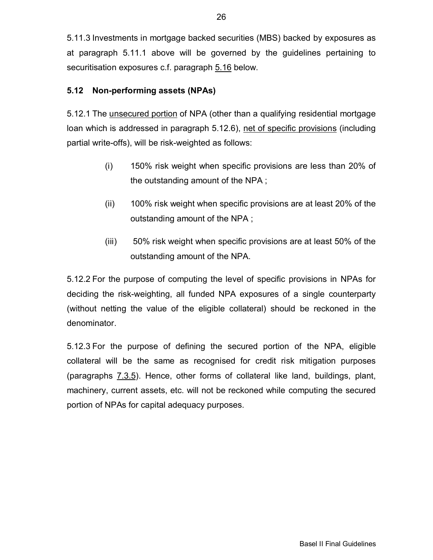5.11.3 Investments in mortgage backed securities (MBS) backed by exposures as at paragraph 5.11.1 above will be governed by the guidelines pertaining to securitisation exposures c.f. paragraph 5.16 below.

# **5.12 Non-performing assets (NPAs)**

5.12.1 The unsecured portion of NPA (other than a qualifying residential mortgage loan which is addressed in paragraph 5.12.6), net of specific provisions (including partial write-offs), will be risk-weighted as follows:

- (i) 150% risk weight when specific provisions are less than 20% of the outstanding amount of the NPA ;
- (ii) 100% risk weight when specific provisions are at least 20% of the outstanding amount of the NPA ;
- (iii) 50% risk weight when specific provisions are at least 50% of the outstanding amount of the NPA.

5.12.2 For the purpose of computing the level of specific provisions in NPAs for deciding the risk-weighting, all funded NPA exposures of a single counterparty (without netting the value of the eligible collateral) should be reckoned in the denominator.

5.12.3 For the purpose of defining the secured portion of the NPA, eligible collateral will be the same as recognised for credit risk mitigation purposes (paragraphs 7.3.5). Hence, other forms of collateral like land, buildings, plant, machinery, current assets, etc. will not be reckoned while computing the secured portion of NPAs for capital adequacy purposes.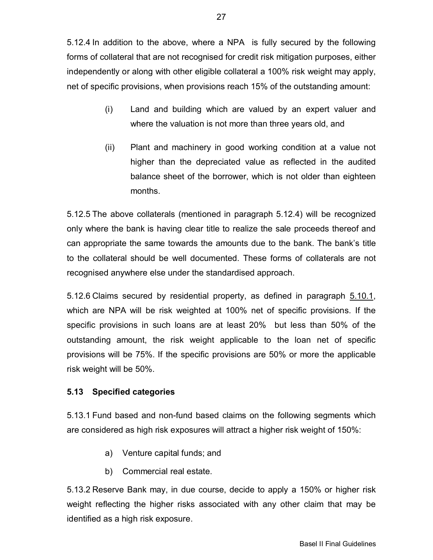5.12.4 In addition to the above, where a NPA is fully secured by the following forms of collateral that are not recognised for credit risk mitigation purposes, either independently or along with other eligible collateral a 100% risk weight may apply, net of specific provisions, when provisions reach 15% of the outstanding amount:

- (i) Land and building which are valued by an expert valuer and where the valuation is not more than three years old, and
- (ii) Plant and machinery in good working condition at a value not higher than the depreciated value as reflected in the audited balance sheet of the borrower, which is not older than eighteen months.

5.12.5 The above collaterals (mentioned in paragraph 5.12.4) will be recognized only where the bank is having clear title to realize the sale proceeds thereof and can appropriate the same towards the amounts due to the bank. The bank's title to the collateral should be well documented. These forms of collaterals are not recognised anywhere else under the standardised approach.

5.12.6 Claims secured by residential property, as defined in paragraph 5.10.1, which are NPA will be risk weighted at 100% net of specific provisions. If the specific provisions in such loans are at least 20% but less than 50% of the outstanding amount, the risk weight applicable to the loan net of specific provisions will be 75%. If the specific provisions are 50% or more the applicable risk weight will be 50%.

## **5.13 Specified categories**

5.13.1 Fund based and non-fund based claims on the following segments which are considered as high risk exposures will attract a higher risk weight of 150%:

- a) Venture capital funds; and
- b) Commercial real estate.

5.13.2 Reserve Bank may, in due course, decide to apply a 150% or higher risk weight reflecting the higher risks associated with any other claim that may be identified as a high risk exposure.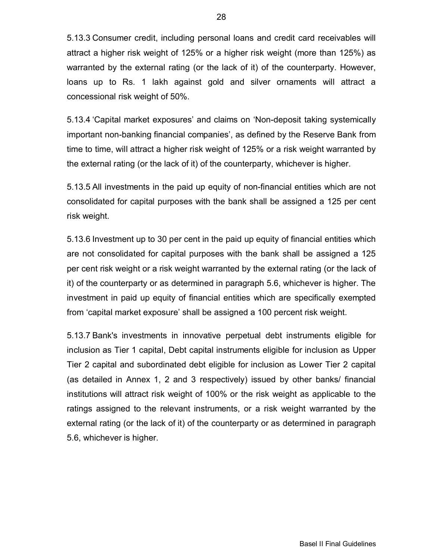5.13.3 Consumer credit, including personal loans and credit card receivables will attract a higher risk weight of 125% or a higher risk weight (more than 125%) as warranted by the external rating (or the lack of it) of the counterparty. However, loans up to Rs. 1 lakh against gold and silver ornaments will attract a concessional risk weight of 50%.

5.13.4 'Capital market exposures' and claims on 'Non-deposit taking systemically important non-banking financial companies', as defined by the Reserve Bank from time to time, will attract a higher risk weight of 125% or a risk weight warranted by the external rating (or the lack of it) of the counterparty, whichever is higher.

5.13.5 All investments in the paid up equity of non-financial entities which are not consolidated for capital purposes with the bank shall be assigned a 125 per cent risk weight.

5.13.6 Investment up to 30 per cent in the paid up equity of financial entities which are not consolidated for capital purposes with the bank shall be assigned a 125 per cent risk weight or a risk weight warranted by the external rating (or the lack of it) of the counterparty or as determined in paragraph 5.6, whichever is higher. The investment in paid up equity of financial entities which are specifically exempted from 'capital market exposure' shall be assigned a 100 percent risk weight.

5.13.7 Bank's investments in innovative perpetual debt instruments eligible for inclusion as Tier 1 capital, Debt capital instruments eligible for inclusion as Upper Tier 2 capital and subordinated debt eligible for inclusion as Lower Tier 2 capital (as detailed in Annex 1, 2 and 3 respectively) issued by other banks/ financial institutions will attract risk weight of 100% or the risk weight as applicable to the ratings assigned to the relevant instruments, or a risk weight warranted by the external rating (or the lack of it) of the counterparty or as determined in paragraph 5.6, whichever is higher.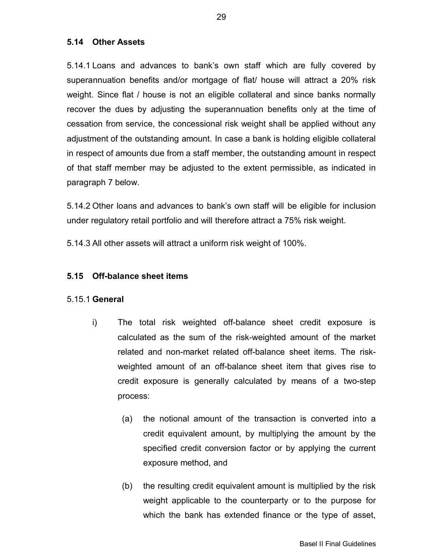#### **5.14 Other Assets**

5.14.1 Loans and advances to bank's own staff which are fully covered by superannuation benefits and/or mortgage of flat/ house will attract a 20% risk weight. Since flat / house is not an eligible collateral and since banks normally recover the dues by adjusting the superannuation benefits only at the time of cessation from service, the concessional risk weight shall be applied without any adjustment of the outstanding amount. In case a bank is holding eligible collateral in respect of amounts due from a staff member, the outstanding amount in respect of that staff member may be adjusted to the extent permissible, as indicated in paragraph 7 below.

5.14.2 Other loans and advances to bank's own staff will be eligible for inclusion under regulatory retail portfolio and will therefore attract a 75% risk weight.

5.14.3 All other assets will attract a uniform risk weight of 100%.

#### **5.15 Off-balance sheet items**

#### 5.15.1 **General**

- i) The total risk weighted off-balance sheet credit exposure is calculated as the sum of the risk-weighted amount of the market related and non-market related off-balance sheet items. The riskweighted amount of an off-balance sheet item that gives rise to credit exposure is generally calculated by means of a two-step process:
	- (a) the notional amount of the transaction is converted into a credit equivalent amount, by multiplying the amount by the specified credit conversion factor or by applying the current exposure method, and
	- (b) the resulting credit equivalent amount is multiplied by the risk weight applicable to the counterparty or to the purpose for which the bank has extended finance or the type of asset,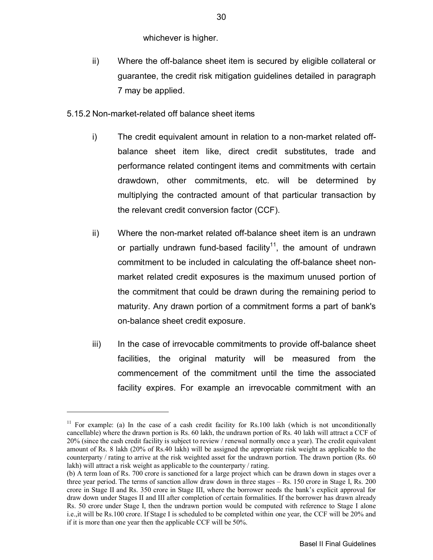whichever is higher.

- ii) Where the off-balance sheet item is secured by eligible collateral or guarantee, the credit risk mitigation guidelines detailed in paragraph 7 may be applied.
- 5.15.2 Non-market-related off balance sheet items

l

- i) The credit equivalent amount in relation to a non-market related offbalance sheet item like, direct credit substitutes, trade and performance related contingent items and commitments with certain drawdown, other commitments, etc. will be determined by multiplying the contracted amount of that particular transaction by the relevant credit conversion factor (CCF).
- ii) Where the non-market related off-balance sheet item is an undrawn or partially undrawn fund-based facility<sup>11</sup>, the amount of undrawn commitment to be included in calculating the off-balance sheet nonmarket related credit exposures is the maximum unused portion of the commitment that could be drawn during the remaining period to maturity. Any drawn portion of a commitment forms a part of bank's on-balance sheet credit exposure.
- iii) In the case of irrevocable commitments to provide off-balance sheet facilities, the original maturity will be measured from the commencement of the commitment until the time the associated facility expires. For example an irrevocable commitment with an

<sup>&</sup>lt;sup>11</sup> For example: (a) In the case of a cash credit facility for Rs.100 lakh (which is not unconditionally cancellable) where the drawn portion is Rs. 60 lakh, the undrawn portion of Rs. 40 lakh will attract a CCF of 20% (since the cash credit facility is subject to review / renewal normally once a year). The credit equivalent amount of Rs. 8 lakh (20% of Rs.40 lakh) will be assigned the appropriate risk weight as applicable to the counterparty / rating to arrive at the risk weighted asset for the undrawn portion. The drawn portion (Rs. 60 lakh) will attract a risk weight as applicable to the counterparty / rating.

<sup>(</sup>b) A term loan of Rs. 700 crore is sanctioned for a large project which can be drawn down in stages over a three year period. The terms of sanction allow draw down in three stages – Rs. 150 crore in Stage I, Rs. 200 crore in Stage II and Rs. 350 crore in Stage III, where the borrower needs the bank's explicit approval for draw down under Stages II and III after completion of certain formalities. If the borrower has drawn already Rs. 50 crore under Stage I, then the undrawn portion would be computed with reference to Stage I alone i.e.,it will be Rs.100 crore. If Stage I is scheduled to be completed within one year, the CCF will be 20% and if it is more than one year then the applicable CCF will be 50%.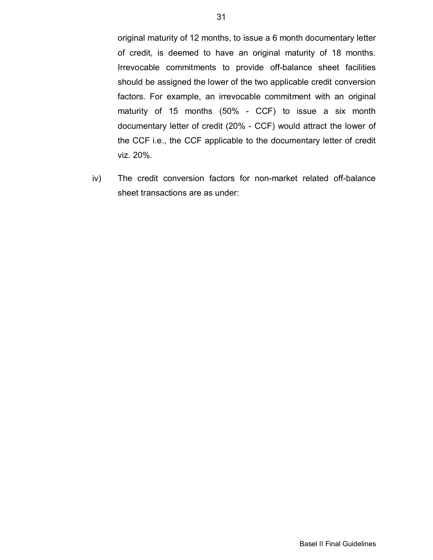original maturity of 12 months, to issue a 6 month documentary letter of credit, is deemed to have an original maturity of 18 months. Irrevocable commitments to provide off-balance sheet facilities should be assigned the lower of the two applicable credit conversion factors. For example, an irrevocable commitment with an original maturity of 15 months (50% - CCF) to issue a six month documentary letter of credit (20% - CCF) would attract the lower of the CCF i.e., the CCF applicable to the documentary letter of credit viz. 20%.

iv) The credit conversion factors for non-market related off-balance sheet transactions are as under: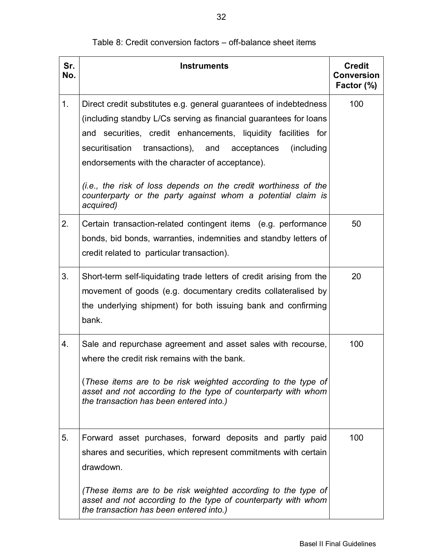Table 8: Credit conversion factors – off-balance sheet items

| Sr.<br>No. | <b>Instruments</b>                                                                                                                                                                                                                                                                                                                                                                                                                                                           | <b>Credit</b><br><b>Conversion</b><br>Factor (%) |
|------------|------------------------------------------------------------------------------------------------------------------------------------------------------------------------------------------------------------------------------------------------------------------------------------------------------------------------------------------------------------------------------------------------------------------------------------------------------------------------------|--------------------------------------------------|
| 1.         | Direct credit substitutes e.g. general guarantees of indebtedness<br>(including standby L/Cs serving as financial guarantees for loans<br>and securities, credit enhancements, liquidity facilities for<br>securitisation<br>transactions), and acceptances<br>(including)<br>endorsements with the character of acceptance).<br>(i.e., the risk of loss depends on the credit worthiness of the<br>counterparty or the party against whom a potential claim is<br>acquired) | 100                                              |
| 2.         | Certain transaction-related contingent items (e.g. performance<br>bonds, bid bonds, warranties, indemnities and standby letters of<br>credit related to particular transaction).                                                                                                                                                                                                                                                                                             | 50                                               |
| 3.         | Short-term self-liquidating trade letters of credit arising from the<br>movement of goods (e.g. documentary credits collateralised by<br>the underlying shipment) for both issuing bank and confirming<br>bank.                                                                                                                                                                                                                                                              | 20                                               |
| 4.         | Sale and repurchase agreement and asset sales with recourse,<br>where the credit risk remains with the bank.<br>(These items are to be risk weighted according to the type of<br>asset and not according to the type of counterparty with whom<br>the transaction has been entered into.)                                                                                                                                                                                    | 100                                              |
| 5.         | Forward asset purchases, forward deposits and partly paid<br>shares and securities, which represent commitments with certain<br>drawdown.<br>(These items are to be risk weighted according to the type of<br>asset and not according to the type of counterparty with whom<br>the transaction has been entered into.)                                                                                                                                                       | 100                                              |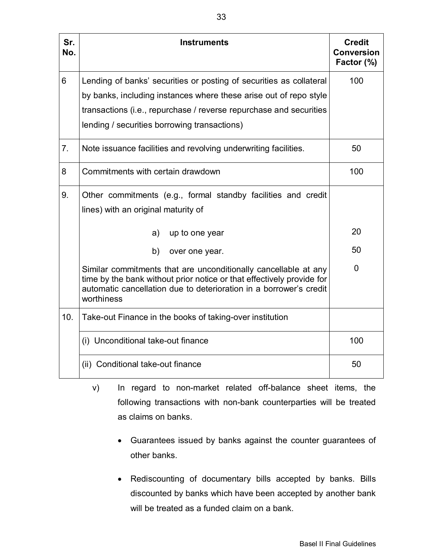| Sr.<br>No. | <b>Instruments</b>                                                                                                                                                                                                           | <b>Credit</b><br><b>Conversion</b><br>Factor (%) |
|------------|------------------------------------------------------------------------------------------------------------------------------------------------------------------------------------------------------------------------------|--------------------------------------------------|
| 6          | Lending of banks' securities or posting of securities as collateral                                                                                                                                                          | 100                                              |
|            | by banks, including instances where these arise out of repo style                                                                                                                                                            |                                                  |
|            | transactions (i.e., repurchase / reverse repurchase and securities                                                                                                                                                           |                                                  |
|            | lending / securities borrowing transactions)                                                                                                                                                                                 |                                                  |
| 7.         | Note issuance facilities and revolving underwriting facilities.                                                                                                                                                              | 50                                               |
| 8          | Commitments with certain drawdown                                                                                                                                                                                            | 100                                              |
| 9.         | Other commitments (e.g., formal standby facilities and credit                                                                                                                                                                |                                                  |
|            | lines) with an original maturity of                                                                                                                                                                                          |                                                  |
|            | up to one year<br>a)                                                                                                                                                                                                         | 20                                               |
|            | b)<br>over one year.                                                                                                                                                                                                         | 50                                               |
|            | Similar commitments that are unconditionally cancellable at any<br>time by the bank without prior notice or that effectively provide for<br>automatic cancellation due to deterioration in a borrower's credit<br>worthiness | 0                                                |
| 10.        | Take-out Finance in the books of taking-over institution                                                                                                                                                                     |                                                  |
|            | (i) Unconditional take-out finance                                                                                                                                                                                           | 100                                              |
|            | (ii) Conditional take-out finance                                                                                                                                                                                            | 50                                               |

- v) In regard to non-market related off-balance sheet items, the following transactions with non-bank counterparties will be treated as claims on banks.
	- Guarantees issued by banks against the counter guarantees of other banks.
	- Rediscounting of documentary bills accepted by banks. Bills discounted by banks which have been accepted by another bank will be treated as a funded claim on a bank.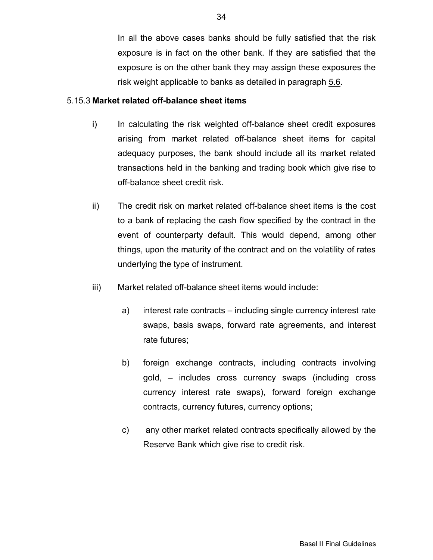In all the above cases banks should be fully satisfied that the risk exposure is in fact on the other bank. If they are satisfied that the exposure is on the other bank they may assign these exposures the risk weight applicable to banks as detailed in paragraph 5.6.

#### 5.15.3 **Market related off-balance sheet items**

- i) In calculating the risk weighted off-balance sheet credit exposures arising from market related off-balance sheet items for capital adequacy purposes, the bank should include all its market related transactions held in the banking and trading book which give rise to off-balance sheet credit risk.
- ii) The credit risk on market related off-balance sheet items is the cost to a bank of replacing the cash flow specified by the contract in the event of counterparty default. This would depend, among other things, upon the maturity of the contract and on the volatility of rates underlying the type of instrument.
- iii) Market related off-balance sheet items would include:
	- a) interest rate contracts including single currency interest rate swaps, basis swaps, forward rate agreements, and interest rate futures;
	- b) foreign exchange contracts, including contracts involving gold, – includes cross currency swaps (including cross currency interest rate swaps), forward foreign exchange contracts, currency futures, currency options;
	- c) any other market related contracts specifically allowed by the Reserve Bank which give rise to credit risk.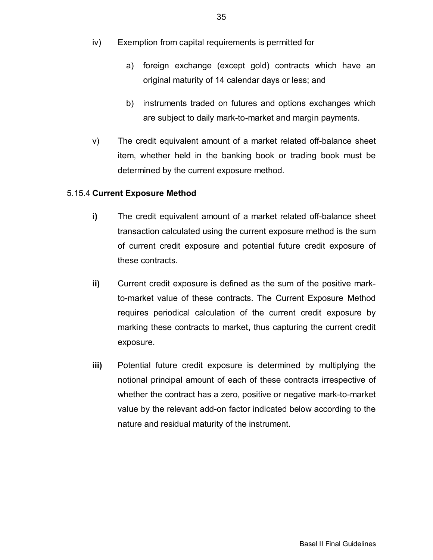- iv) Exemption from capital requirements is permitted for
	- a) foreign exchange (except gold) contracts which have an original maturity of 14 calendar days or less; and
	- b) instruments traded on futures and options exchanges which are subject to daily mark-to-market and margin payments.
- v) The credit equivalent amount of a market related off-balance sheet item, whether held in the banking book or trading book must be determined by the current exposure method.

### 5.15.4 **Current Exposure Method**

- **i)** The credit equivalent amount of a market related off-balance sheet transaction calculated using the current exposure method is the sum of current credit exposure and potential future credit exposure of these contracts.
- **ii)** Current credit exposure is defined as the sum of the positive markto-market value of these contracts. The Current Exposure Method requires periodical calculation of the current credit exposure by marking these contracts to market**,** thus capturing the current credit exposure.
- **iii)** Potential future credit exposure is determined by multiplying the notional principal amount of each of these contracts irrespective of whether the contract has a zero, positive or negative mark-to-market value by the relevant add-on factor indicated below according to the nature and residual maturity of the instrument.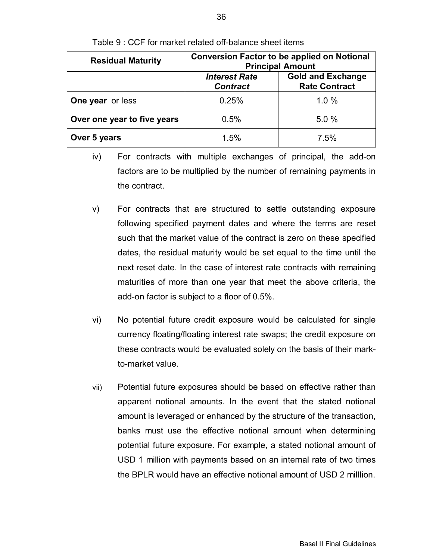| <b>Residual Maturity</b>    | <b>Conversion Factor to be applied on Notional</b><br><b>Principal Amount</b> |                                                  |  |
|-----------------------------|-------------------------------------------------------------------------------|--------------------------------------------------|--|
|                             | <b>Interest Rate</b><br><b>Contract</b>                                       | <b>Gold and Exchange</b><br><b>Rate Contract</b> |  |
| One year or less            | 0.25%                                                                         | 1.0%                                             |  |
| Over one year to five years | 0.5%                                                                          | 5.0%                                             |  |
| Over 5 years                | 1.5%                                                                          | 7.5%                                             |  |

Table 9 : CCF for market related off-balance sheet items

- iv) For contracts with multiple exchanges of principal, the add-on factors are to be multiplied by the number of remaining payments in the contract.
- v) For contracts that are structured to settle outstanding exposure following specified payment dates and where the terms are reset such that the market value of the contract is zero on these specified dates, the residual maturity would be set equal to the time until the next reset date. In the case of interest rate contracts with remaining maturities of more than one year that meet the above criteria, the add-on factor is subject to a floor of 0.5%.
- vi) No potential future credit exposure would be calculated for single currency floating/floating interest rate swaps; the credit exposure on these contracts would be evaluated solely on the basis of their markto-market value.
- vii) Potential future exposures should be based on effective rather than apparent notional amounts. In the event that the stated notional amount is leveraged or enhanced by the structure of the transaction, banks must use the effective notional amount when determining potential future exposure. For example, a stated notional amount of USD 1 million with payments based on an internal rate of two times the BPLR would have an effective notional amount of USD 2 milllion.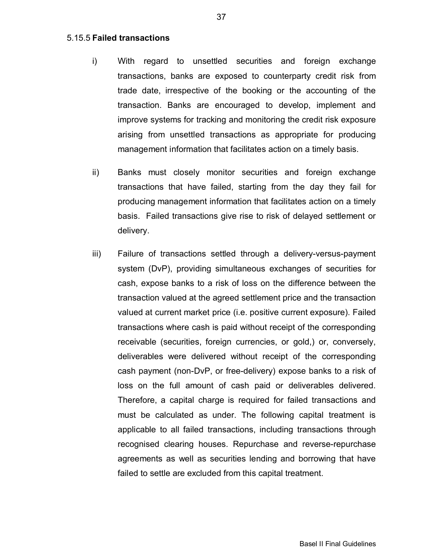#### 5.15.5 **Failed transactions**

- i) With regard to unsettled securities and foreign exchange transactions, banks are exposed to counterparty credit risk from trade date, irrespective of the booking or the accounting of the transaction. Banks are encouraged to develop, implement and improve systems for tracking and monitoring the credit risk exposure arising from unsettled transactions as appropriate for producing management information that facilitates action on a timely basis.
- ii) Banks must closely monitor securities and foreign exchange transactions that have failed, starting from the day they fail for producing management information that facilitates action on a timely basis. Failed transactions give rise to risk of delayed settlement or delivery.
- iii) Failure of transactions settled through a delivery-versus-payment system (DvP), providing simultaneous exchanges of securities for cash, expose banks to a risk of loss on the difference between the transaction valued at the agreed settlement price and the transaction valued at current market price (i.e. positive current exposure). Failed transactions where cash is paid without receipt of the corresponding receivable (securities, foreign currencies, or gold,) or, conversely, deliverables were delivered without receipt of the corresponding cash payment (non-DvP, or free-delivery) expose banks to a risk of loss on the full amount of cash paid or deliverables delivered. Therefore, a capital charge is required for failed transactions and must be calculated as under. The following capital treatment is applicable to all failed transactions, including transactions through recognised clearing houses. Repurchase and reverse-repurchase agreements as well as securities lending and borrowing that have failed to settle are excluded from this capital treatment.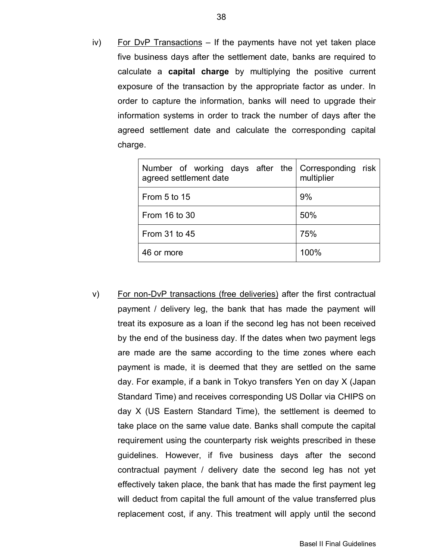iv) For DvP Transactions – If the payments have not yet taken place five business days after the settlement date, banks are required to calculate a **capital charge** by multiplying the positive current exposure of the transaction by the appropriate factor as under. In order to capture the information, banks will need to upgrade their information systems in order to track the number of days after the agreed settlement date and calculate the corresponding capital charge.

| Number of working days after the Corresponding risk<br>agreed settlement date | multiplier |  |  |
|-------------------------------------------------------------------------------|------------|--|--|
| From $5$ to $15$                                                              | 9%         |  |  |
| From 16 to 30                                                                 | 50%        |  |  |
| From 31 to 45                                                                 | 75%        |  |  |
| 46 or more                                                                    | 100%       |  |  |

v) For non-DvP transactions (free deliveries) after the first contractual payment / delivery leg, the bank that has made the payment will treat its exposure as a loan if the second leg has not been received by the end of the business day. If the dates when two payment legs are made are the same according to the time zones where each payment is made, it is deemed that they are settled on the same day. For example, if a bank in Tokyo transfers Yen on day X (Japan Standard Time) and receives corresponding US Dollar via CHIPS on day X (US Eastern Standard Time), the settlement is deemed to take place on the same value date. Banks shall compute the capital requirement using the counterparty risk weights prescribed in these guidelines. However, if five business days after the second contractual payment / delivery date the second leg has not yet effectively taken place, the bank that has made the first payment leg will deduct from capital the full amount of the value transferred plus replacement cost, if any. This treatment will apply until the second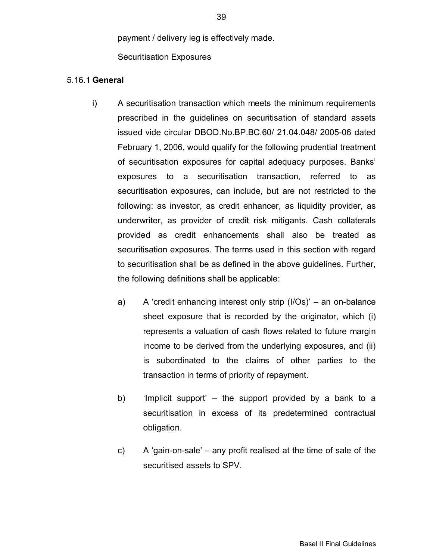payment / delivery leg is effectively made.

Securitisation Exposures

### 5.16.1 **General**

- i) A securitisation transaction which meets the minimum requirements prescribed in the guidelines on securitisation of standard assets issued vide circular DBOD.No.BP.BC.60/ 21.04.048/ 2005-06 dated February 1, 2006, would qualify for the following prudential treatment of securitisation exposures for capital adequacy purposes. Banks' exposures to a securitisation transaction, referred to as securitisation exposures, can include, but are not restricted to the following: as investor, as credit enhancer, as liquidity provider, as underwriter, as provider of credit risk mitigants. Cash collaterals provided as credit enhancements shall also be treated as securitisation exposures. The terms used in this section with regard to securitisation shall be as defined in the above guidelines. Further, the following definitions shall be applicable:
	- a) A 'credit enhancing interest only strip (I/Os)' an on-balance sheet exposure that is recorded by the originator, which (i) represents a valuation of cash flows related to future margin income to be derived from the underlying exposures, and (ii) is subordinated to the claims of other parties to the transaction in terms of priority of repayment.
	- b) 'Implicit support' the support provided by a bank to a securitisation in excess of its predetermined contractual obligation.
	- c) A 'gain-on-sale' any profit realised at the time of sale of the securitised assets to SPV.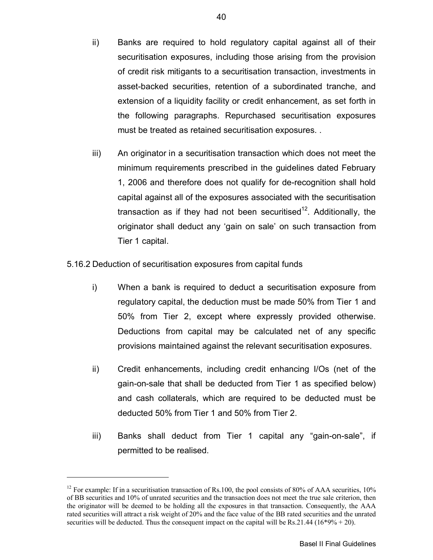- ii) Banks are required to hold regulatory capital against all of their securitisation exposures, including those arising from the provision of credit risk mitigants to a securitisation transaction, investments in asset-backed securities, retention of a subordinated tranche, and extension of a liquidity facility or credit enhancement, as set forth in the following paragraphs. Repurchased securitisation exposures must be treated as retained securitisation exposures. .
- iii) An originator in a securitisation transaction which does not meet the minimum requirements prescribed in the guidelines dated February 1, 2006 and therefore does not qualify for de-recognition shall hold capital against all of the exposures associated with the securitisation transaction as if they had not been securitised<sup>12</sup>. Additionally, the originator shall deduct any 'gain on sale' on such transaction from Tier 1 capital.
- 5.16.2 Deduction of securitisation exposures from capital funds
	- i) When a bank is required to deduct a securitisation exposure from regulatory capital, the deduction must be made 50% from Tier 1 and 50% from Tier 2, except where expressly provided otherwise. Deductions from capital may be calculated net of any specific provisions maintained against the relevant securitisation exposures.
	- ii) Credit enhancements, including credit enhancing I/Os (net of the gain-on-sale that shall be deducted from Tier 1 as specified below) and cash collaterals, which are required to be deducted must be deducted 50% from Tier 1 and 50% from Tier 2.
	- iii) Banks shall deduct from Tier 1 capital any "gain-on-sale", if permitted to be realised.

 $12$  For example: If in a securitisation transaction of Rs.100, the pool consists of 80% of AAA securities, 10% of BB securities and 10% of unrated securities and the transaction does not meet the true sale criterion, then the originator will be deemed to be holding all the exposures in that transaction. Consequently, the AAA rated securities will attract a risk weight of 20% and the face value of the BB rated securities and the unrated securities will be deducted. Thus the consequent impact on the capital will be Rs.21.44 ( $16*9\% + 20$ ).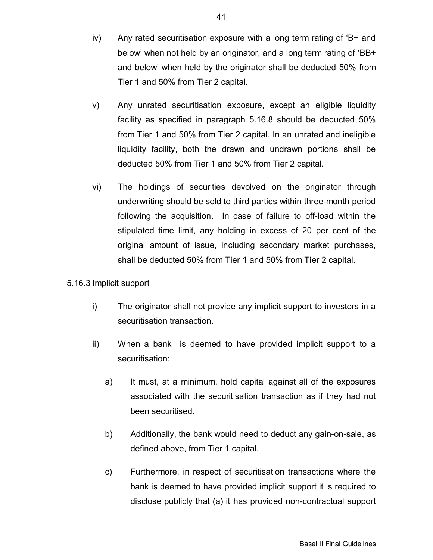- iv) Any rated securitisation exposure with a long term rating of 'B+ and below' when not held by an originator, and a long term rating of 'BB+ and below' when held by the originator shall be deducted 50% from Tier 1 and 50% from Tier 2 capital.
- v) Any unrated securitisation exposure, except an eligible liquidity facility as specified in paragraph 5.16.8 should be deducted 50% from Tier 1 and 50% from Tier 2 capital. In an unrated and ineligible liquidity facility, both the drawn and undrawn portions shall be deducted 50% from Tier 1 and 50% from Tier 2 capital.
- vi) The holdings of securities devolved on the originator through underwriting should be sold to third parties within three-month period following the acquisition. In case of failure to off-load within the stipulated time limit, any holding in excess of 20 per cent of the original amount of issue, including secondary market purchases, shall be deducted 50% from Tier 1 and 50% from Tier 2 capital.
- 5.16.3 Implicit support
	- i) The originator shall not provide any implicit support to investors in a securitisation transaction.
	- ii) When a bank is deemed to have provided implicit support to a securitisation:
		- a) It must, at a minimum, hold capital against all of the exposures associated with the securitisation transaction as if they had not been securitised.
		- b) Additionally, the bank would need to deduct any gain-on-sale, as defined above, from Tier 1 capital.
		- c) Furthermore, in respect of securitisation transactions where the bank is deemed to have provided implicit support it is required to disclose publicly that (a) it has provided non-contractual support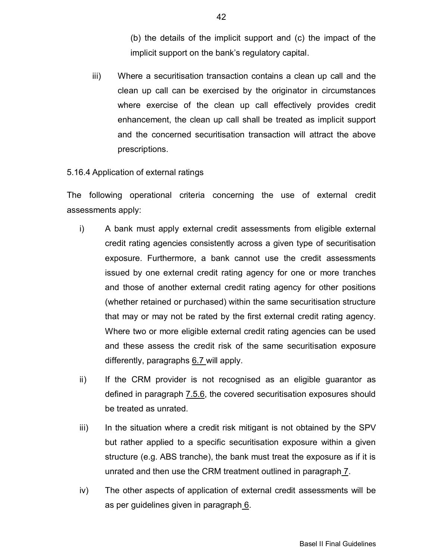(b) the details of the implicit support and (c) the impact of the implicit support on the bank's regulatory capital.

iii) Where a securitisation transaction contains a clean up call and the clean up call can be exercised by the originator in circumstances where exercise of the clean up call effectively provides credit enhancement, the clean up call shall be treated as implicit support and the concerned securitisation transaction will attract the above prescriptions.

5.16.4 Application of external ratings

The following operational criteria concerning the use of external credit assessments apply:

- i) A bank must apply external credit assessments from eligible external credit rating agencies consistently across a given type of securitisation exposure. Furthermore, a bank cannot use the credit assessments issued by one external credit rating agency for one or more tranches and those of another external credit rating agency for other positions (whether retained or purchased) within the same securitisation structure that may or may not be rated by the first external credit rating agency. Where two or more eligible external credit rating agencies can be used and these assess the credit risk of the same securitisation exposure differently, paragraphs 6.7 will apply.
- ii) If the CRM provider is not recognised as an eligible guarantor as defined in paragraph 7.5.6, the covered securitisation exposures should be treated as unrated.
- iii) In the situation where a credit risk mitigant is not obtained by the SPV but rather applied to a specific securitisation exposure within a given structure (e.g. ABS tranche), the bank must treat the exposure as if it is unrated and then use the CRM treatment outlined in paragraph 7.
- iv) The other aspects of application of external credit assessments will be as per guidelines given in paragraph 6.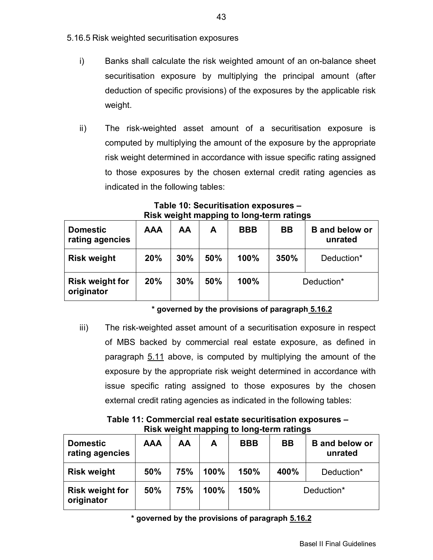- 5.16.5 Risk weighted securitisation exposures
	- i) Banks shall calculate the risk weighted amount of an on-balance sheet securitisation exposure by multiplying the principal amount (after deduction of specific provisions) of the exposures by the applicable risk weight.
	- ii) The risk-weighted asset amount of a securitisation exposure is computed by multiplying the amount of the exposure by the appropriate risk weight determined in accordance with issue specific rating assigned to those exposures by the chosen external credit rating agencies as indicated in the following tables:

| <b>Domestic</b><br>rating agencies   | <b>AAA</b> | AA  | Α   | <b>BBB</b> | <b>BB</b>  | <b>B</b> and below or<br>unrated |
|--------------------------------------|------------|-----|-----|------------|------------|----------------------------------|
| <b>Risk weight</b>                   | 20%        | 30% | 50% | 100%       | 350%       | Deduction*                       |
| <b>Risk weight for</b><br>originator | 20%        | 30% | 50% | 100%       | Deduction* |                                  |

**Table 10: Securitisation exposures – Risk weight mapping to long-term ratings**

# **\* governed by the provisions of paragraph 5.16.2**

iii) The risk-weighted asset amount of a securitisation exposure in respect of MBS backed by commercial real estate exposure, as defined in paragraph 5.11 above, is computed by multiplying the amount of the exposure by the appropriate risk weight determined in accordance with issue specific rating assigned to those exposures by the chosen external credit rating agencies as indicated in the following tables:

| <b>Domestic</b><br>rating agencies   | <b>AAA</b> | AA  | Α    | <b>BBB</b> | <b>BB</b>  | <b>B</b> and below or<br>unrated |
|--------------------------------------|------------|-----|------|------------|------------|----------------------------------|
| <b>Risk weight</b>                   | 50%        | 75% | 100% | 150%       | 400%       | Deduction*                       |
| <b>Risk weight for</b><br>originator | 50%        | 75% | 100% | 150%       | Deduction* |                                  |

**Table 11: Commercial real estate securitisation exposures – Risk weight mapping to long-term ratings**

**\* governed by the provisions of paragraph 5.16.2**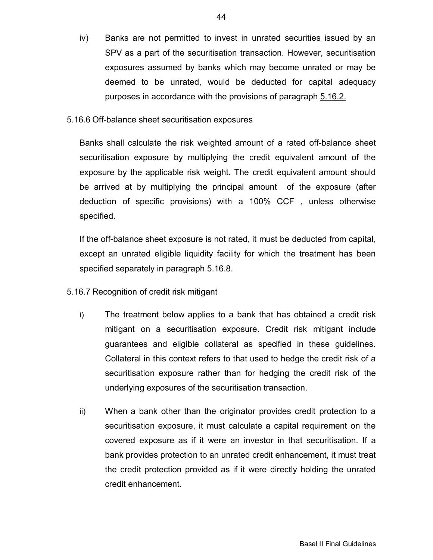- iv) Banks are not permitted to invest in unrated securities issued by an SPV as a part of the securitisation transaction. However, securitisation exposures assumed by banks which may become unrated or may be deemed to be unrated, would be deducted for capital adequacy purposes in accordance with the provisions of paragraph 5.16.2.
- 5.16.6 Off-balance sheet securitisation exposures

Banks shall calculate the risk weighted amount of a rated off-balance sheet securitisation exposure by multiplying the credit equivalent amount of the exposure by the applicable risk weight. The credit equivalent amount should be arrived at by multiplying the principal amount of the exposure (after deduction of specific provisions) with a 100% CCF , unless otherwise specified.

If the off-balance sheet exposure is not rated, it must be deducted from capital, except an unrated eligible liquidity facility for which the treatment has been specified separately in paragraph 5.16.8.

- 5.16.7 Recognition of credit risk mitigant
	- i) The treatment below applies to a bank that has obtained a credit risk mitigant on a securitisation exposure. Credit risk mitigant include guarantees and eligible collateral as specified in these guidelines. Collateral in this context refers to that used to hedge the credit risk of a securitisation exposure rather than for hedging the credit risk of the underlying exposures of the securitisation transaction.
	- ii) When a bank other than the originator provides credit protection to a securitisation exposure, it must calculate a capital requirement on the covered exposure as if it were an investor in that securitisation. If a bank provides protection to an unrated credit enhancement, it must treat the credit protection provided as if it were directly holding the unrated credit enhancement.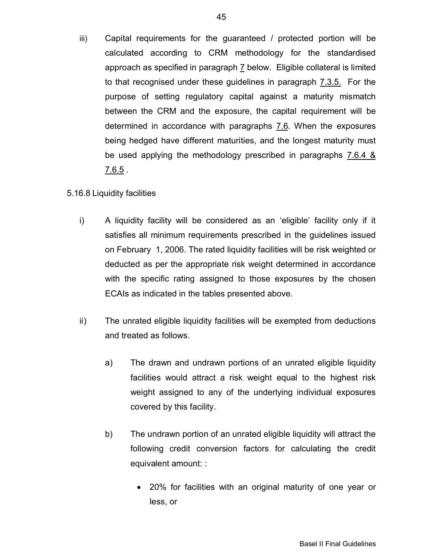iii) Capital requirements for the guaranteed / protected portion will be calculated according to CRM methodology for the standardised approach as specified in paragraph 7 below. Eligible collateral is limited to that recognised under these guidelines in paragraph 7.3.5. For the purpose of setting regulatory capital against a maturity mismatch between the CRM and the exposure, the capital requirement will be determined in accordance with paragraphs 7.6. When the exposures being hedged have different maturities, and the longest maturity must be used applying the methodology prescribed in paragraphs 7.6.4 &  $7.6.5$  .

### 5.16.8 Liquidity facilities

- i) A liquidity facility will be considered as an 'eligible' facility only if it satisfies all minimum requirements prescribed in the guidelines issued on February 1, 2006. The rated liquidity facilities will be risk weighted or deducted as per the appropriate risk weight determined in accordance with the specific rating assigned to those exposures by the chosen ECAIs as indicated in the tables presented above.
- ii) The unrated eligible liquidity facilities will be exempted from deductions and treated as follows.
	- a) The drawn and undrawn portions of an unrated eligible liquidity facilities would attract a risk weight equal to the highest risk weight assigned to any of the underlying individual exposures covered by this facility.
	- b) The undrawn portion of an unrated eligible liquidity will attract the following credit conversion factors for calculating the credit equivalent amount: :
		- 20% for facilities with an original maturity of one year or less, or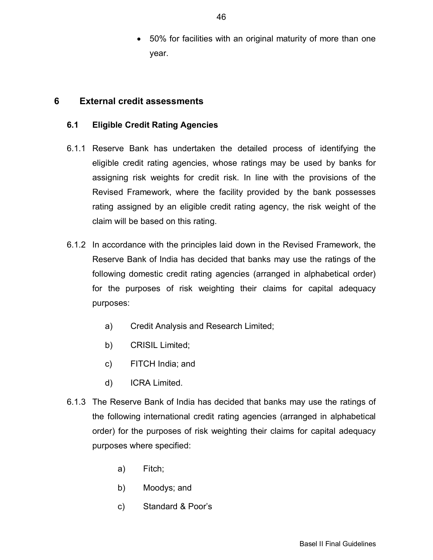50% for facilities with an original maturity of more than one year.

# **6 External credit assessments**

## **6.1 Eligible Credit Rating Agencies**

- 6.1.1 Reserve Bank has undertaken the detailed process of identifying the eligible credit rating agencies, whose ratings may be used by banks for assigning risk weights for credit risk. In line with the provisions of the Revised Framework, where the facility provided by the bank possesses rating assigned by an eligible credit rating agency, the risk weight of the claim will be based on this rating.
- 6.1.2 In accordance with the principles laid down in the Revised Framework, the Reserve Bank of India has decided that banks may use the ratings of the following domestic credit rating agencies (arranged in alphabetical order) for the purposes of risk weighting their claims for capital adequacy purposes:
	- a) Credit Analysis and Research Limited;
	- b) CRISIL Limited;
	- c) FITCH India; and
	- d) ICRA Limited.
- 6.1.3 The Reserve Bank of India has decided that banks may use the ratings of the following international credit rating agencies (arranged in alphabetical order) for the purposes of risk weighting their claims for capital adequacy purposes where specified:
	- a) Fitch;
	- b) Moodys; and
	- c) Standard & Poor's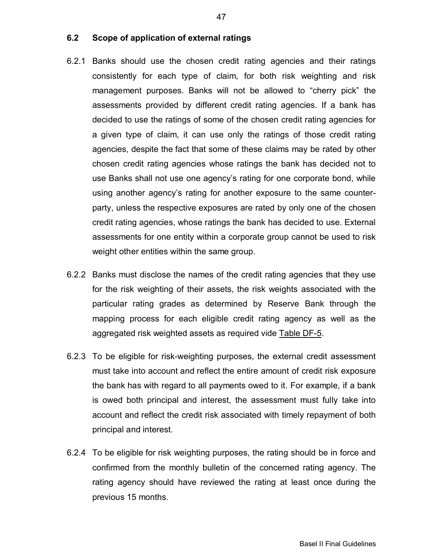#### **6.2 Scope of application of external ratings**

- 6.2.1 Banks should use the chosen credit rating agencies and their ratings consistently for each type of claim, for both risk weighting and risk management purposes. Banks will not be allowed to "cherry pick" the assessments provided by different credit rating agencies. If a bank has decided to use the ratings of some of the chosen credit rating agencies for a given type of claim, it can use only the ratings of those credit rating agencies, despite the fact that some of these claims may be rated by other chosen credit rating agencies whose ratings the bank has decided not to use Banks shall not use one agency's rating for one corporate bond, while using another agency's rating for another exposure to the same counterparty, unless the respective exposures are rated by only one of the chosen credit rating agencies, whose ratings the bank has decided to use. External assessments for one entity within a corporate group cannot be used to risk weight other entities within the same group.
- 6.2.2 Banks must disclose the names of the credit rating agencies that they use for the risk weighting of their assets, the risk weights associated with the particular rating grades as determined by Reserve Bank through the mapping process for each eligible credit rating agency as well as the aggregated risk weighted assets as required vide Table DF-5.
- 6.2.3 To be eligible for risk-weighting purposes, the external credit assessment must take into account and reflect the entire amount of credit risk exposure the bank has with regard to all payments owed to it. For example, if a bank is owed both principal and interest, the assessment must fully take into account and reflect the credit risk associated with timely repayment of both principal and interest.
- 6.2.4 To be eligible for risk weighting purposes, the rating should be in force and confirmed from the monthly bulletin of the concerned rating agency. The rating agency should have reviewed the rating at least once during the previous 15 months.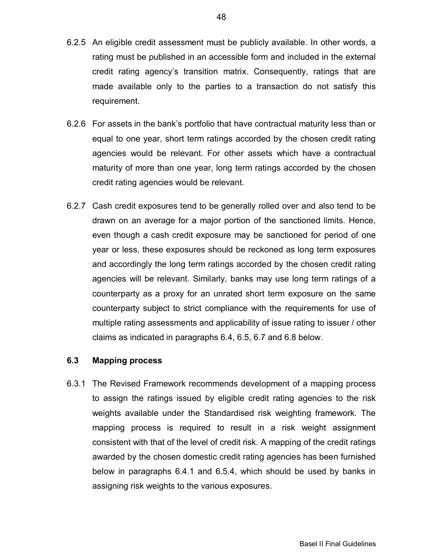- 6.2.5 An eligible credit assessment must be publicly available. In other words, a rating must be published in an accessible form and included in the external credit rating agency's transition matrix. Consequently, ratings that are made available only to the parties to a transaction do not satisfy this requirement.
- 6.2.6 For assets in the bank's portfolio that have contractual maturity less than or equal to one year, short term ratings accorded by the chosen credit rating agencies would be relevant. For other assets which have a contractual maturity of more than one year, long term ratings accorded by the chosen credit rating agencies would be relevant.
- 6.2.7 Cash credit exposures tend to be generally rolled over and also tend to be drawn on an average for a major portion of the sanctioned limits. Hence, even though a cash credit exposure may be sanctioned for period of one year or less, these exposures should be reckoned as long term exposures and accordingly the long term ratings accorded by the chosen credit rating agencies will be relevant. Similarly, banks may use long term ratings of a counterparty as a proxy for an unrated short term exposure on the same counterparty subject to strict compliance with the requirements for use of multiple rating assessments and applicability of issue rating to issuer / other claims as indicated in paragraphs 6.4, 6.5, 6.7 and 6.8 below.

### **6.3 Mapping process**

6.3.1 The Revised Framework recommends development of a mapping process to assign the ratings issued by eligible credit rating agencies to the risk weights available under the Standardised risk weighting framework. The mapping process is required to result in a risk weight assignment consistent with that of the level of credit risk. A mapping of the credit ratings awarded by the chosen domestic credit rating agencies has been furnished below in paragraphs 6.4.1 and 6.5.4, which should be used by banks in assigning risk weights to the various exposures.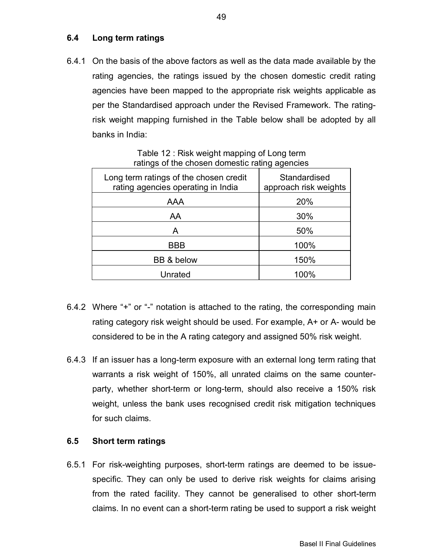### **6.4 Long term ratings**

6.4.1 On the basis of the above factors as well as the data made available by the rating agencies, the ratings issued by the chosen domestic credit rating agencies have been mapped to the appropriate risk weights applicable as per the Standardised approach under the Revised Framework. The ratingrisk weight mapping furnished in the Table below shall be adopted by all banks in India:

| Long term ratings of the chosen credit<br>rating agencies operating in India | Standardised<br>approach risk weights |
|------------------------------------------------------------------------------|---------------------------------------|
| AAA                                                                          | 20%                                   |
| AA                                                                           | 30%                                   |
| A                                                                            | 50%                                   |
| <b>BBB</b>                                                                   | 100%                                  |
| <b>BB &amp; below</b>                                                        | 150%                                  |
| Unrated                                                                      | 100%                                  |

Table 12 : Risk weight mapping of Long term ratings of the chosen domestic rating agencies

- 6.4.2 Where "+" or "-" notation is attached to the rating, the corresponding main rating category risk weight should be used. For example, A+ or A- would be considered to be in the A rating category and assigned 50% risk weight.
- 6.4.3 If an issuer has a long-term exposure with an external long term rating that warrants a risk weight of 150%, all unrated claims on the same counterparty, whether short-term or long-term, should also receive a 150% risk weight, unless the bank uses recognised credit risk mitigation techniques for such claims.

### **6.5 Short term ratings**

6.5.1 For risk-weighting purposes, short-term ratings are deemed to be issuespecific. They can only be used to derive risk weights for claims arising from the rated facility. They cannot be generalised to other short-term claims. In no event can a short-term rating be used to support a risk weight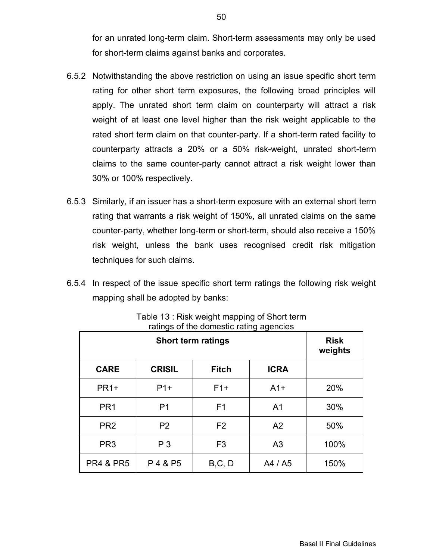for an unrated long-term claim. Short-term assessments may only be used for short-term claims against banks and corporates.

- 6.5.2 Notwithstanding the above restriction on using an issue specific short term rating for other short term exposures, the following broad principles will apply. The unrated short term claim on counterparty will attract a risk weight of at least one level higher than the risk weight applicable to the rated short term claim on that counter-party. If a short-term rated facility to counterparty attracts a 20% or a 50% risk-weight, unrated short-term claims to the same counter-party cannot attract a risk weight lower than 30% or 100% respectively.
- 6.5.3 Similarly, if an issuer has a short-term exposure with an external short term rating that warrants a risk weight of 150%, all unrated claims on the same counter-party, whether long-term or short-term, should also receive a 150% risk weight, unless the bank uses recognised credit risk mitigation techniques for such claims.
- 6.5.4 In respect of the issue specific short term ratings the following risk weight mapping shall be adopted by banks:

|                      | <b>Risk</b><br>weights |                |                |      |
|----------------------|------------------------|----------------|----------------|------|
| <b>CARE</b>          | <b>CRISIL</b>          | <b>Fitch</b>   | <b>ICRA</b>    |      |
| PR <sub>1+</sub>     | $P1+$                  | $F1+$          | $A1+$          | 20%  |
| PR <sub>1</sub>      | P <sub>1</sub>         | F <sub>1</sub> | A <sub>1</sub> | 30%  |
| PR <sub>2</sub>      | P <sub>2</sub>         | F <sub>2</sub> | A <sub>2</sub> | 50%  |
| PR <sub>3</sub>      | P <sub>3</sub>         | F <sub>3</sub> | A <sub>3</sub> | 100% |
| <b>PR4 &amp; PR5</b> | P 4 & P5               | B, C, D        | A4 / A5        | 150% |

Table 13 : Risk weight mapping of Short term ratings of the domestic rating agencies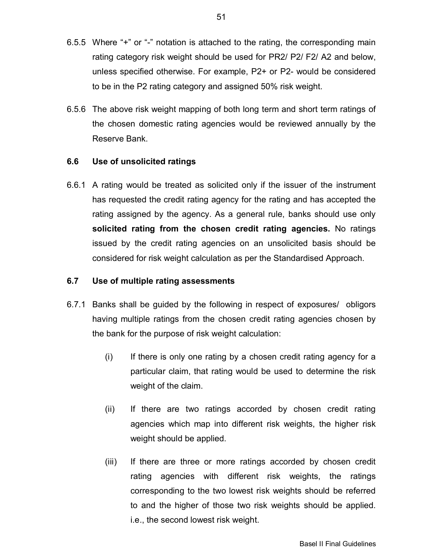- 6.5.5 Where "+" or "-" notation is attached to the rating, the corresponding main rating category risk weight should be used for PR2/ P2/ F2/ A2 and below, unless specified otherwise. For example, P2+ or P2- would be considered to be in the P2 rating category and assigned 50% risk weight.
- 6.5.6 The above risk weight mapping of both long term and short term ratings of the chosen domestic rating agencies would be reviewed annually by the Reserve Bank.

### **6.6 Use of unsolicited ratings**

6.6.1 A rating would be treated as solicited only if the issuer of the instrument has requested the credit rating agency for the rating and has accepted the rating assigned by the agency. As a general rule, banks should use only **solicited rating from the chosen credit rating agencies.** No ratings issued by the credit rating agencies on an unsolicited basis should be considered for risk weight calculation as per the Standardised Approach.

### **6.7 Use of multiple rating assessments**

- 6.7.1 Banks shall be guided by the following in respect of exposures/ obligors having multiple ratings from the chosen credit rating agencies chosen by the bank for the purpose of risk weight calculation:
	- (i) If there is only one rating by a chosen credit rating agency for a particular claim, that rating would be used to determine the risk weight of the claim.
	- (ii) If there are two ratings accorded by chosen credit rating agencies which map into different risk weights, the higher risk weight should be applied.
	- (iii) If there are three or more ratings accorded by chosen credit rating agencies with different risk weights, the ratings corresponding to the two lowest risk weights should be referred to and the higher of those two risk weights should be applied. i.e., the second lowest risk weight.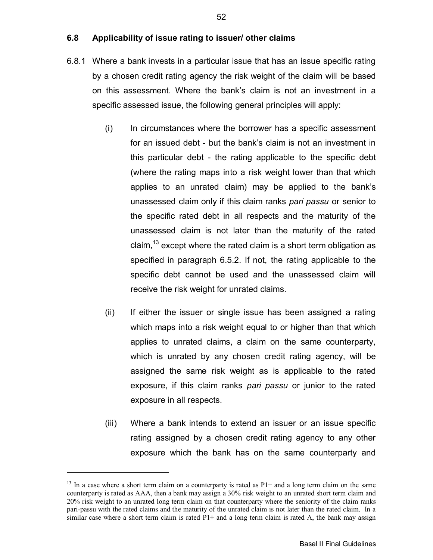#### **6.8 Applicability of issue rating to issuer/ other claims**

- 6.8.1 Where a bank invests in a particular issue that has an issue specific rating by a chosen credit rating agency the risk weight of the claim will be based on this assessment. Where the bank's claim is not an investment in a specific assessed issue, the following general principles will apply:
	- (i) In circumstances where the borrower has a specific assessment for an issued debt - but the bank's claim is not an investment in this particular debt - the rating applicable to the specific debt (where the rating maps into a risk weight lower than that which applies to an unrated claim) may be applied to the bank's unassessed claim only if this claim ranks *pari passu* or senior to the specific rated debt in all respects and the maturity of the unassessed claim is not later than the maturity of the rated claim,  $13$  except where the rated claim is a short term obligation as specified in paragraph 6.5.2. If not, the rating applicable to the specific debt cannot be used and the unassessed claim will receive the risk weight for unrated claims.
	- (ii) If either the issuer or single issue has been assigned a rating which maps into a risk weight equal to or higher than that which applies to unrated claims, a claim on the same counterparty, which is unrated by any chosen credit rating agency, will be assigned the same risk weight as is applicable to the rated exposure, if this claim ranks *pari passu* or junior to the rated exposure in all respects.
	- (iii) Where a bank intends to extend an issuer or an issue specific rating assigned by a chosen credit rating agency to any other exposure which the bank has on the same counterparty and

 $13$  In a case where a short term claim on a counterparty is rated as P1+ and a long term claim on the same counterparty is rated as AAA, then a bank may assign a 30% risk weight to an unrated short term claim and 20% risk weight to an unrated long term claim on that counterparty where the seniority of the claim ranks pari-passu with the rated claims and the maturity of the unrated claim is not later than the rated claim. In a similar case where a short term claim is rated  $P1+$  and a long term claim is rated A, the bank may assign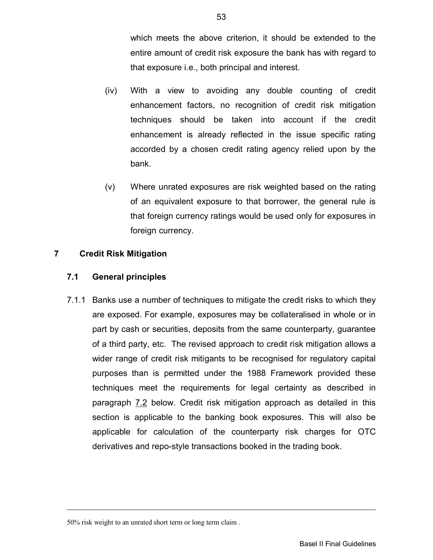which meets the above criterion, it should be extended to the entire amount of credit risk exposure the bank has with regard to that exposure i.e., both principal and interest.

- (iv) With a view to avoiding any double counting of credit enhancement factors, no recognition of credit risk mitigation techniques should be taken into account if the credit enhancement is already reflected in the issue specific rating accorded by a chosen credit rating agency relied upon by the bank.
- (v) Where unrated exposures are risk weighted based on the rating of an equivalent exposure to that borrower, the general rule is that foreign currency ratings would be used only for exposures in foreign currency.

## **7 Credit Risk Mitigation**

## **7.1 General principles**

7.1.1 Banks use a number of techniques to mitigate the credit risks to which they are exposed. For example, exposures may be collateralised in whole or in part by cash or securities, deposits from the same counterparty, guarantee of a third party, etc. The revised approach to credit risk mitigation allows a wider range of credit risk mitigants to be recognised for regulatory capital purposes than is permitted under the 1988 Framework provided these techniques meet the requirements for legal certainty as described in paragraph 7.2 below. Credit risk mitigation approach as detailed in this section is applicable to the banking book exposures. This will also be applicable for calculation of the counterparty risk charges for OTC derivatives and repo-style transactions booked in the trading book.

l

53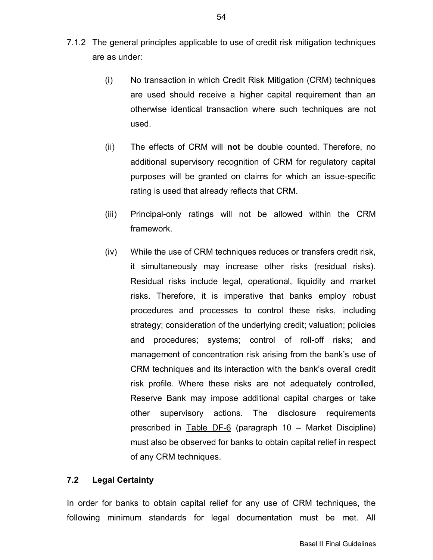- 7.1.2 The general principles applicable to use of credit risk mitigation techniques are as under:
	- (i) No transaction in which Credit Risk Mitigation (CRM) techniques are used should receive a higher capital requirement than an otherwise identical transaction where such techniques are not used.
	- (ii) The effects of CRM will **not** be double counted. Therefore, no additional supervisory recognition of CRM for regulatory capital purposes will be granted on claims for which an issue-specific rating is used that already reflects that CRM.
	- (iii) Principal-only ratings will not be allowed within the CRM framework.
	- (iv) While the use of CRM techniques reduces or transfers credit risk, it simultaneously may increase other risks (residual risks). Residual risks include legal, operational, liquidity and market risks. Therefore, it is imperative that banks employ robust procedures and processes to control these risks, including strategy; consideration of the underlying credit; valuation; policies and procedures; systems; control of roll-off risks; and management of concentration risk arising from the bank's use of CRM techniques and its interaction with the bank's overall credit risk profile. Where these risks are not adequately controlled, Reserve Bank may impose additional capital charges or take other supervisory actions. The disclosure requirements prescribed in Table DF-6 (paragraph 10 – Market Discipline) must also be observed for banks to obtain capital relief in respect of any CRM techniques.

#### **7.2 Legal Certainty**

In order for banks to obtain capital relief for any use of CRM techniques, the following minimum standards for legal documentation must be met. All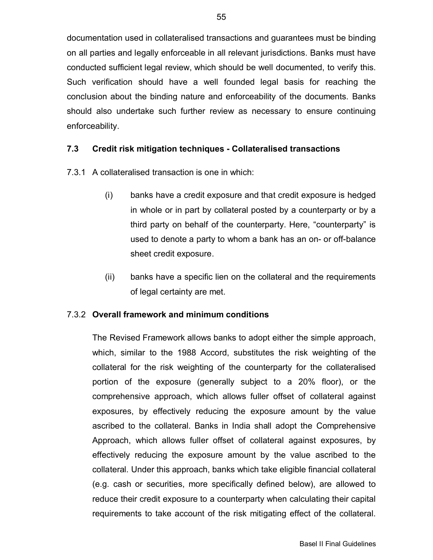documentation used in collateralised transactions and guarantees must be binding on all parties and legally enforceable in all relevant jurisdictions. Banks must have conducted sufficient legal review, which should be well documented, to verify this. Such verification should have a well founded legal basis for reaching the conclusion about the binding nature and enforceability of the documents. Banks should also undertake such further review as necessary to ensure continuing enforceability.

## **7.3 Credit risk mitigation techniques - Collateralised transactions**

- 7.3.1 A collateralised transaction is one in which:
	- (i) banks have a credit exposure and that credit exposure is hedged in whole or in part by collateral posted by a counterparty or by a third party on behalf of the counterparty. Here, "counterparty" is used to denote a party to whom a bank has an on- or off-balance sheet credit exposure.
	- (ii) banks have a specific lien on the collateral and the requirements of legal certainty are met.

### 7.3.2 **Overall framework and minimum conditions**

The Revised Framework allows banks to adopt either the simple approach, which, similar to the 1988 Accord, substitutes the risk weighting of the collateral for the risk weighting of the counterparty for the collateralised portion of the exposure (generally subject to a 20% floor), or the comprehensive approach, which allows fuller offset of collateral against exposures, by effectively reducing the exposure amount by the value ascribed to the collateral. Banks in India shall adopt the Comprehensive Approach, which allows fuller offset of collateral against exposures, by effectively reducing the exposure amount by the value ascribed to the collateral. Under this approach, banks which take eligible financial collateral (e.g. cash or securities, more specifically defined below), are allowed to reduce their credit exposure to a counterparty when calculating their capital requirements to take account of the risk mitigating effect of the collateral.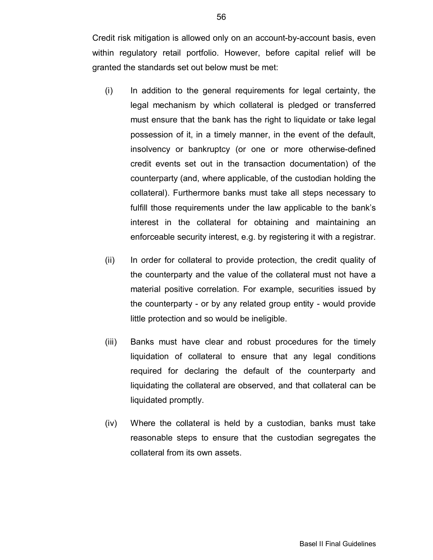Credit risk mitigation is allowed only on an account-by-account basis, even within regulatory retail portfolio. However, before capital relief will be granted the standards set out below must be met:

- (i) In addition to the general requirements for legal certainty, the legal mechanism by which collateral is pledged or transferred must ensure that the bank has the right to liquidate or take legal possession of it, in a timely manner, in the event of the default, insolvency or bankruptcy (or one or more otherwise-defined credit events set out in the transaction documentation) of the counterparty (and, where applicable, of the custodian holding the collateral). Furthermore banks must take all steps necessary to fulfill those requirements under the law applicable to the bank's interest in the collateral for obtaining and maintaining an enforceable security interest, e.g. by registering it with a registrar.
- (ii) In order for collateral to provide protection, the credit quality of the counterparty and the value of the collateral must not have a material positive correlation. For example, securities issued by the counterparty - or by any related group entity - would provide little protection and so would be ineligible.
- (iii) Banks must have clear and robust procedures for the timely liquidation of collateral to ensure that any legal conditions required for declaring the default of the counterparty and liquidating the collateral are observed, and that collateral can be liquidated promptly.
- (iv) Where the collateral is held by a custodian, banks must take reasonable steps to ensure that the custodian segregates the collateral from its own assets.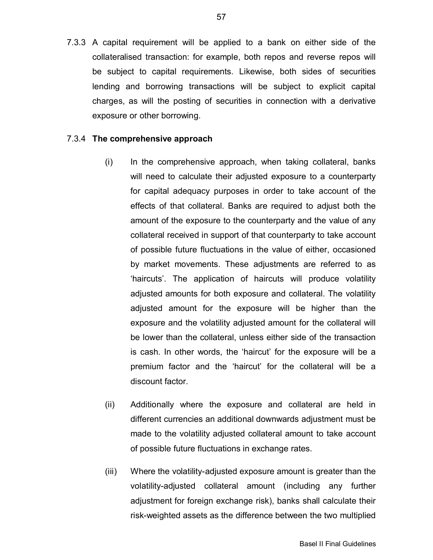7.3.3 A capital requirement will be applied to a bank on either side of the collateralised transaction: for example, both repos and reverse repos will be subject to capital requirements. Likewise, both sides of securities lending and borrowing transactions will be subject to explicit capital charges, as will the posting of securities in connection with a derivative exposure or other borrowing.

#### 7.3.4 **The comprehensive approach**

- (i) In the comprehensive approach, when taking collateral, banks will need to calculate their adjusted exposure to a counterparty for capital adequacy purposes in order to take account of the effects of that collateral. Banks are required to adjust both the amount of the exposure to the counterparty and the value of any collateral received in support of that counterparty to take account of possible future fluctuations in the value of either, occasioned by market movements. These adjustments are referred to as 'haircuts'. The application of haircuts will produce volatility adjusted amounts for both exposure and collateral. The volatility adjusted amount for the exposure will be higher than the exposure and the volatility adjusted amount for the collateral will be lower than the collateral, unless either side of the transaction is cash. In other words, the 'haircut' for the exposure will be a premium factor and the 'haircut' for the collateral will be a discount factor.
- (ii) Additionally where the exposure and collateral are held in different currencies an additional downwards adjustment must be made to the volatility adjusted collateral amount to take account of possible future fluctuations in exchange rates.
- (iii) Where the volatility-adjusted exposure amount is greater than the volatility-adjusted collateral amount (including any further adjustment for foreign exchange risk), banks shall calculate their risk-weighted assets as the difference between the two multiplied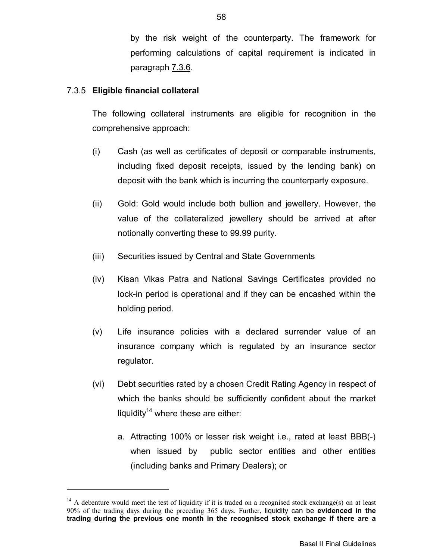by the risk weight of the counterparty. The framework for performing calculations of capital requirement is indicated in paragraph 7.3.6.

# 7.3.5 **Eligible financial collateral**

l

The following collateral instruments are eligible for recognition in the comprehensive approach:

- (i) Cash (as well as certificates of deposit or comparable instruments, including fixed deposit receipts, issued by the lending bank) on deposit with the bank which is incurring the counterparty exposure.
- (ii) Gold: Gold would include both bullion and jewellery. However, the value of the collateralized jewellery should be arrived at after notionally converting these to 99.99 purity.
- (iii) Securities issued by Central and State Governments
- (iv) Kisan Vikas Patra and National Savings Certificates provided no lock-in period is operational and if they can be encashed within the holding period.
- (v) Life insurance policies with a declared surrender value of an insurance company which is regulated by an insurance sector regulator.
- (vi) Debt securities rated by a chosen Credit Rating Agency in respect of which the banks should be sufficiently confident about the market liquidity<sup>14</sup> where these are either:
	- a. Attracting 100% or lesser risk weight i.e., rated at least BBB(-) when issued by public sector entities and other entities (including banks and Primary Dealers); or

<sup>&</sup>lt;sup>14</sup> A debenture would meet the test of liquidity if it is traded on a recognised stock exchange(s) on at least 90% of the trading days during the preceding 365 days. Further, liquidity can be **evidenced in the trading during the previous one month in the recognised stock exchange if there are a**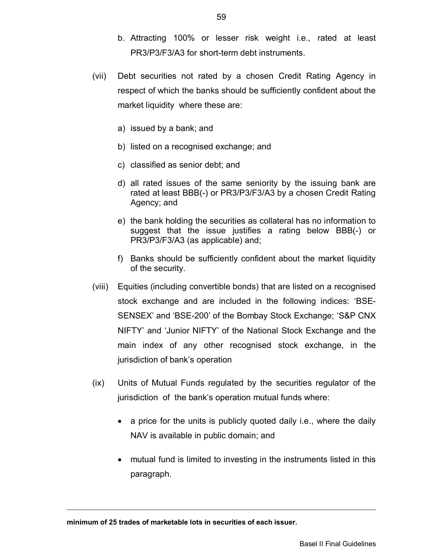- b. Attracting 100% or lesser risk weight i.e., rated at least PR3/P3/F3/A3 for short-term debt instruments.
- (vii) Debt securities not rated by a chosen Credit Rating Agency in respect of which the banks should be sufficiently confident about the market liquidity where these are:
	- a) issued by a bank; and
	- b) listed on a recognised exchange; and
	- c) classified as senior debt; and
	- d) all rated issues of the same seniority by the issuing bank are rated at least BBB(-) or PR3/P3/F3/A3 by a chosen Credit Rating Agency; and
	- e) the bank holding the securities as collateral has no information to suggest that the issue justifies a rating below BBB(-) or PR3/P3/F3/A3 (as applicable) and;
	- f) Banks should be sufficiently confident about the market liquidity of the security.
- (viii) Equities (including convertible bonds) that are listed on a recognised stock exchange and are included in the following indices: 'BSE-SENSEX' and 'BSE-200' of the Bombay Stock Exchange; 'S&P CNX NIFTY' and 'Junior NIFTY' of the National Stock Exchange and the main index of any other recognised stock exchange, in the jurisdiction of bank's operation
- (ix) Units of Mutual Funds regulated by the securities regulator of the jurisdiction of the bank's operation mutual funds where:
	- a price for the units is publicly quoted daily i.e., where the daily NAV is available in public domain; and
	- mutual fund is limited to investing in the instruments listed in this paragraph.

**minimum of 25 trades of marketable lots in securities of each issuer.**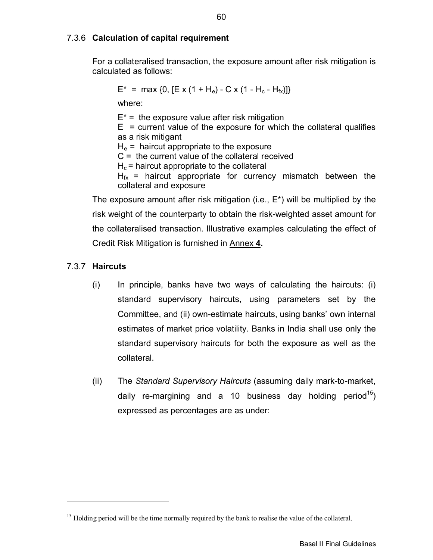# 7.3.6 **Calculation of capital requirement**

For a collateralised transaction, the exposure amount after risk mitigation is calculated as follows:

$$
E^* = \max \{0, [E \times (1 + H_e) - C \times (1 - H_c - H_{fx})]\}
$$
\nwhere:\n $E^* =$  the exposure value after risk mitigation\n $E =$  current value of the exposure for which the collateral qualities\nas a risk mitigant\n $H_e =$  haircut appropriate to the exposure\n $C =$  the current value of the collateral received\n $H_c =$  haircut appropriate to the collateral\n $H_{fx} =$  haircut appropriate for currency mismatch between the collateral and exposure

The exposure amount after risk mitigation (i.e., E\*) will be multiplied by the risk weight of the counterparty to obtain the risk-weighted asset amount for the collateralised transaction. Illustrative examples calculating the effect of Credit Risk Mitigation is furnished in Annex **4.**

# 7.3.7 **Haircuts**

- (i) In principle, banks have two ways of calculating the haircuts: (i) standard supervisory haircuts, using parameters set by the Committee, and (ii) own-estimate haircuts, using banks' own internal estimates of market price volatility. Banks in India shall use only the standard supervisory haircuts for both the exposure as well as the collateral.
- (ii) The *Standard Supervisory Haircuts* (assuming daily mark-to-market, daily re-margining and a 10 business day holding period<sup>15</sup>) expressed as percentages are as under:

<sup>&</sup>lt;sup>15</sup> Holding period will be the time normally required by the bank to realise the value of the collateral.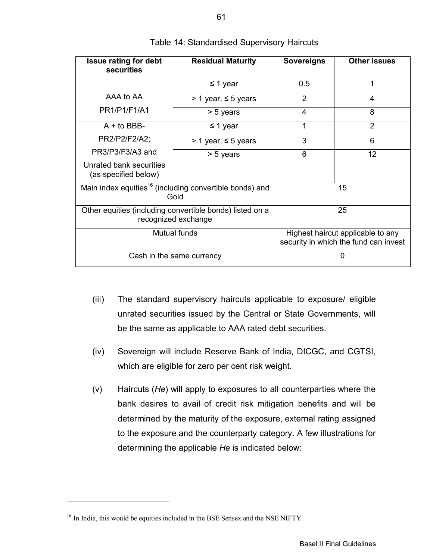| <b>Issue rating for debt</b><br><b>securities</b> | <b>Residual Maturity</b>                                                        | <b>Sovereigns</b>   | <b>Other issues</b>                                                        |
|---------------------------------------------------|---------------------------------------------------------------------------------|---------------------|----------------------------------------------------------------------------|
|                                                   | $\leq$ 1 year                                                                   | 0.5                 | 1                                                                          |
| AAA to AA                                         | $> 1$ year, $\leq 5$ years                                                      | 2                   | 4                                                                          |
| <b>PR1/P1/F1/A1</b>                               | > 5 years                                                                       | 8<br>$\overline{4}$ |                                                                            |
| $A + to BBB -$                                    | $\leq$ 1 year                                                                   | 1                   | $\overline{2}$                                                             |
| PR2/P2/F2/A2;                                     | $> 1$ year, $\leq 5$ years                                                      | 3<br>6              |                                                                            |
| PR3/P3/F3/A3 and                                  | $> 5$ years                                                                     | 6                   | 12                                                                         |
| Unrated bank securities<br>(as specified below)   |                                                                                 |                     |                                                                            |
|                                                   | Main index equities <sup>16</sup> (including convertible bonds) and<br>Gold     |                     | 15                                                                         |
|                                                   | Other equities (including convertible bonds) listed on a<br>recognized exchange |                     | 25                                                                         |
|                                                   | Mutual funds                                                                    |                     | Highest haircut applicable to any<br>security in which the fund can invest |
|                                                   | Cash in the same currency                                                       |                     | 0                                                                          |

#### Table 14: Standardised Supervisory Haircuts

- (iii) The standard supervisory haircuts applicable to exposure/ eligible unrated securities issued by the Central or State Governments, will be the same as applicable to AAA rated debt securities.
- (iv) Sovereign will include Reserve Bank of India, DICGC, and CGTSI, which are eligible for zero per cent risk weight.
- (v) Haircuts (*He*) will apply to exposures to all counterparties where the bank desires to avail of credit risk mitigation benefits and will be determined by the maturity of the exposure, external rating assigned to the exposure and the counterparty category. A few illustrations for determining the applicable *He* is indicated below:

<sup>&</sup>lt;sup>16</sup> In India, this would be equities included in the BSE Sensex and the NSE NIFTY.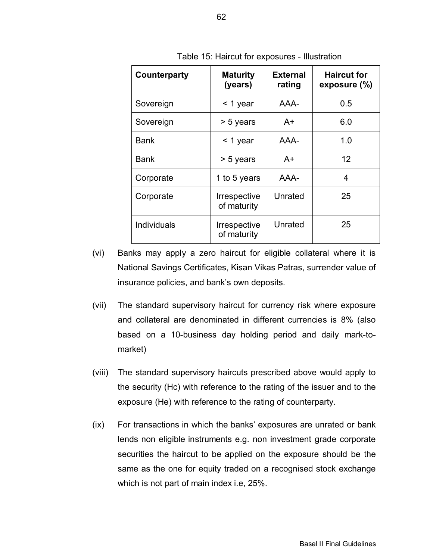| Counterparty                                             | <b>External</b><br><b>Maturity</b><br>(years)<br>rating |         | <b>Haircut for</b><br>exposure $(\%)$ |  |
|----------------------------------------------------------|---------------------------------------------------------|---------|---------------------------------------|--|
| Sovereign                                                | $<$ 1 year                                              | AAA-    | 0.5                                   |  |
| Sovereign                                                | $> 5$ years                                             | A+      | 6.0                                   |  |
| <b>Bank</b>                                              | $<$ 1 year                                              | AAA-    | 1.0                                   |  |
| <b>Bank</b>                                              | > 5 years                                               | $A+$    | 12                                    |  |
| Corporate                                                | 1 to 5 years                                            | AAA-    | 4                                     |  |
| Corporate<br><b>Irrespective</b><br>of maturity          |                                                         | Unrated | 25                                    |  |
| <b>Individuals</b><br><b>Irrespective</b><br>of maturity |                                                         | Unrated | 25                                    |  |

Table 15: Haircut for exposures - Illustration

- (vi) Banks may apply a zero haircut for eligible collateral where it is National Savings Certificates, Kisan Vikas Patras, surrender value of insurance policies, and bank's own deposits.
- (vii) The standard supervisory haircut for currency risk where exposure and collateral are denominated in different currencies is 8% (also based on a 10-business day holding period and daily mark-tomarket)
- (viii) The standard supervisory haircuts prescribed above would apply to the security (Hc) with reference to the rating of the issuer and to the exposure (He) with reference to the rating of counterparty.
- (ix) For transactions in which the banks' exposures are unrated or bank lends non eligible instruments e.g. non investment grade corporate securities the haircut to be applied on the exposure should be the same as the one for equity traded on a recognised stock exchange which is not part of main index i.e, 25%.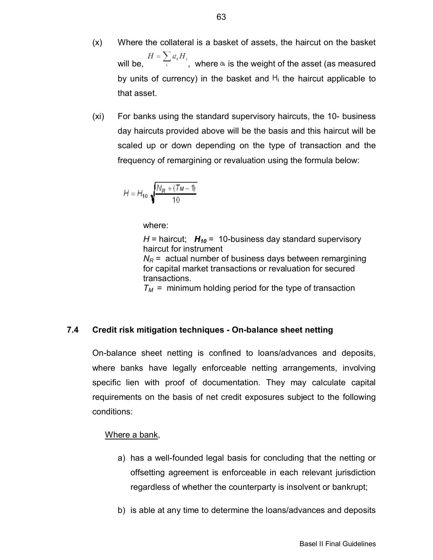- (x) Where the collateral is a basket of assets, the haircut on the basket will be,  $H = \sum_{i} a_i H_i$ , where a is the weight of the asset (as measured by units of currency) in the basket and  $H_i$  the haircut applicable to that asset.
- (xi) For banks using the standard supervisory haircuts, the 10- business day haircuts provided above will be the basis and this haircut will be scaled up or down depending on the type of transaction and the frequency of remargining or revaluation using the formula below:

$$
H=H_{10}\sqrt{\frac{N_R+(T_M-1)}{10}}
$$

where:

 $H =$  haircut;  $H_{10} = 10$ -business day standard supervisory haircut for instrument

 $N_R$  = actual number of business days between remargining for capital market transactions or revaluation for secured transactions.

 $T_M$  = minimum holding period for the type of transaction

# **7.4 Credit risk mitigation techniques - On-balance sheet netting**

On-balance sheet netting is confined to loans/advances and deposits, where banks have legally enforceable netting arrangements, involving specific lien with proof of documentation. They may calculate capital requirements on the basis of net credit exposures subject to the following conditions:

# Where a bank,

- a) has a well-founded legal basis for concluding that the netting or offsetting agreement is enforceable in each relevant jurisdiction regardless of whether the counterparty is insolvent or bankrupt;
- b) is able at any time to determine the loans/advances and deposits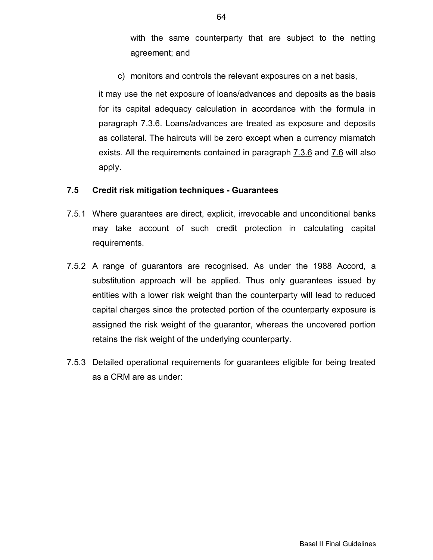with the same counterparty that are subject to the netting agreement; and

c) monitors and controls the relevant exposures on a net basis,

it may use the net exposure of loans/advances and deposits as the basis for its capital adequacy calculation in accordance with the formula in paragraph 7.3.6. Loans/advances are treated as exposure and deposits as collateral. The haircuts will be zero except when a currency mismatch exists. All the requirements contained in paragraph 7.3.6 and 7.6 will also apply.

#### **7.5 Credit risk mitigation techniques - Guarantees**

- 7.5.1 Where guarantees are direct, explicit, irrevocable and unconditional banks may take account of such credit protection in calculating capital requirements.
- 7.5.2 A range of guarantors are recognised. As under the 1988 Accord, a substitution approach will be applied. Thus only guarantees issued by entities with a lower risk weight than the counterparty will lead to reduced capital charges since the protected portion of the counterparty exposure is assigned the risk weight of the guarantor, whereas the uncovered portion retains the risk weight of the underlying counterparty.
- 7.5.3 Detailed operational requirements for guarantees eligible for being treated as a CRM are as under: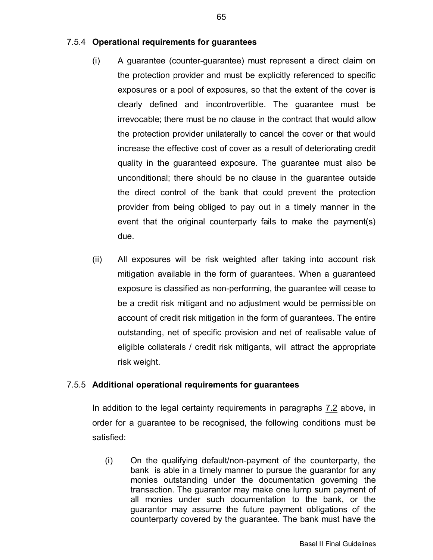### 7.5.4 **Operational requirements for guarantees**

- (i) A guarantee (counter-guarantee) must represent a direct claim on the protection provider and must be explicitly referenced to specific exposures or a pool of exposures, so that the extent of the cover is clearly defined and incontrovertible. The guarantee must be irrevocable; there must be no clause in the contract that would allow the protection provider unilaterally to cancel the cover or that would increase the effective cost of cover as a result of deteriorating credit quality in the guaranteed exposure. The guarantee must also be unconditional; there should be no clause in the guarantee outside the direct control of the bank that could prevent the protection provider from being obliged to pay out in a timely manner in the event that the original counterparty fails to make the payment(s) due.
- (ii) All exposures will be risk weighted after taking into account risk mitigation available in the form of guarantees. When a guaranteed exposure is classified as non-performing, the guarantee will cease to be a credit risk mitigant and no adjustment would be permissible on account of credit risk mitigation in the form of guarantees. The entire outstanding, net of specific provision and net of realisable value of eligible collaterals / credit risk mitigants, will attract the appropriate risk weight.

# 7.5.5 **Additional operational requirements for guarantees**

In addition to the legal certainty requirements in paragraphs 7.2 above, in order for a guarantee to be recognised, the following conditions must be satisfied:

(i) On the qualifying default/non-payment of the counterparty, the bank is able in a timely manner to pursue the guarantor for any monies outstanding under the documentation governing the transaction. The guarantor may make one lump sum payment of all monies under such documentation to the bank, or the guarantor may assume the future payment obligations of the counterparty covered by the guarantee. The bank must have the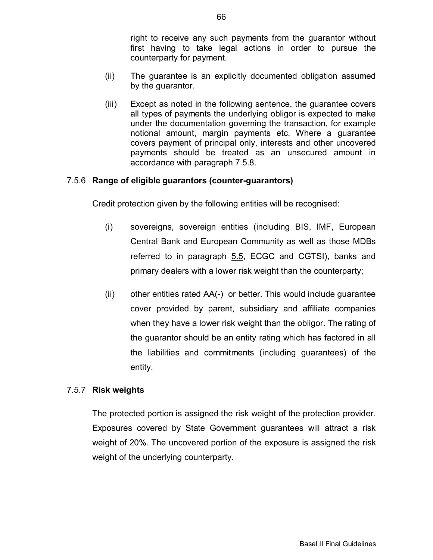right to receive any such payments from the guarantor without first having to take legal actions in order to pursue the counterparty for payment.

- (ii) The guarantee is an explicitly documented obligation assumed by the guarantor.
- (iii) Except as noted in the following sentence, the guarantee covers all types of payments the underlying obligor is expected to make under the documentation governing the transaction, for example notional amount, margin payments etc. Where a guarantee covers payment of principal only, interests and other uncovered payments should be treated as an unsecured amount in accordance with paragraph 7.5.8.

#### 7.5.6 **Range of eligible guarantors (counter-guarantors)**

Credit protection given by the following entities will be recognised:

- (i) sovereigns, sovereign entities (including BIS, IMF, European Central Bank and European Community as well as those MDBs referred to in paragraph 5.5, ECGC and CGTSI), banks and primary dealers with a lower risk weight than the counterparty;
- (ii) other entities rated AA(-) or better. This would include guarantee cover provided by parent, subsidiary and affiliate companies when they have a lower risk weight than the obligor. The rating of the guarantor should be an entity rating which has factored in all the liabilities and commitments (including guarantees) of the entity.

#### 7.5.7 **Risk weights**

The protected portion is assigned the risk weight of the protection provider. Exposures covered by State Government guarantees will attract a risk weight of 20%. The uncovered portion of the exposure is assigned the risk weight of the underlying counterparty.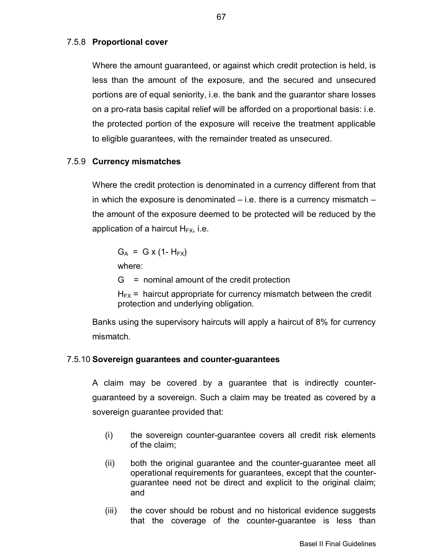### 7.5.8 **Proportional cover**

Where the amount guaranteed, or against which credit protection is held, is less than the amount of the exposure, and the secured and unsecured portions are of equal seniority, i.e. the bank and the guarantor share losses on a pro-rata basis capital relief will be afforded on a proportional basis: i.e. the protected portion of the exposure will receive the treatment applicable to eligible guarantees, with the remainder treated as unsecured.

### 7.5.9 **Currency mismatches**

Where the credit protection is denominated in a currency different from that in which the exposure is denominated – i.e. there is a currency mismatch – the amount of the exposure deemed to be protected will be reduced by the application of a haircut  $H_{FX}$ , i.e.

 $G_A = G \times (1 - H_{FX})$ 

where:

 $G =$  nominal amount of the credit protection

 $H_{FX}$  = haircut appropriate for currency mismatch between the credit protection and underlying obligation.

Banks using the supervisory haircuts will apply a haircut of 8% for currency mismatch.

### 7.5.10 **Sovereign guarantees and counter-guarantees**

A claim may be covered by a guarantee that is indirectly counterguaranteed by a sovereign. Such a claim may be treated as covered by a sovereign guarantee provided that:

- (i) the sovereign counter-guarantee covers all credit risk elements of the claim;
- (ii) both the original guarantee and the counter-guarantee meet all operational requirements for guarantees, except that the counterguarantee need not be direct and explicit to the original claim; and
- (iii) the cover should be robust and no historical evidence suggests that the coverage of the counter-guarantee is less than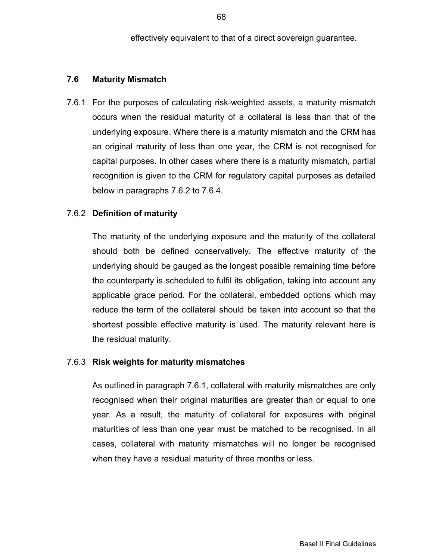effectively equivalent to that of a direct sovereign guarantee.

### **7.6 Maturity Mismatch**

7.6.1 For the purposes of calculating risk-weighted assets, a maturity mismatch occurs when the residual maturity of a collateral is less than that of the underlying exposure. Where there is a maturity mismatch and the CRM has an original maturity of less than one year, the CRM is not recognised for capital purposes. In other cases where there is a maturity mismatch, partial recognition is given to the CRM for regulatory capital purposes as detailed below in paragraphs 7.6.2 to 7.6.4.

### 7.6.2 **Definition of maturity**

The maturity of the underlying exposure and the maturity of the collateral should both be defined conservatively. The effective maturity of the underlying should be gauged as the longest possible remaining time before the counterparty is scheduled to fulfil its obligation, taking into account any applicable grace period. For the collateral, embedded options which may reduce the term of the collateral should be taken into account so that the shortest possible effective maturity is used. The maturity relevant here is the residual maturity.

#### 7.6.3 **Risk weights for maturity mismatches**

As outlined in paragraph 7.6.1, collateral with maturity mismatches are only recognised when their original maturities are greater than or equal to one year. As a result, the maturity of collateral for exposures with original maturities of less than one year must be matched to be recognised. In all cases, collateral with maturity mismatches will no longer be recognised when they have a residual maturity of three months or less.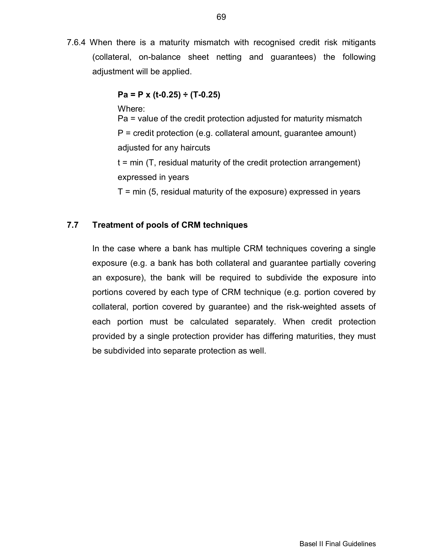7.6.4 When there is a maturity mismatch with recognised credit risk mitigants (collateral, on-balance sheet netting and guarantees) the following adjustment will be applied.

#### **Pa = P x (t-0.25) ÷ (T-0.25)**

Where:

Pa = value of the credit protection adjusted for maturity mismatch P = credit protection (e.g. collateral amount, guarantee amount) adjusted for any haircuts

t = min (T, residual maturity of the credit protection arrangement) expressed in years

 $T = min$  (5, residual maturity of the exposure) expressed in years

## **7.7 Treatment of pools of CRM techniques**

In the case where a bank has multiple CRM techniques covering a single exposure (e.g. a bank has both collateral and guarantee partially covering an exposure), the bank will be required to subdivide the exposure into portions covered by each type of CRM technique (e.g. portion covered by collateral, portion covered by guarantee) and the risk-weighted assets of each portion must be calculated separately. When credit protection provided by a single protection provider has differing maturities, they must be subdivided into separate protection as well.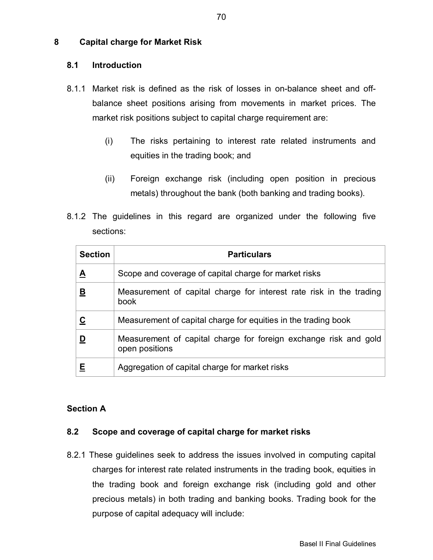### **8 Capital charge for Market Risk**

# **8.1 Introduction**

- 8.1.1 Market risk is defined as the risk of losses in on-balance sheet and offbalance sheet positions arising from movements in market prices. The market risk positions subject to capital charge requirement are:
	- (i) The risks pertaining to interest rate related instruments and equities in the trading book; and
	- (ii) Foreign exchange risk (including open position in precious metals) throughout the bank (both banking and trading books).
- 8.1.2 The guidelines in this regard are organized under the following five sections:

| <b>Section</b> | <b>Particulars</b>                                                                 |
|----------------|------------------------------------------------------------------------------------|
| A              | Scope and coverage of capital charge for market risks                              |
| В              | Measurement of capital charge for interest rate risk in the trading<br>book        |
|                | Measurement of capital charge for equities in the trading book                     |
|                | Measurement of capital charge for foreign exchange risk and gold<br>open positions |
| E              | Aggregation of capital charge for market risks                                     |

## **Section A**

# **8.2 Scope and coverage of capital charge for market risks**

8.2.1 These guidelines seek to address the issues involved in computing capital charges for interest rate related instruments in the trading book, equities in the trading book and foreign exchange risk (including gold and other precious metals) in both trading and banking books. Trading book for the purpose of capital adequacy will include: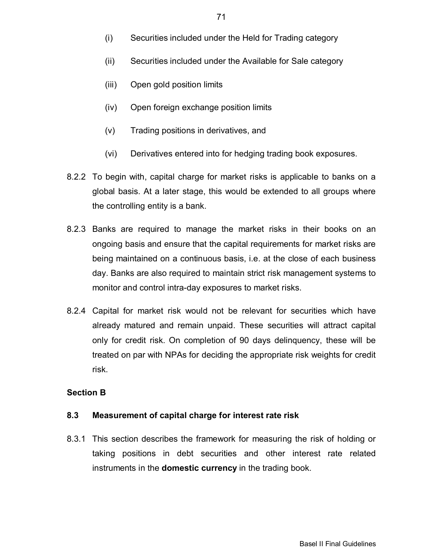- (i) Securities included under the Held for Trading category
- (ii) Securities included under the Available for Sale category
- (iii) Open gold position limits
- (iv) Open foreign exchange position limits
- (v) Trading positions in derivatives, and
- (vi) Derivatives entered into for hedging trading book exposures.
- 8.2.2 To begin with, capital charge for market risks is applicable to banks on a global basis. At a later stage, this would be extended to all groups where the controlling entity is a bank.
- 8.2.3 Banks are required to manage the market risks in their books on an ongoing basis and ensure that the capital requirements for market risks are being maintained on a continuous basis, i.e. at the close of each business day. Banks are also required to maintain strict risk management systems to monitor and control intra-day exposures to market risks.
- 8.2.4 Capital for market risk would not be relevant for securities which have already matured and remain unpaid. These securities will attract capital only for credit risk. On completion of 90 days delinquency, these will be treated on par with NPAs for deciding the appropriate risk weights for credit risk.

#### **Section B**

#### **8.3 Measurement of capital charge for interest rate risk**

8.3.1 This section describes the framework for measuring the risk of holding or taking positions in debt securities and other interest rate related instruments in the **domestic currency** in the trading book.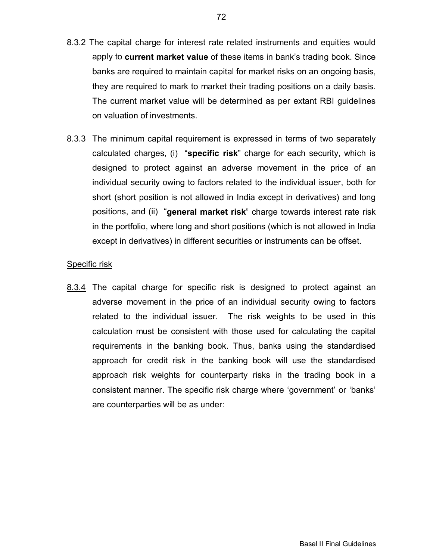- 8.3.2 The capital charge for interest rate related instruments and equities would apply to **current market value** of these items in bank's trading book. Since banks are required to maintain capital for market risks on an ongoing basis, they are required to mark to market their trading positions on a daily basis. The current market value will be determined as per extant RBI guidelines on valuation of investments.
- 8.3.3 The minimum capital requirement is expressed in terms of two separately calculated charges, (i) "**specific risk**" charge for each security, which is designed to protect against an adverse movement in the price of an individual security owing to factors related to the individual issuer, both for short (short position is not allowed in India except in derivatives) and long positions, and (ii) "**general market risk**" charge towards interest rate risk in the portfolio, where long and short positions (which is not allowed in India except in derivatives) in different securities or instruments can be offset.

#### Specific risk

8.3.4 The capital charge for specific risk is designed to protect against an adverse movement in the price of an individual security owing to factors related to the individual issuer. The risk weights to be used in this calculation must be consistent with those used for calculating the capital requirements in the banking book. Thus, banks using the standardised approach for credit risk in the banking book will use the standardised approach risk weights for counterparty risks in the trading book in a consistent manner. The specific risk charge where 'government' or 'banks' are counterparties will be as under: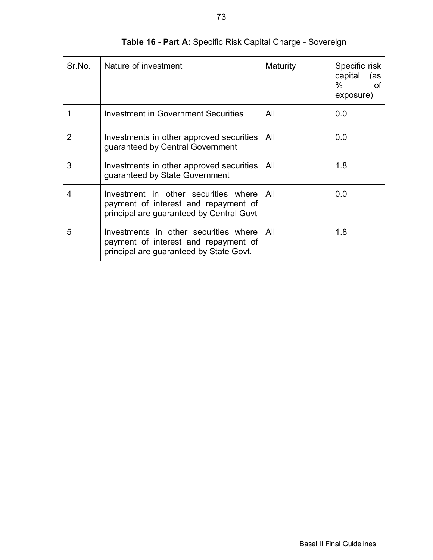| Sr.No. | Nature of investment                                                                                                     | <b>Maturity</b> | Specific risk<br>capital<br>(as<br>%<br>οf<br>exposure) |
|--------|--------------------------------------------------------------------------------------------------------------------------|-----------------|---------------------------------------------------------|
|        | <b>Investment in Government Securities</b>                                                                               | All             | 0.0                                                     |
| 2      | Investments in other approved securities<br>guaranteed by Central Government                                             | All             | 0.0                                                     |
| 3      | Investments in other approved securities<br>guaranteed by State Government                                               | All             | 1.8                                                     |
| 4      | Investment in other securities where<br>payment of interest and repayment of<br>principal are guaranteed by Central Govt | All             | 0.0                                                     |
| 5      | Investments in other securities where<br>payment of interest and repayment of<br>principal are guaranteed by State Govt. | All             | 1.8                                                     |

| Table 16 - Part A: Specific Risk Capital Charge - Sovereign |  |  |  |
|-------------------------------------------------------------|--|--|--|
|-------------------------------------------------------------|--|--|--|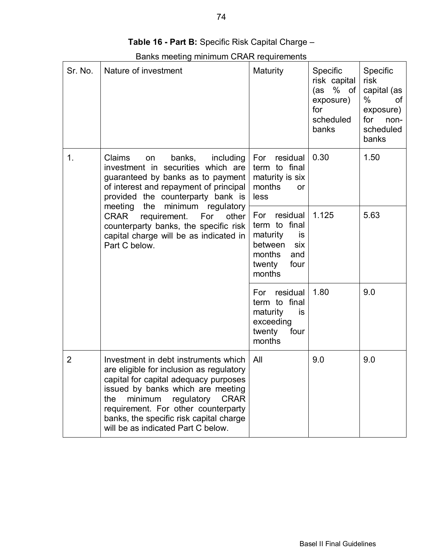| Sr. No.                                                                                                                                                                           | Nature of investment                                                                                                                                                                                                                                                                                                                  | Maturity                                                                                    | <b>Specific</b><br>risk capital<br>(as % of<br>exposure)<br>for<br>scheduled<br>banks | Specific<br>risk<br>capital (as<br>$\%$<br>0f<br>exposure)<br>for<br>non-<br>scheduled<br>banks |
|-----------------------------------------------------------------------------------------------------------------------------------------------------------------------------------|---------------------------------------------------------------------------------------------------------------------------------------------------------------------------------------------------------------------------------------------------------------------------------------------------------------------------------------|---------------------------------------------------------------------------------------------|---------------------------------------------------------------------------------------|-------------------------------------------------------------------------------------------------|
| $\mathbf{1}$ .                                                                                                                                                                    | Claims<br>banks,<br>For<br>on<br>including<br>investment in securities which are<br>term to final<br>guaranteed by banks as to payment<br>of interest and repayment of principal<br>provided the counterparty bank is<br>less                                                                                                         |                                                                                             | 0.30                                                                                  | 1.50                                                                                            |
| meeting the minimum regulatory<br><b>CRAR</b><br>requirement.<br>For<br>other<br>counterparty banks, the specific risk<br>capital charge will be as indicated in<br>Part C below. | For residual<br>term to final<br>maturity<br>is<br>between<br>six<br>months<br>and<br>twenty<br>four<br>months                                                                                                                                                                                                                        | 1.125                                                                                       | 5.63                                                                                  |                                                                                                 |
|                                                                                                                                                                                   |                                                                                                                                                                                                                                                                                                                                       | residual<br>For<br>term to final<br>maturity<br>is<br>exceeding<br>four<br>twenty<br>months | 1.80                                                                                  | 9.0                                                                                             |
| $\overline{2}$                                                                                                                                                                    | Investment in debt instruments which<br>are eligible for inclusion as regulatory<br>capital for capital adequacy purposes<br>issued by banks which are meeting<br>minimum<br>regulatory<br><b>CRAR</b><br>the<br>requirement. For other counterparty<br>banks, the specific risk capital charge<br>will be as indicated Part C below. | All                                                                                         | 9.0                                                                                   | 9.0                                                                                             |

# **Table 16 - Part B:** Specific Risk Capital Charge –

Banks meeting minimum CRAR requirements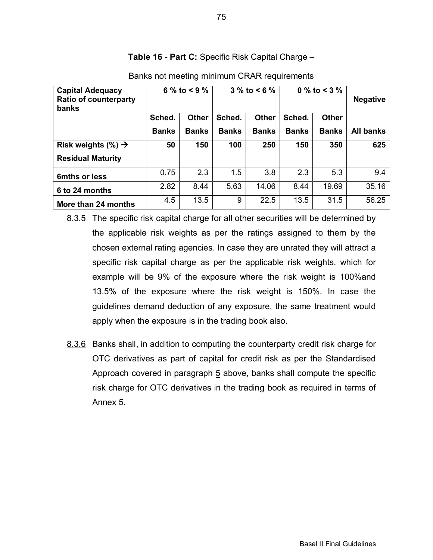#### **Table 16 - Part C:** Specific Risk Capital Charge –

| <b>Capital Adequacy</b><br><b>Ratio of counterparty</b><br>banks | 6 % to < 9 % |              | 3 % to $< 6$ % |              | 0 % to $<$ 3 % |              | <b>Negative</b>  |
|------------------------------------------------------------------|--------------|--------------|----------------|--------------|----------------|--------------|------------------|
|                                                                  | Sched.       | <b>Other</b> | Sched.         | <b>Other</b> | Sched.         | <b>Other</b> |                  |
|                                                                  | <b>Banks</b> | <b>Banks</b> | <b>Banks</b>   | <b>Banks</b> | <b>Banks</b>   | <b>Banks</b> | <b>All banks</b> |
| Risk weights $(\%) \rightarrow$                                  | 50           | 150          | 100            | 250          | 150            | 350          | 625              |
| <b>Residual Maturity</b>                                         |              |              |                |              |                |              |                  |
| 6mths or less                                                    | 0.75         | 2.3          | 1.5            | 3.8          | 2.3            | 5.3          | 9.4              |
| 6 to 24 months                                                   | 2.82         | 8.44         | 5.63           | 14.06        | 8.44           | 19.69        | 35.16            |
| More than 24 months                                              | 4.5          | 13.5         | 9              | 22.5         | 13.5           | 31.5         | 56.25            |

#### Banks not meeting minimum CRAR requirements

- 8.3.5 The specific risk capital charge for all other securities will be determined by the applicable risk weights as per the ratings assigned to them by the chosen external rating agencies. In case they are unrated they will attract a specific risk capital charge as per the applicable risk weights, which for example will be 9% of the exposure where the risk weight is 100%and 13.5% of the exposure where the risk weight is 150%. In case the guidelines demand deduction of any exposure, the same treatment would apply when the exposure is in the trading book also.
- 8.3.6 Banks shall, in addition to computing the counterparty credit risk charge for OTC derivatives as part of capital for credit risk as per the Standardised Approach covered in paragraph 5 above, banks shall compute the specific risk charge for OTC derivatives in the trading book as required in terms of Annex 5.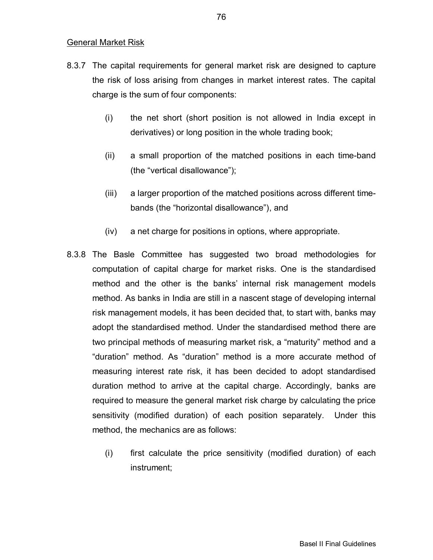#### General Market Risk

- 8.3.7 The capital requirements for general market risk are designed to capture the risk of loss arising from changes in market interest rates. The capital charge is the sum of four components:
	- (i) the net short (short position is not allowed in India except in derivatives) or long position in the whole trading book;
	- (ii) a small proportion of the matched positions in each time-band (the "vertical disallowance");
	- (iii) a larger proportion of the matched positions across different timebands (the "horizontal disallowance"), and
	- (iv) a net charge for positions in options, where appropriate.
- 8.3.8 The Basle Committee has suggested two broad methodologies for computation of capital charge for market risks. One is the standardised method and the other is the banks' internal risk management models method. As banks in India are still in a nascent stage of developing internal risk management models, it has been decided that, to start with, banks may adopt the standardised method. Under the standardised method there are two principal methods of measuring market risk, a "maturity" method and a "duration" method. As "duration" method is a more accurate method of measuring interest rate risk, it has been decided to adopt standardised duration method to arrive at the capital charge. Accordingly, banks are required to measure the general market risk charge by calculating the price sensitivity (modified duration) of each position separately. Under this method, the mechanics are as follows:
	- (i) first calculate the price sensitivity (modified duration) of each instrument;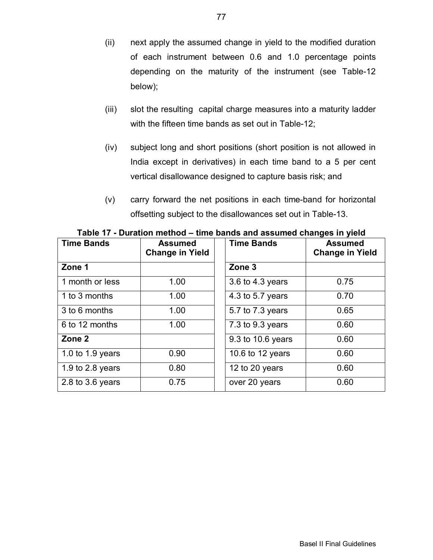- (ii) next apply the assumed change in yield to the modified duration of each instrument between 0.6 and 1.0 percentage points depending on the maturity of the instrument (see Table-12 below);
- (iii) slot the resulting capital charge measures into a maturity ladder with the fifteen time bands as set out in Table-12;
- (iv) subject long and short positions (short position is not allowed in India except in derivatives) in each time band to a 5 per cent vertical disallowance designed to capture basis risk; and
- (v) carry forward the net positions in each time-band for horizontal offsetting subject to the disallowances set out in Table-13.

| <b>Time Bands</b> | <b>Assumed</b><br><b>Change in Yield</b> | <b>Time Bands</b>  | <b>Assumed</b><br><b>Change in Yield</b> |
|-------------------|------------------------------------------|--------------------|------------------------------------------|
| Zone 1            |                                          | Zone 3             |                                          |
| 1 month or less   | 1.00                                     | 3.6 to 4.3 years   | 0.75                                     |
| 1 to 3 months     | 1.00                                     | 4.3 to 5.7 years   | 0.70                                     |
| 3 to 6 months     | 1.00                                     | 5.7 to 7.3 years   | 0.65                                     |
| 6 to 12 months    | 1.00                                     | 7.3 to $9.3$ years | 0.60                                     |
| Zone 2            |                                          | 9.3 to 10.6 years  | 0.60                                     |
| 1.0 to 1.9 years  | 0.90                                     | 10.6 to 12 years   | 0.60                                     |
| 1.9 to 2.8 years  | 0.80                                     | 12 to 20 years     | 0.60                                     |
| 2.8 to 3.6 years  | 0.75                                     | over 20 years      | 0.60                                     |

**Table 17 - Duration method – time bands and assumed changes in yield**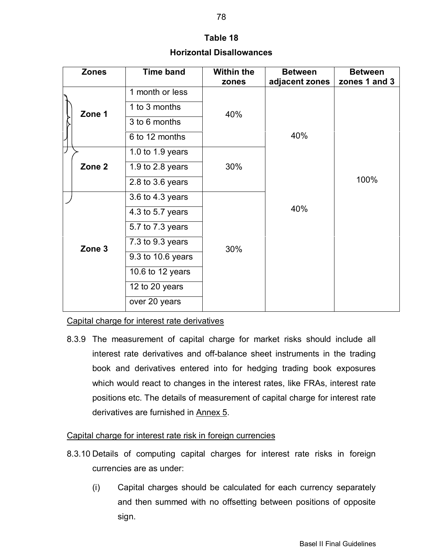#### **Table 18**

#### **Horizontal Disallowances**

| <b>Zones</b> | <b>Time band</b>  | <b>Within the</b><br>zones | <b>Between</b><br>adjacent zones | <b>Between</b><br>zones 1 and 3 |
|--------------|-------------------|----------------------------|----------------------------------|---------------------------------|
|              | 1 month or less   |                            |                                  |                                 |
| Zone 1       | 1 to 3 months     | 40%                        |                                  |                                 |
|              | 3 to 6 months     |                            |                                  |                                 |
|              | 6 to 12 months    |                            | 40%                              |                                 |
|              | 1.0 to 1.9 years  |                            |                                  |                                 |
| Zone 2       | 1.9 to 2.8 years  | 30%                        |                                  |                                 |
|              | 2.8 to 3.6 years  |                            |                                  | 100%                            |
|              | 3.6 to 4.3 years  |                            |                                  |                                 |
|              | 4.3 to 5.7 years  |                            | 40%                              |                                 |
|              | 5.7 to 7.3 years  |                            |                                  |                                 |
| Zone 3       | 7.3 to 9.3 years  | 30%                        |                                  |                                 |
|              | 9.3 to 10.6 years |                            |                                  |                                 |
|              | 10.6 to 12 years  |                            |                                  |                                 |
|              | 12 to 20 years    |                            |                                  |                                 |
|              | over 20 years     |                            |                                  |                                 |

Capital charge for interest rate derivatives

8.3.9 The measurement of capital charge for market risks should include all interest rate derivatives and off-balance sheet instruments in the trading book and derivatives entered into for hedging trading book exposures which would react to changes in the interest rates, like FRAs, interest rate positions etc. The details of measurement of capital charge for interest rate derivatives are furnished in Annex 5.

#### Capital charge for interest rate risk in foreign currencies

- 8.3.10 Details of computing capital charges for interest rate risks in foreign currencies are as under:
	- (i) Capital charges should be calculated for each currency separately and then summed with no offsetting between positions of opposite sign.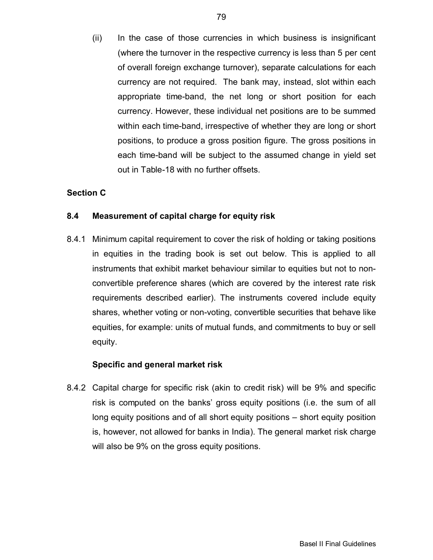(ii) In the case of those currencies in which business is insignificant (where the turnover in the respective currency is less than 5 per cent of overall foreign exchange turnover), separate calculations for each currency are not required. The bank may, instead, slot within each appropriate time-band, the net long or short position for each currency. However, these individual net positions are to be summed within each time-band, irrespective of whether they are long or short positions, to produce a gross position figure. The gross positions in each time-band will be subject to the assumed change in yield set out in Table-18 with no further offsets.

#### **Section C**

#### **8.4 Measurement of capital charge for equity risk**

8.4.1 Minimum capital requirement to cover the risk of holding or taking positions in equities in the trading book is set out below. This is applied to all instruments that exhibit market behaviour similar to equities but not to nonconvertible preference shares (which are covered by the interest rate risk requirements described earlier). The instruments covered include equity shares, whether voting or non-voting, convertible securities that behave like equities, for example: units of mutual funds, and commitments to buy or sell equity.

#### **Specific and general market risk**

8.4.2 Capital charge for specific risk (akin to credit risk) will be 9% and specific risk is computed on the banks' gross equity positions (i.e. the sum of all long equity positions and of all short equity positions – short equity position is, however, not allowed for banks in India). The general market risk charge will also be 9% on the gross equity positions.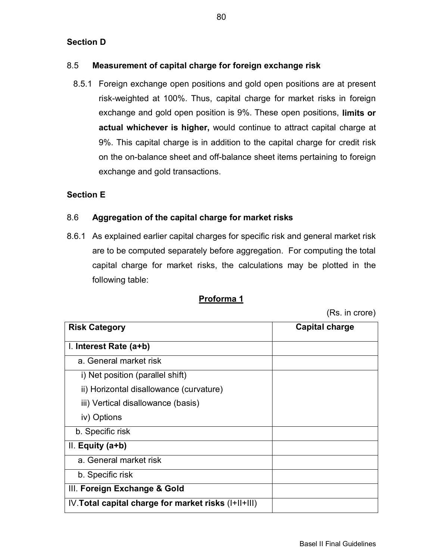### **Section D**

### 8.5 **Measurement of capital charge for foreign exchange risk**

8.5.1 Foreign exchange open positions and gold open positions are at present risk-weighted at 100%. Thus, capital charge for market risks in foreign exchange and gold open position is 9%. These open positions, **limits or actual whichever is higher,** would continue to attract capital charge at 9%. This capital charge is in addition to the capital charge for credit risk on the on-balance sheet and off-balance sheet items pertaining to foreign exchange and gold transactions.

### **Section E**

### 8.6 **Aggregation of the capital charge for market risks**

8.6.1 As explained earlier capital charges for specific risk and general market risk are to be computed separately before aggregation. For computing the total capital charge for market risks, the calculations may be plotted in the following table:

#### **Proforma 1**

(Rs. in crore)

| <b>Risk Category</b>                                 | <b>Capital charge</b> |
|------------------------------------------------------|-----------------------|
| $l.$ Interest Rate $(a+b)$                           |                       |
| a. General market risk                               |                       |
| i) Net position (parallel shift)                     |                       |
| ii) Horizontal disallowance (curvature)              |                       |
| iii) Vertical disallowance (basis)                   |                       |
| iv) Options                                          |                       |
| b. Specific risk                                     |                       |
| $II.$ Equity (a+b)                                   |                       |
| a. General market risk                               |                       |
| b. Specific risk                                     |                       |
| III. Foreign Exchange & Gold                         |                       |
| IV. Total capital charge for market risks (I+II+III) |                       |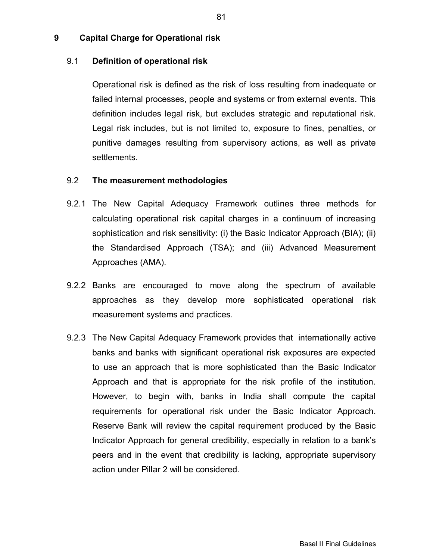#### **9 Capital Charge for Operational risk**

# 9.1 **Definition of operational risk**

Operational risk is defined as the risk of loss resulting from inadequate or failed internal processes, people and systems or from external events. This definition includes legal risk, but excludes strategic and reputational risk. Legal risk includes, but is not limited to, exposure to fines, penalties, or punitive damages resulting from supervisory actions, as well as private settlements.

## 9.2 **The measurement methodologies**

- 9.2.1 The New Capital Adequacy Framework outlines three methods for calculating operational risk capital charges in a continuum of increasing sophistication and risk sensitivity: (i) the Basic Indicator Approach (BIA); (ii) the Standardised Approach (TSA); and (iii) Advanced Measurement Approaches (AMA).
- 9.2.2 Banks are encouraged to move along the spectrum of available approaches as they develop more sophisticated operational risk measurement systems and practices.
- 9.2.3 The New Capital Adequacy Framework provides that internationally active banks and banks with significant operational risk exposures are expected to use an approach that is more sophisticated than the Basic Indicator Approach and that is appropriate for the risk profile of the institution. However, to begin with, banks in India shall compute the capital requirements for operational risk under the Basic Indicator Approach. Reserve Bank will review the capital requirement produced by the Basic Indicator Approach for general credibility, especially in relation to a bank's peers and in the event that credibility is lacking, appropriate supervisory action under Pillar 2 will be considered.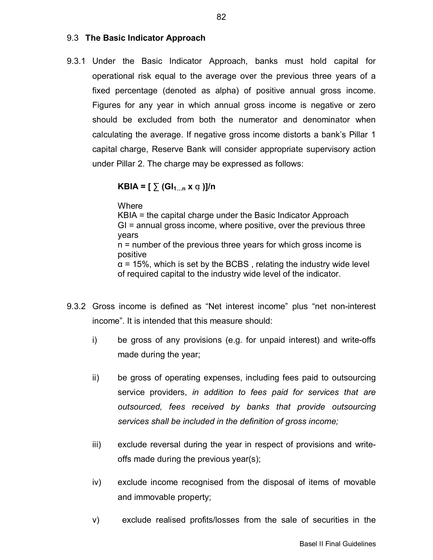#### 9.3 **The Basic Indicator Approach**

9.3.1 Under the Basic Indicator Approach, banks must hold capital for operational risk equal to the average over the previous three years of a fixed percentage (denoted as alpha) of positive annual gross income. Figures for any year in which annual gross income is negative or zero should be excluded from both the numerator and denominator when calculating the average. If negative gross income distorts a bank's Pillar 1 capital charge, Reserve Bank will consider appropriate supervisory action under Pillar 2. The charge may be expressed as follows:

### $KBIA = [\sum(GI_{1...n} \times \alpha)]/n$

Where

KBIA = the capital charge under the Basic Indicator Approach GI = annual gross income, where positive, over the previous three years n = number of the previous three years for which gross income is positive  $\alpha$  = 15%, which is set by the BCBS, relating the industry wide level of required capital to the industry wide level of the indicator.

- 9.3.2 Gross income is defined as "Net interest income" plus "net non-interest income". It is intended that this measure should:
	- i) be gross of any provisions (e.g. for unpaid interest) and write-offs made during the year;
	- ii) be gross of operating expenses, including fees paid to outsourcing service providers, *in addition to fees paid for services that are outsourced, fees received by banks that provide outsourcing services shall be included in the definition of gross income;*
	- iii) exclude reversal during the year in respect of provisions and writeoffs made during the previous year(s);
	- iv) exclude income recognised from the disposal of items of movable and immovable property;
	- v) exclude realised profits/losses from the sale of securities in the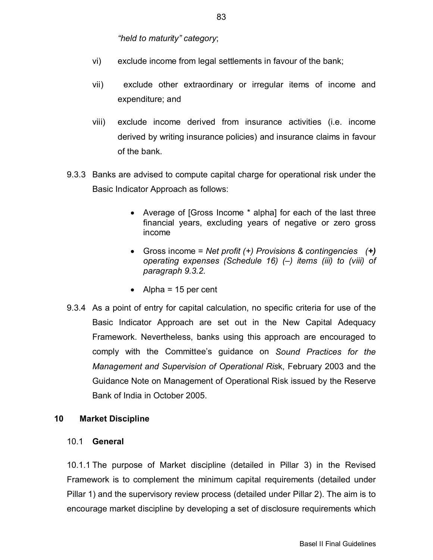*"held to maturity" category*;

- vi) exclude income from legal settlements in favour of the bank;
- vii) exclude other extraordinary or irregular items of income and expenditure; and
- viii) exclude income derived from insurance activities (i.e. income derived by writing insurance policies) and insurance claims in favour of the bank.
- 9.3.3 Banks are advised to compute capital charge for operational risk under the Basic Indicator Approach as follows:
	- Average of [Gross Income \* alpha] for each of the last three financial years, excluding years of negative or zero gross income
	- Gross income = *Net profit (+) Provisions & contingencies (+) operating expenses (Schedule 16) (–) items (iii) to (viii) of paragraph 9.3.2.*
	- $\bullet$  Alpha = 15 per cent
- 9.3.4 As a point of entry for capital calculation, no specific criteria for use of the Basic Indicator Approach are set out in the New Capital Adequacy Framework. Nevertheless, banks using this approach are encouraged to comply with the Committee's guidance on *Sound Practices for the Management and Supervision of Operational Ris*k, February 2003 and the Guidance Note on Management of Operational Risk issued by the Reserve Bank of India in October 2005.

#### **10 Market Discipline**

10.1 **General**

10.1.1 The purpose of Market discipline (detailed in Pillar 3) in the Revised Framework is to complement the minimum capital requirements (detailed under Pillar 1) and the supervisory review process (detailed under Pillar 2). The aim is to encourage market discipline by developing a set of disclosure requirements which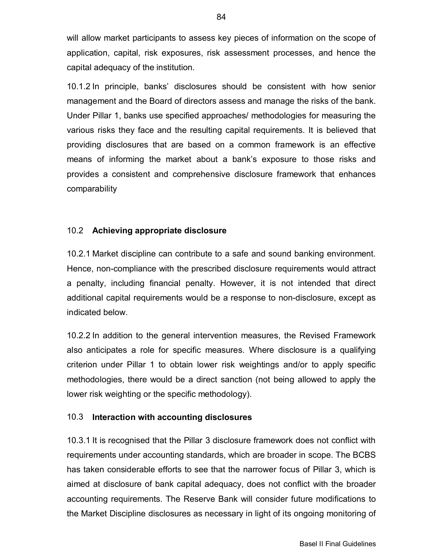will allow market participants to assess key pieces of information on the scope of application, capital, risk exposures, risk assessment processes, and hence the capital adequacy of the institution.

10.1.2 In principle, banks' disclosures should be consistent with how senior management and the Board of directors assess and manage the risks of the bank. Under Pillar 1, banks use specified approaches/ methodologies for measuring the various risks they face and the resulting capital requirements. It is believed that providing disclosures that are based on a common framework is an effective means of informing the market about a bank's exposure to those risks and provides a consistent and comprehensive disclosure framework that enhances comparability

### 10.2 **Achieving appropriate disclosure**

10.2.1 Market discipline can contribute to a safe and sound banking environment. Hence, non-compliance with the prescribed disclosure requirements would attract a penalty, including financial penalty. However, it is not intended that direct additional capital requirements would be a response to non-disclosure, except as indicated below.

10.2.2 In addition to the general intervention measures, the Revised Framework also anticipates a role for specific measures. Where disclosure is a qualifying criterion under Pillar 1 to obtain lower risk weightings and/or to apply specific methodologies, there would be a direct sanction (not being allowed to apply the lower risk weighting or the specific methodology).

#### 10.3 **Interaction with accounting disclosures**

10.3.1 It is recognised that the Pillar 3 disclosure framework does not conflict with requirements under accounting standards, which are broader in scope. The BCBS has taken considerable efforts to see that the narrower focus of Pillar 3, which is aimed at disclosure of bank capital adequacy, does not conflict with the broader accounting requirements. The Reserve Bank will consider future modifications to the Market Discipline disclosures as necessary in light of its ongoing monitoring of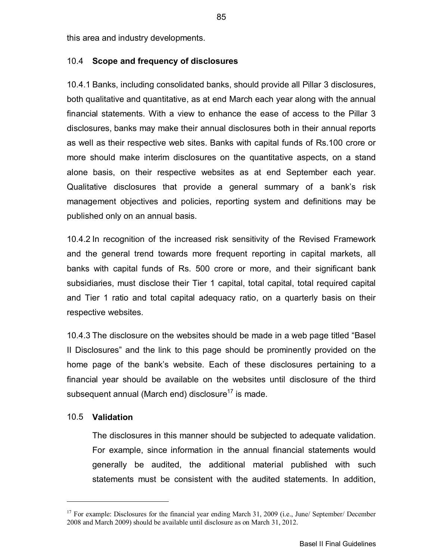this area and industry developments.

# 10.4 **Scope and frequency of disclosures**

10.4.1 Banks, including consolidated banks, should provide all Pillar 3 disclosures, both qualitative and quantitative, as at end March each year along with the annual financial statements. With a view to enhance the ease of access to the Pillar 3 disclosures, banks may make their annual disclosures both in their annual reports as well as their respective web sites. Banks with capital funds of Rs.100 crore or more should make interim disclosures on the quantitative aspects, on a stand alone basis, on their respective websites as at end September each year. Qualitative disclosures that provide a general summary of a bank's risk management objectives and policies, reporting system and definitions may be published only on an annual basis.

10.4.2 In recognition of the increased risk sensitivity of the Revised Framework and the general trend towards more frequent reporting in capital markets, all banks with capital funds of Rs. 500 crore or more, and their significant bank subsidiaries, must disclose their Tier 1 capital, total capital, total required capital and Tier 1 ratio and total capital adequacy ratio, on a quarterly basis on their respective websites.

10.4.3 The disclosure on the websites should be made in a web page titled "Basel II Disclosures" and the link to this page should be prominently provided on the home page of the bank's website. Each of these disclosures pertaining to a financial year should be available on the websites until disclosure of the third subsequent annual (March end) disclosure<sup>17</sup> is made.

## 10.5 **Validation**

l

The disclosures in this manner should be subjected to adequate validation. For example, since information in the annual financial statements would generally be audited, the additional material published with such statements must be consistent with the audited statements. In addition,

 $17$  For example: Disclosures for the financial year ending March 31, 2009 (i.e., June/ September/ December 2008 and March 2009) should be available until disclosure as on March 31, 2012.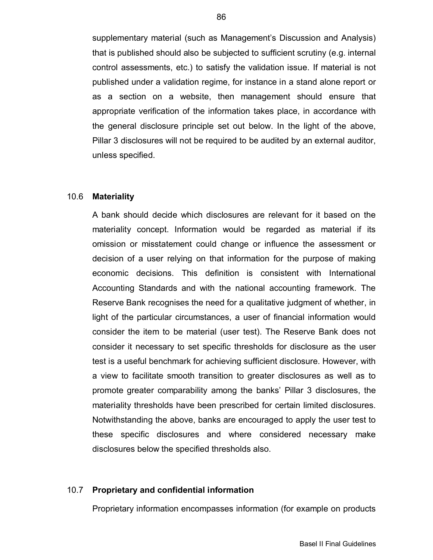supplementary material (such as Management's Discussion and Analysis) that is published should also be subjected to sufficient scrutiny (e.g. internal control assessments, etc.) to satisfy the validation issue. If material is not published under a validation regime, for instance in a stand alone report or as a section on a website, then management should ensure that appropriate verification of the information takes place, in accordance with the general disclosure principle set out below. In the light of the above, Pillar 3 disclosures will not be required to be audited by an external auditor, unless specified.

#### 10.6 **Materiality**

A bank should decide which disclosures are relevant for it based on the materiality concept. Information would be regarded as material if its omission or misstatement could change or influence the assessment or decision of a user relying on that information for the purpose of making economic decisions. This definition is consistent with International Accounting Standards and with the national accounting framework. The Reserve Bank recognises the need for a qualitative judgment of whether, in light of the particular circumstances, a user of financial information would consider the item to be material (user test). The Reserve Bank does not consider it necessary to set specific thresholds for disclosure as the user test is a useful benchmark for achieving sufficient disclosure. However, with a view to facilitate smooth transition to greater disclosures as well as to promote greater comparability among the banks' Pillar 3 disclosures, the materiality thresholds have been prescribed for certain limited disclosures. Notwithstanding the above, banks are encouraged to apply the user test to these specific disclosures and where considered necessary make disclosures below the specified thresholds also.

#### 10.7 **Proprietary and confidential information**

Proprietary information encompasses information (for example on products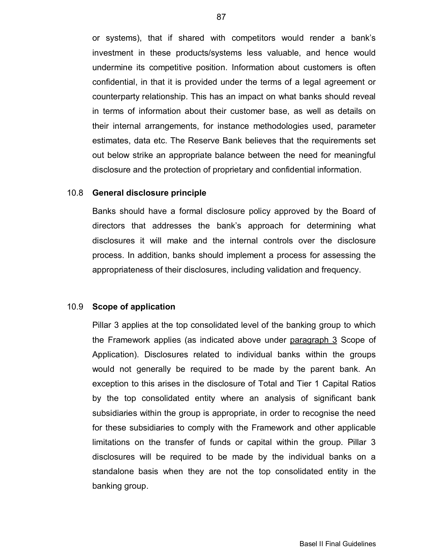or systems), that if shared with competitors would render a bank's investment in these products/systems less valuable, and hence would undermine its competitive position. Information about customers is often confidential, in that it is provided under the terms of a legal agreement or counterparty relationship. This has an impact on what banks should reveal in terms of information about their customer base, as well as details on their internal arrangements, for instance methodologies used, parameter estimates, data etc. The Reserve Bank believes that the requirements set out below strike an appropriate balance between the need for meaningful disclosure and the protection of proprietary and confidential information.

#### 10.8 **General disclosure principle**

Banks should have a formal disclosure policy approved by the Board of directors that addresses the bank's approach for determining what disclosures it will make and the internal controls over the disclosure process. In addition, banks should implement a process for assessing the appropriateness of their disclosures, including validation and frequency.

#### 10.9 **Scope of application**

Pillar 3 applies at the top consolidated level of the banking group to which the Framework applies (as indicated above under paragraph 3 Scope of Application). Disclosures related to individual banks within the groups would not generally be required to be made by the parent bank. An exception to this arises in the disclosure of Total and Tier 1 Capital Ratios by the top consolidated entity where an analysis of significant bank subsidiaries within the group is appropriate, in order to recognise the need for these subsidiaries to comply with the Framework and other applicable limitations on the transfer of funds or capital within the group. Pillar 3 disclosures will be required to be made by the individual banks on a standalone basis when they are not the top consolidated entity in the banking group.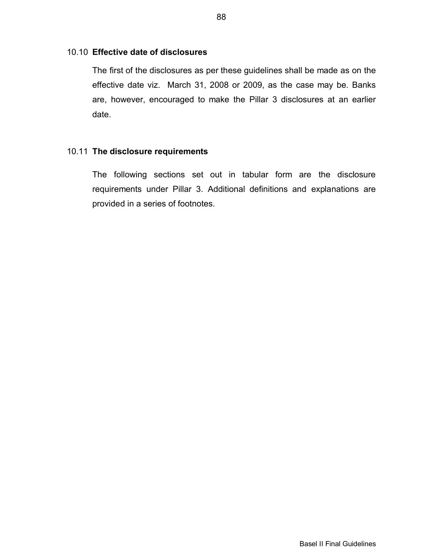#### 10.10 **Effective date of disclosures**

The first of the disclosures as per these guidelines shall be made as on the effective date viz. March 31, 2008 or 2009, as the case may be. Banks are, however, encouraged to make the Pillar 3 disclosures at an earlier date.

#### 10.11 **The disclosure requirements**

The following sections set out in tabular form are the disclosure requirements under Pillar 3. Additional definitions and explanations are provided in a series of footnotes.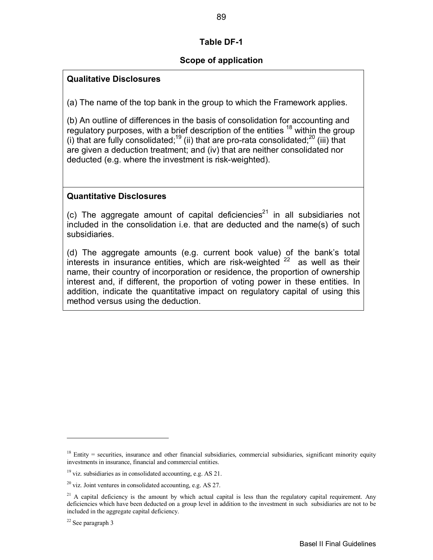### **Scope of application**

## **Qualitative Disclosures**

(a) The name of the top bank in the group to which the Framework applies.

(b) An outline of differences in the basis of consolidation for accounting and regulatory purposes, with a brief description of the entities  $18$  within the group (i) that are fully consolidated;<sup>19</sup> (ii) that are pro-rata consolidated; $^{20}$  (iii) that are given a deduction treatment; and (iv) that are neither consolidated nor deducted (e.g. where the investment is risk-weighted).

#### **Quantitative Disclosures**

(c) The aggregate amount of capital deficiencies<sup>21</sup> in all subsidiaries not included in the consolidation i.e. that are deducted and the name(s) of such subsidiaries.

(d) The aggregate amounts (e.g. current book value) of the bank's total interests in insurance entities, which are risk-weighted 22 as well as their name, their country of incorporation or residence, the proportion of ownership interest and, if different, the proportion of voting power in these entities. In addition, indicate the quantitative impact on regulatory capital of using this method versus using the deduction.

l

 $18$  Entity = securities, insurance and other financial subsidiaries, commercial subsidiaries, significant minority equity investments in insurance, financial and commercial entities.

 $19$  viz. subsidiaries as in consolidated accounting, e.g. AS 21.

 $^{20}$  viz. Joint ventures in consolidated accounting, e.g. AS 27.

 $21$  A capital deficiency is the amount by which actual capital is less than the regulatory capital requirement. Any deficiencies which have been deducted on a group level in addition to the investment in such subsidiaries are not to be included in the aggregate capital deficiency.

 $22$  See paragraph 3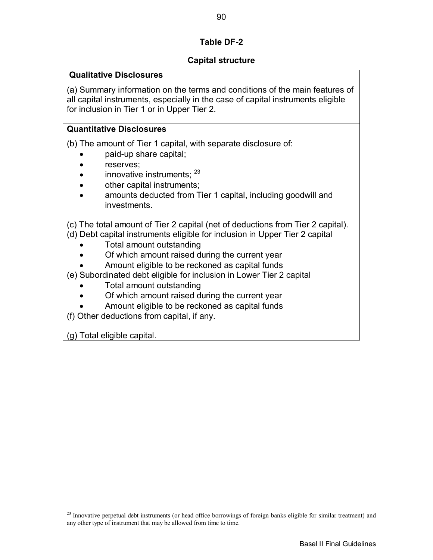# **Capital structure**

# **Qualitative Disclosures**

(a) Summary information on the terms and conditions of the main features of all capital instruments, especially in the case of capital instruments eligible for inclusion in Tier 1 or in Upper Tier 2.

# **Quantitative Disclosures**

(b) The amount of Tier 1 capital, with separate disclosure of:

- paid-up share capital;
- reserves;
- $\bullet$  innovative instruments;  $^{23}$
- other capital instruments;
- amounts deducted from Tier 1 capital, including goodwill and investments.

(c) The total amount of Tier 2 capital (net of deductions from Tier 2 capital). (d) Debt capital instruments eligible for inclusion in Upper Tier 2 capital

- Total amount outstanding
- Of which amount raised during the current year
- Amount eligible to be reckoned as capital funds
- (e) Subordinated debt eligible for inclusion in Lower Tier 2 capital
	- Total amount outstanding
	- Of which amount raised during the current year
	- Amount eligible to be reckoned as capital funds
- (f) Other deductions from capital, if any.

(g) Total eligible capital.

l

 $23$  Innovative perpetual debt instruments (or head office borrowings of foreign banks eligible for similar treatment) and any other type of instrument that may be allowed from time to time.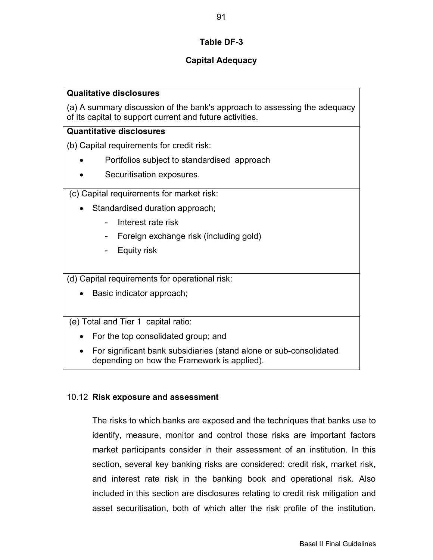# **Capital Adequacy**

### **Qualitative disclosures**

(a) A summary discussion of the bank's approach to assessing the adequacy of its capital to support current and future activities.

### **Quantitative disclosures**

(b) Capital requirements for credit risk:

- Portfolios subject to standardised approach
- Securitisation exposures.

(c) Capital requirements for market risk:

- Standardised duration approach;
	- Interest rate risk
	- Foreign exchange risk (including gold)
	- Equity risk

(d) Capital requirements for operational risk:

- Basic indicator approach;
- (e) Total and Tier 1 capital ratio:
	- For the top consolidated group; and
	- For significant bank subsidiaries (stand alone or sub-consolidated depending on how the Framework is applied).

## 10.12 **Risk exposure and assessment**

The risks to which banks are exposed and the techniques that banks use to identify, measure, monitor and control those risks are important factors market participants consider in their assessment of an institution. In this section, several key banking risks are considered: credit risk, market risk, and interest rate risk in the banking book and operational risk. Also included in this section are disclosures relating to credit risk mitigation and asset securitisation, both of which alter the risk profile of the institution.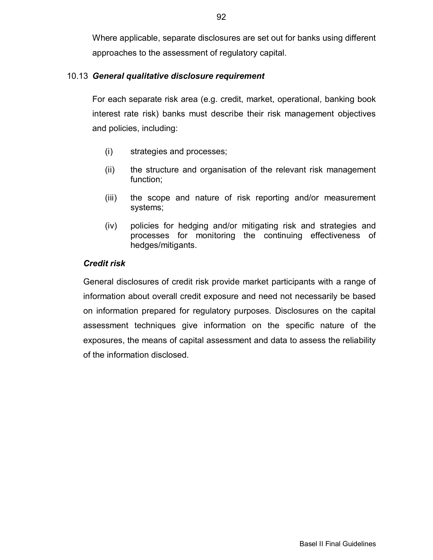Where applicable, separate disclosures are set out for banks using different approaches to the assessment of regulatory capital.

### 10.13 *General qualitative disclosure requirement*

For each separate risk area (e.g. credit, market, operational, banking book interest rate risk) banks must describe their risk management objectives and policies, including:

- (i) strategies and processes;
- (ii) the structure and organisation of the relevant risk management function;
- (iii) the scope and nature of risk reporting and/or measurement systems;
- (iv) policies for hedging and/or mitigating risk and strategies and processes for monitoring the continuing effectiveness of hedges/mitigants.

#### *Credit risk*

General disclosures of credit risk provide market participants with a range of information about overall credit exposure and need not necessarily be based on information prepared for regulatory purposes. Disclosures on the capital assessment techniques give information on the specific nature of the exposures, the means of capital assessment and data to assess the reliability of the information disclosed.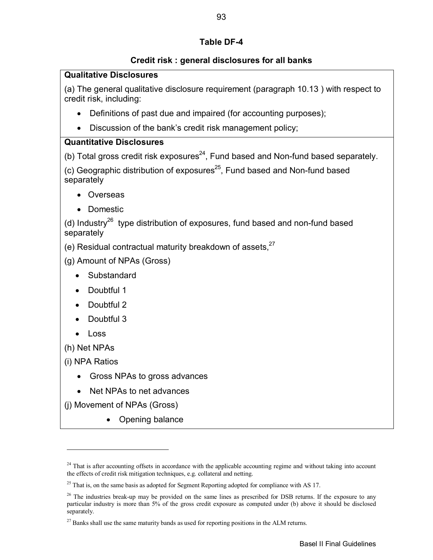# **Credit risk : general disclosures for all banks**

# **Qualitative Disclosures**

(a) The general qualitative disclosure requirement (paragraph 10.13 ) with respect to credit risk, including:

- Definitions of past due and impaired (for accounting purposes);
- Discussion of the bank's credit risk management policy;

# **Quantitative Disclosures**

(b) Total gross credit risk exposures<sup>24</sup>, Fund based and Non-fund based separately.

(c) Geographic distribution of exposures $25$ , Fund based and Non-fund based separately

- Overseas
- Domestic

(d) Industry<sup>26</sup> type distribution of exposures, fund based and non-fund based separately

(e) Residual contractual maturity breakdown of assets, $27$ 

(g) Amount of NPAs (Gross)

- Substandard
- Doubtful 1
- Doubtful 2
- Doubtful 3
- Loss

(h) Net NPAs

(i) NPA Ratios

 $\overline{a}$ 

- Gross NPAs to gross advances
- Net NPAs to net advances
- (j) Movement of NPAs (Gross)
	- Opening balance

<sup>&</sup>lt;sup>24</sup> That is after accounting offsets in accordance with the applicable accounting regime and without taking into account the effects of credit risk mitigation techniques, e.g. collateral and netting.

<sup>&</sup>lt;sup>25</sup> That is, on the same basis as adopted for Segment Reporting adopted for compliance with AS 17.

<sup>&</sup>lt;sup>26</sup> The industries break-up may be provided on the same lines as prescribed for DSB returns. If the exposure to any particular industry is more than 5% of the gross credit exposure as computed under (b) above it should be disclosed separately.

 $27$  Banks shall use the same maturity bands as used for reporting positions in the ALM returns.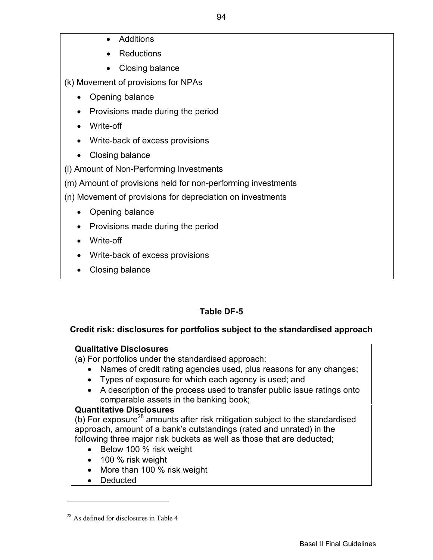- **Additions**
- Reductions
- Closing balance

(k) Movement of provisions for NPAs

- Opening balance
- Provisions made during the period
- Write-off
- Write-back of excess provisions
- Closing balance
- (l) Amount of Non-Performing Investments
- (m) Amount of provisions held for non-performing investments
- (n) Movement of provisions for depreciation on investments
	- Opening balance
	- Provisions made during the period
	- Write-off
	- Write-back of excess provisions
	- Closing balance

# **Table DF-5**

## **Credit risk: disclosures for portfolios subject to the standardised approach**

#### **Qualitative Disclosures**

(a) For portfolios under the standardised approach:

- Names of credit rating agencies used, plus reasons for any changes;
- Types of exposure for which each agency is used; and
- A description of the process used to transfer public issue ratings onto comparable assets in the banking book;

#### **Quantitative Disclosures**

(b) For exposure<sup>28</sup> amounts after risk mitigation subject to the standardised approach, amount of a bank's outstandings (rated and unrated) in the following three major risk buckets as well as those that are deducted;

- Below 100 % risk weight
- 100 % risk weight
- More than 100 % risk weight
- Deducted

l

 $^{28}$  As defined for disclosures in Table 4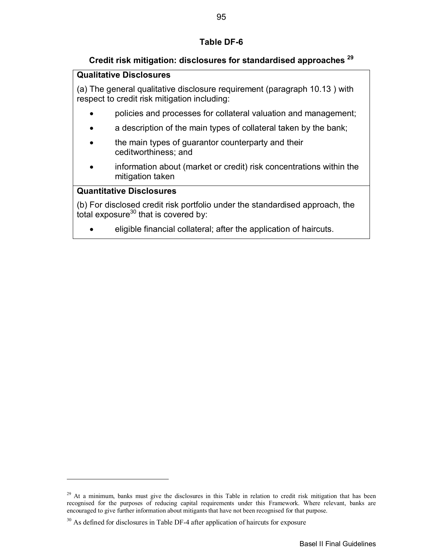# **Credit risk mitigation: disclosures for standardised approaches 29**

# **Qualitative Disclosures**

(a) The general qualitative disclosure requirement (paragraph 10.13 ) with respect to credit risk mitigation including:

- policies and processes for collateral valuation and management;
- a description of the main types of collateral taken by the bank;
- the main types of guarantor counterparty and their ceditworthiness; and
- information about (market or credit) risk concentrations within the mitigation taken

# **Quantitative Disclosures**

 $\overline{a}$ 

(b) For disclosed credit risk portfolio under the standardised approach, the total exposure $30$  that is covered by:

eligible financial collateral; after the application of haircuts.

<sup>&</sup>lt;sup>29</sup> At a minimum, banks must give the disclosures in this Table in relation to credit risk mitigation that has been recognised for the purposes of reducing capital requirements under this Framework. Where relevant, banks are encouraged to give further information about mitigants that have not been recognised for that purpose.

<sup>&</sup>lt;sup>30</sup> As defined for disclosures in Table DF-4 after application of haircuts for exposure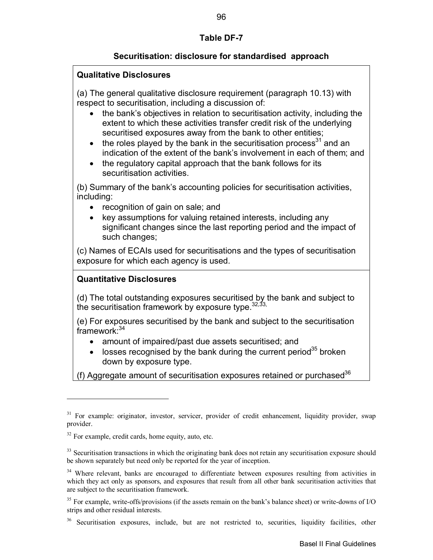## **Securitisation: disclosure for standardised approach**

### **Qualitative Disclosures**

(a) The general qualitative disclosure requirement (paragraph 10.13) with respect to securitisation, including a discussion of:

- the bank's objectives in relation to securitisation activity, including the extent to which these activities transfer credit risk of the underlying securitised exposures away from the bank to other entities;
- $\bullet$  the roles played by the bank in the securitisation process<sup>31</sup> and an indication of the extent of the bank's involvement in each of them; and
- the regulatory capital approach that the bank follows for its securitisation activities.

(b) Summary of the bank's accounting policies for securitisation activities, including:

- recognition of gain on sale; and
- key assumptions for valuing retained interests, including any significant changes since the last reporting period and the impact of such changes;

(c) Names of ECAIs used for securitisations and the types of securitisation exposure for which each agency is used.

## **Quantitative Disclosures**

(d) The total outstanding exposures securitised by the bank and subject to the securitisation framework by exposure type.  $32,33$ ,

(e) For exposures securitised by the bank and subject to the securitisation framework: 34

- amount of impaired/past due assets securitised; and
- $\bullet$  losses recognised by the bank during the current period<sup>35</sup> broken down by exposure type.

(f) Aggregate amount of securitisation exposures retained or purchased  $36$ 

l

<sup>&</sup>lt;sup>31</sup> For example: originator, investor, servicer, provider of credit enhancement, liquidity provider, swap provider.

<sup>&</sup>lt;sup>32</sup> For example, credit cards, home equity, auto, etc.

<sup>&</sup>lt;sup>33</sup> Securitisation transactions in which the originating bank does not retain any securitisation exposure should be shown separately but need only be reported for the year of inception.

<sup>&</sup>lt;sup>34</sup> Where relevant, banks are encouraged to differentiate between exposures resulting from activities in which they act only as sponsors, and exposures that result from all other bank securitisation activities that are subject to the securitisation framework.

<sup>&</sup>lt;sup>35</sup> For example, write-offs/provisions (if the assets remain on the bank's balance sheet) or write-downs of I/O strips and other residual interests.

<sup>&</sup>lt;sup>36</sup> Securitisation exposures, include, but are not restricted to, securities, liquidity facilities, other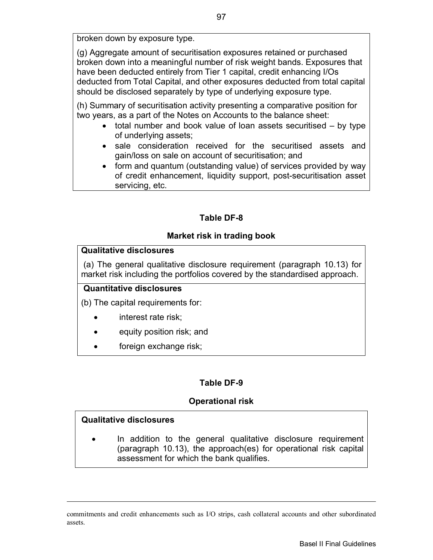broken down by exposure type.

(g) Aggregate amount of securitisation exposures retained or purchased broken down into a meaningful number of risk weight bands. Exposures that have been deducted entirely from Tier 1 capital, credit enhancing I/Os deducted from Total Capital, and other exposures deducted from total capital should be disclosed separately by type of underlying exposure type.

(h) Summary of securitisation activity presenting a comparative position for two years, as a part of the Notes on Accounts to the balance sheet:

- total number and book value of loan assets securitised by type of underlying assets;
- sale consideration received for the securitised assets and gain/loss on sale on account of securitisation; and
- form and quantum (outstanding value) of services provided by way of credit enhancement, liquidity support, post-securitisation asset servicing, etc.

# **Table DF-8**

# **Market risk in trading book**

## **Qualitative disclosures**

 (a) The general qualitative disclosure requirement (paragraph 10.13) for market risk including the portfolios covered by the standardised approach.

## **Quantitative disclosures**

(b) The capital requirements for:

- interest rate risk;
- equity position risk; and
- foreign exchange risk;

## **Table DF-9**

#### **Operational risk**

#### **Qualitative disclosures**

l

 In addition to the general qualitative disclosure requirement (paragraph 10.13), the approach(es) for operational risk capital assessment for which the bank qualifies.

commitments and credit enhancements such as I/O strips, cash collateral accounts and other subordinated assets.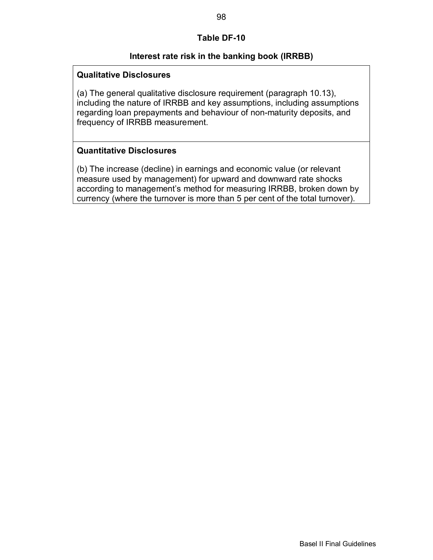# **Interest rate risk in the banking book (IRRBB)**

# **Qualitative Disclosures**

(a) The general qualitative disclosure requirement (paragraph 10.13), including the nature of IRRBB and key assumptions, including assumptions regarding loan prepayments and behaviour of non-maturity deposits, and frequency of IRRBB measurement.

# **Quantitative Disclosures**

(b) The increase (decline) in earnings and economic value (or relevant measure used by management) for upward and downward rate shocks according to management's method for measuring IRRBB, broken down by currency (where the turnover is more than 5 per cent of the total turnover).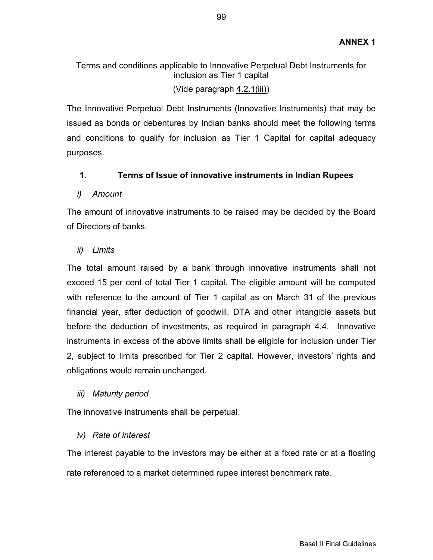# Terms and conditions applicable to Innovative Perpetual Debt Instruments for inclusion as Tier 1 capital (Vide paragraph  $4.2.1(iii)$ )

The Innovative Perpetual Debt Instruments (Innovative Instruments) that may be issued as bonds or debentures by Indian banks should meet the following terms and conditions to qualify for inclusion as Tier 1 Capital for capital adequacy purposes.

### **1. Terms of Issue of innovative instruments in Indian Rupees**

#### *i) Amount*

The amount of innovative instruments to be raised may be decided by the Board of Directors of banks.

#### *ii) Limits*

The total amount raised by a bank through innovative instruments shall not exceed 15 per cent of total Tier 1 capital. The eligible amount will be computed with reference to the amount of Tier 1 capital as on March 31 of the previous financial year, after deduction of goodwill, DTA and other intangible assets but before the deduction of investments, as required in paragraph 4.4. Innovative instruments in excess of the above limits shall be eligible for inclusion under Tier 2, subject to limits prescribed for Tier 2 capital. However, investors' rights and obligations would remain unchanged.

#### *iii) Maturity period*

The innovative instruments shall be perpetual.

#### *iv) Rate of interest*

The interest payable to the investors may be either at a fixed rate or at a floating rate referenced to a market determined rupee interest benchmark rate.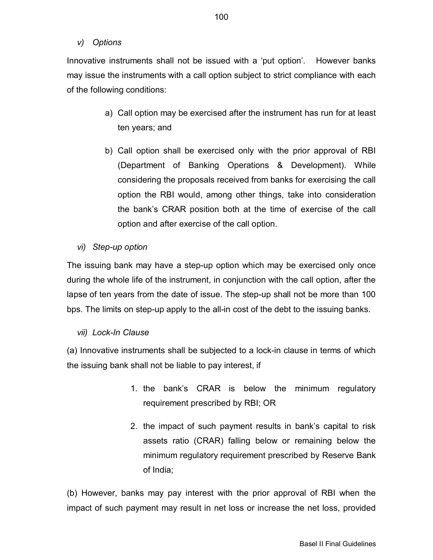## *v) Options*

Innovative instruments shall not be issued with a 'put option'. However banks may issue the instruments with a call option subject to strict compliance with each of the following conditions:

- a) Call option may be exercised after the instrument has run for at least ten years; and
- b) Call option shall be exercised only with the prior approval of RBI (Department of Banking Operations & Development). While considering the proposals received from banks for exercising the call option the RBI would, among other things, take into consideration the bank's CRAR position both at the time of exercise of the call option and after exercise of the call option.
- *vi) Step-up option*

The issuing bank may have a step-up option which may be exercised only once during the whole life of the instrument, in conjunction with the call option, after the lapse of ten years from the date of issue. The step-up shall not be more than 100 bps. The limits on step-up apply to the all-in cost of the debt to the issuing banks.

#### *vii) Lock-In Clause*

(a) Innovative instruments shall be subjected to a lock-in clause in terms of which the issuing bank shall not be liable to pay interest, if

- 1. the bank's CRAR is below the minimum regulatory requirement prescribed by RBI; OR
- 2. the impact of such payment results in bank's capital to risk assets ratio (CRAR) falling below or remaining below the minimum regulatory requirement prescribed by Reserve Bank of India;

(b) However, banks may pay interest with the prior approval of RBI when the impact of such payment may result in net loss or increase the net loss, provided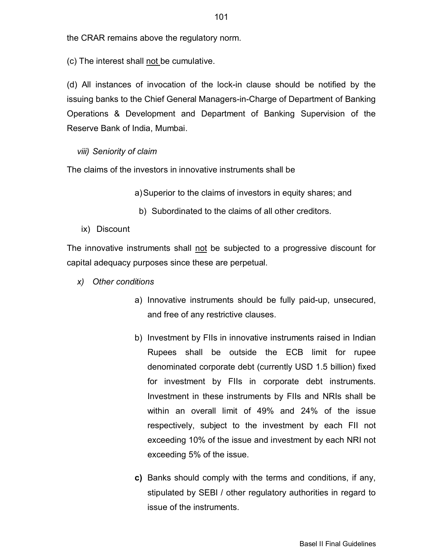the CRAR remains above the regulatory norm.

(c) The interest shall not be cumulative.

(d) All instances of invocation of the lock-in clause should be notified by the issuing banks to the Chief General Managers-in-Charge of Department of Banking Operations & Development and Department of Banking Supervision of the Reserve Bank of India, Mumbai.

*viii) Seniority of claim*

The claims of the investors in innovative instruments shall be

a)Superior to the claims of investors in equity shares; and

- b) Subordinated to the claims of all other creditors.
- ix) Discount

The innovative instruments shall not be subjected to a progressive discount for capital adequacy purposes since these are perpetual.

- *x) Other conditions*
	- a) Innovative instruments should be fully paid-up, unsecured, and free of any restrictive clauses.
	- b) Investment by FIIs in innovative instruments raised in Indian Rupees shall be outside the ECB limit for rupee denominated corporate debt (currently USD 1.5 billion) fixed for investment by FIIs in corporate debt instruments. Investment in these instruments by FIIs and NRIs shall be within an overall limit of 49% and 24% of the issue respectively, subject to the investment by each FII not exceeding 10% of the issue and investment by each NRI not exceeding 5% of the issue.
	- **c)** Banks should comply with the terms and conditions, if any, stipulated by SEBI / other regulatory authorities in regard to issue of the instruments.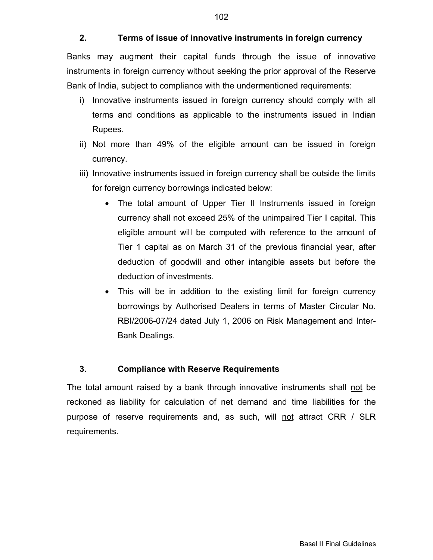## **2. Terms of issue of innovative instruments in foreign currency**

Banks may augment their capital funds through the issue of innovative instruments in foreign currency without seeking the prior approval of the Reserve Bank of India, subject to compliance with the undermentioned requirements:

- i) Innovative instruments issued in foreign currency should comply with all terms and conditions as applicable to the instruments issued in Indian Rupees.
- ii) Not more than 49% of the eligible amount can be issued in foreign currency.
- iii) Innovative instruments issued in foreign currency shall be outside the limits for foreign currency borrowings indicated below:
	- The total amount of Upper Tier II Instruments issued in foreign currency shall not exceed 25% of the unimpaired Tier I capital. This eligible amount will be computed with reference to the amount of Tier 1 capital as on March 31 of the previous financial year, after deduction of goodwill and other intangible assets but before the deduction of investments.
	- This will be in addition to the existing limit for foreign currency borrowings by Authorised Dealers in terms of Master Circular No. RBI/2006-07/24 dated July 1, 2006 on Risk Management and Inter-Bank Dealings.

#### **3. Compliance with Reserve Requirements**

The total amount raised by a bank through innovative instruments shall not be reckoned as liability for calculation of net demand and time liabilities for the purpose of reserve requirements and, as such, will not attract CRR / SLR requirements.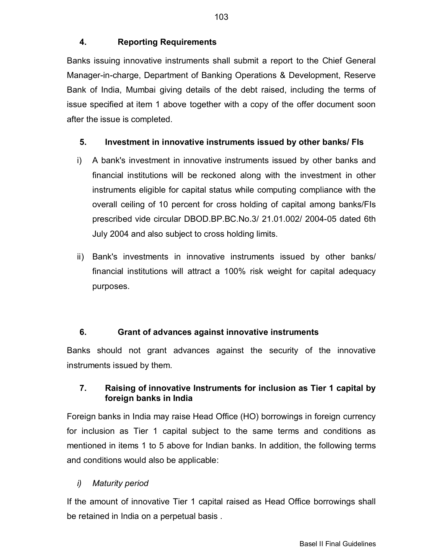# **4. Reporting Requirements**

Banks issuing innovative instruments shall submit a report to the Chief General Manager-in-charge, Department of Banking Operations & Development, Reserve Bank of India, Mumbai giving details of the debt raised, including the terms of issue specified at item 1 above together with a copy of the offer document soon after the issue is completed.

# **5. Investment in innovative instruments issued by other banks/ FIs**

- i) A bank's investment in innovative instruments issued by other banks and financial institutions will be reckoned along with the investment in other instruments eligible for capital status while computing compliance with the overall ceiling of 10 percent for cross holding of capital among banks/FIs prescribed vide circular DBOD.BP.BC.No.3/ 21.01.002/ 2004-05 dated 6th July 2004 and also subject to cross holding limits.
- ii) Bank's investments in innovative instruments issued by other banks/ financial institutions will attract a 100% risk weight for capital adequacy purposes.

# **6. Grant of advances against innovative instruments**

Banks should not grant advances against the security of the innovative instruments issued by them.

# **7. Raising of innovative Instruments for inclusion as Tier 1 capital by foreign banks in India**

Foreign banks in India may raise Head Office (HO) borrowings in foreign currency for inclusion as Tier 1 capital subject to the same terms and conditions as mentioned in items 1 to 5 above for Indian banks. In addition, the following terms and conditions would also be applicable:

# *i) Maturity period*

If the amount of innovative Tier 1 capital raised as Head Office borrowings shall be retained in India on a perpetual basis .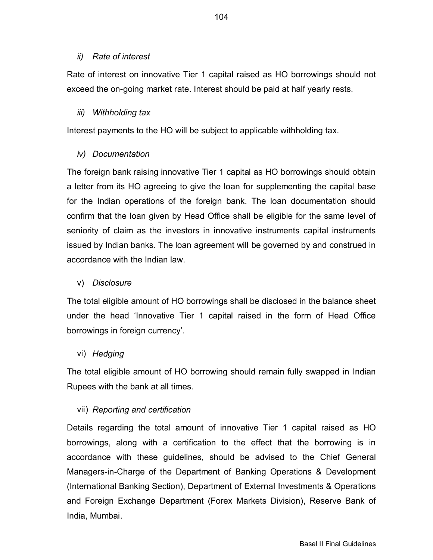#### *ii) Rate of interest*

Rate of interest on innovative Tier 1 capital raised as HO borrowings should not exceed the on-going market rate. Interest should be paid at half yearly rests.

#### *iii) Withholding tax*

Interest payments to the HO will be subject to applicable withholding tax.

#### *iv) Documentation*

The foreign bank raising innovative Tier 1 capital as HO borrowings should obtain a letter from its HO agreeing to give the loan for supplementing the capital base for the Indian operations of the foreign bank. The loan documentation should confirm that the loan given by Head Office shall be eligible for the same level of seniority of claim as the investors in innovative instruments capital instruments issued by Indian banks. The loan agreement will be governed by and construed in accordance with the Indian law.

## v) *Disclosure*

The total eligible amount of HO borrowings shall be disclosed in the balance sheet under the head 'Innovative Tier 1 capital raised in the form of Head Office borrowings in foreign currency'.

## vi) *Hedging*

The total eligible amount of HO borrowing should remain fully swapped in Indian Rupees with the bank at all times.

## vii) *Reporting and certification*

Details regarding the total amount of innovative Tier 1 capital raised as HO borrowings, along with a certification to the effect that the borrowing is in accordance with these guidelines, should be advised to the Chief General Managers-in-Charge of the Department of Banking Operations & Development (International Banking Section), Department of External Investments & Operations and Foreign Exchange Department (Forex Markets Division), Reserve Bank of India, Mumbai.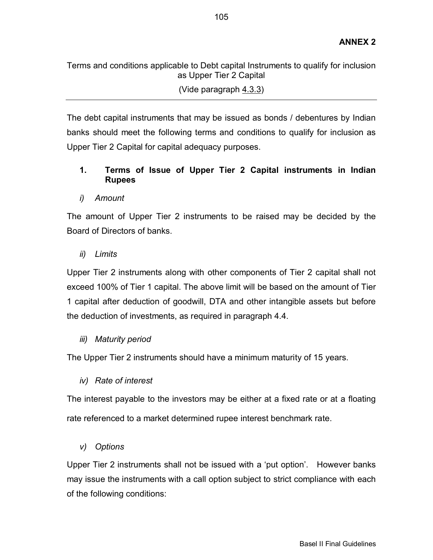Terms and conditions applicable to Debt capital Instruments to qualify for inclusion as Upper Tier 2 Capital (Vide paragraph 4.3.3)

The debt capital instruments that may be issued as bonds / debentures by Indian banks should meet the following terms and conditions to qualify for inclusion as Upper Tier 2 Capital for capital adequacy purposes.

## **1. Terms of Issue of Upper Tier 2 Capital instruments in Indian Rupees**

*i) Amount*

The amount of Upper Tier 2 instruments to be raised may be decided by the Board of Directors of banks.

*ii) Limits*

Upper Tier 2 instruments along with other components of Tier 2 capital shall not exceed 100% of Tier 1 capital. The above limit will be based on the amount of Tier 1 capital after deduction of goodwill, DTA and other intangible assets but before the deduction of investments, as required in paragraph 4.4.

#### *iii) Maturity period*

The Upper Tier 2 instruments should have a minimum maturity of 15 years.

#### *iv) Rate of interest*

The interest payable to the investors may be either at a fixed rate or at a floating rate referenced to a market determined rupee interest benchmark rate.

*v) Options*

Upper Tier 2 instruments shall not be issued with a 'put option'. However banks may issue the instruments with a call option subject to strict compliance with each of the following conditions: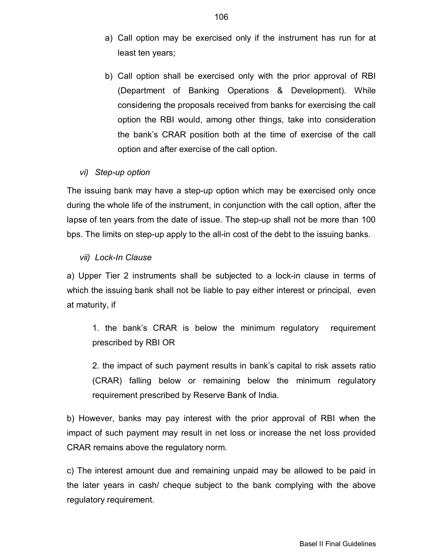- a) Call option may be exercised only if the instrument has run for at least ten years;
- b) Call option shall be exercised only with the prior approval of RBI (Department of Banking Operations & Development). While considering the proposals received from banks for exercising the call option the RBI would, among other things, take into consideration the bank's CRAR position both at the time of exercise of the call option and after exercise of the call option.

#### *vi) Step-up option*

The issuing bank may have a step-up option which may be exercised only once during the whole life of the instrument, in conjunction with the call option, after the lapse of ten years from the date of issue. The step-up shall not be more than 100 bps. The limits on step-up apply to the all-in cost of the debt to the issuing banks.

#### *vii) Lock-In Clause*

a) Upper Tier 2 instruments shall be subjected to a lock-in clause in terms of which the issuing bank shall not be liable to pay either interest or principal, even at maturity, if

1. the bank's CRAR is below the minimum regulatory requirement prescribed by RBI OR

2. the impact of such payment results in bank's capital to risk assets ratio (CRAR) falling below or remaining below the minimum regulatory requirement prescribed by Reserve Bank of India.

b) However, banks may pay interest with the prior approval of RBI when the impact of such payment may result in net loss or increase the net loss provided CRAR remains above the regulatory norm.

c) The interest amount due and remaining unpaid may be allowed to be paid in the later years in cash/ cheque subject to the bank complying with the above regulatory requirement.

106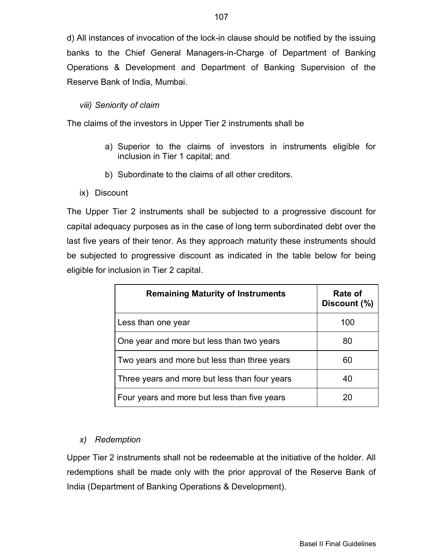d) All instances of invocation of the lock-in clause should be notified by the issuing banks to the Chief General Managers-in-Charge of Department of Banking Operations & Development and Department of Banking Supervision of the Reserve Bank of India, Mumbai.

#### *viii) Seniority of claim*

The claims of the investors in Upper Tier 2 instruments shall be

- a) Superior to the claims of investors in instruments eligible for inclusion in Tier 1 capital; and
- b) Subordinate to the claims of all other creditors.
- ix) Discount

The Upper Tier 2 instruments shall be subjected to a progressive discount for capital adequacy purposes as in the case of long term subordinated debt over the last five years of their tenor. As they approach maturity these instruments should be subjected to progressive discount as indicated in the table below for being eligible for inclusion in Tier 2 capital.

| <b>Remaining Maturity of Instruments</b>      | Rate of<br>Discount (%) |
|-----------------------------------------------|-------------------------|
| Less than one year                            | 100                     |
| One year and more but less than two years     | 80                      |
| Two years and more but less than three years  | 60                      |
| Three years and more but less than four years | 40                      |
| Four years and more but less than five years  | 20                      |

#### *x) Redemption*

Upper Tier 2 instruments shall not be redeemable at the initiative of the holder. All redemptions shall be made only with the prior approval of the Reserve Bank of India (Department of Banking Operations & Development).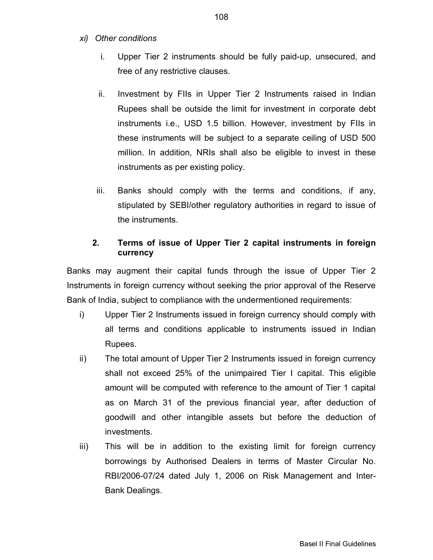- *xi) Other conditions*
	- i. Upper Tier 2 instruments should be fully paid-up, unsecured, and free of any restrictive clauses.
	- ii. Investment by FIIs in Upper Tier 2 Instruments raised in Indian Rupees shall be outside the limit for investment in corporate debt instruments i.e., USD 1.5 billion. However, investment by FIIs in these instruments will be subject to a separate ceiling of USD 500 million. In addition, NRIs shall also be eligible to invest in these instruments as per existing policy.
	- iii. Banks should comply with the terms and conditions, if any, stipulated by SEBI/other regulatory authorities in regard to issue of the instruments.

## **2. Terms of issue of Upper Tier 2 capital instruments in foreign currency**

Banks may augment their capital funds through the issue of Upper Tier 2 Instruments in foreign currency without seeking the prior approval of the Reserve Bank of India, subject to compliance with the undermentioned requirements:

- i) Upper Tier 2 Instruments issued in foreign currency should comply with all terms and conditions applicable to instruments issued in Indian Rupees.
- ii) The total amount of Upper Tier 2 Instruments issued in foreign currency shall not exceed 25% of the unimpaired Tier I capital. This eligible amount will be computed with reference to the amount of Tier 1 capital as on March 31 of the previous financial year, after deduction of goodwill and other intangible assets but before the deduction of investments.
- iii) This will be in addition to the existing limit for foreign currency borrowings by Authorised Dealers in terms of Master Circular No. RBI/2006-07/24 dated July 1, 2006 on Risk Management and Inter-Bank Dealings.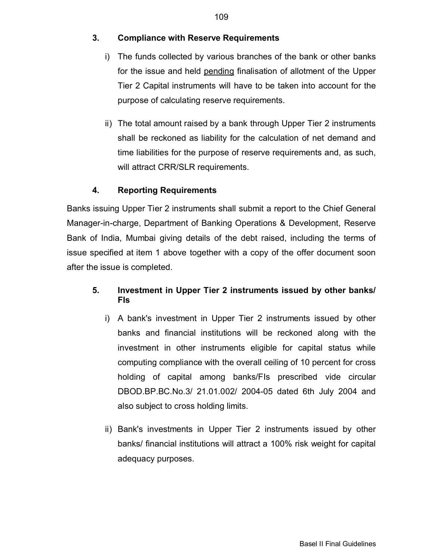## **3. Compliance with Reserve Requirements**

- i) The funds collected by various branches of the bank or other banks for the issue and held pending finalisation of allotment of the Upper Tier 2 Capital instruments will have to be taken into account for the purpose of calculating reserve requirements.
- ii) The total amount raised by a bank through Upper Tier 2 instruments shall be reckoned as liability for the calculation of net demand and time liabilities for the purpose of reserve requirements and, as such, will attract CRR/SLR requirements.

## **4. Reporting Requirements**

Banks issuing Upper Tier 2 instruments shall submit a report to the Chief General Manager-in-charge, Department of Banking Operations & Development, Reserve Bank of India, Mumbai giving details of the debt raised, including the terms of issue specified at item 1 above together with a copy of the offer document soon after the issue is completed.

## **5. Investment in Upper Tier 2 instruments issued by other banks/ FIs**

- i) A bank's investment in Upper Tier 2 instruments issued by other banks and financial institutions will be reckoned along with the investment in other instruments eligible for capital status while computing compliance with the overall ceiling of 10 percent for cross holding of capital among banks/FIs prescribed vide circular DBOD.BP.BC.No.3/ 21.01.002/ 2004-05 dated 6th July 2004 and also subject to cross holding limits.
- ii) Bank's investments in Upper Tier 2 instruments issued by other banks/ financial institutions will attract a 100% risk weight for capital adequacy purposes.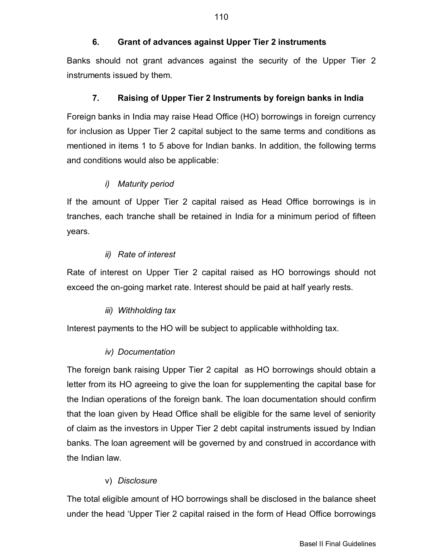# **6. Grant of advances against Upper Tier 2 instruments**

Banks should not grant advances against the security of the Upper Tier 2 instruments issued by them.

# **7. Raising of Upper Tier 2 Instruments by foreign banks in India**

Foreign banks in India may raise Head Office (HO) borrowings in foreign currency for inclusion as Upper Tier 2 capital subject to the same terms and conditions as mentioned in items 1 to 5 above for Indian banks. In addition, the following terms and conditions would also be applicable:

# *i) Maturity period*

If the amount of Upper Tier 2 capital raised as Head Office borrowings is in tranches, each tranche shall be retained in India for a minimum period of fifteen years.

# *ii) Rate of interest*

Rate of interest on Upper Tier 2 capital raised as HO borrowings should not exceed the on-going market rate. Interest should be paid at half yearly rests.

# *iii) Withholding tax*

Interest payments to the HO will be subject to applicable withholding tax.

# *iv) Documentation*

The foreign bank raising Upper Tier 2 capital as HO borrowings should obtain a letter from its HO agreeing to give the loan for supplementing the capital base for the Indian operations of the foreign bank. The loan documentation should confirm that the loan given by Head Office shall be eligible for the same level of seniority of claim as the investors in Upper Tier 2 debt capital instruments issued by Indian banks. The loan agreement will be governed by and construed in accordance with the Indian law.

# v) *Disclosure*

The total eligible amount of HO borrowings shall be disclosed in the balance sheet under the head 'Upper Tier 2 capital raised in the form of Head Office borrowings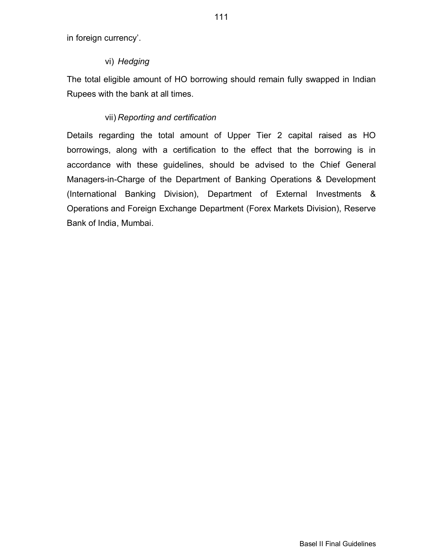in foreign currency'.

## vi) *Hedging*

The total eligible amount of HO borrowing should remain fully swapped in Indian Rupees with the bank at all times.

## vii) *Reporting and certification*

Details regarding the total amount of Upper Tier 2 capital raised as HO borrowings, along with a certification to the effect that the borrowing is in accordance with these guidelines, should be advised to the Chief General Managers-in-Charge of the Department of Banking Operations & Development (International Banking Division), Department of External Investments & Operations and Foreign Exchange Department (Forex Markets Division), Reserve Bank of India, Mumbai.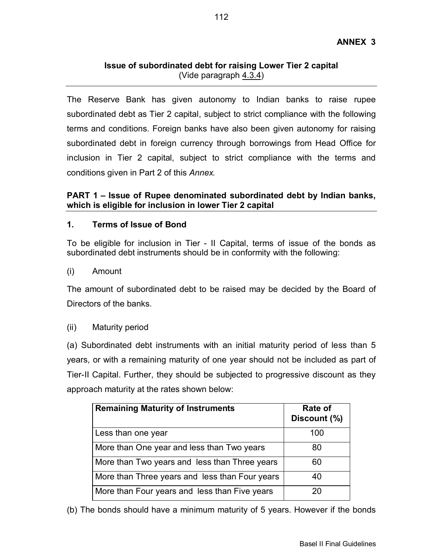#### **Issue of subordinated debt for raising Lower Tier 2 capital** (Vide paragraph 4.3.4)

The Reserve Bank has given autonomy to Indian banks to raise rupee subordinated debt as Tier 2 capital, subject to strict compliance with the following terms and conditions. Foreign banks have also been given autonomy for raising subordinated debt in foreign currency through borrowings from Head Office for inclusion in Tier 2 capital, subject to strict compliance with the terms and conditions given in Part 2 of this *Annex.*

#### **PART 1 – Issue of Rupee denominated subordinated debt by Indian banks, which is eligible for inclusion in lower Tier 2 capital**

#### **1. Terms of Issue of Bond**

To be eligible for inclusion in Tier - II Capital, terms of issue of the bonds as subordinated debt instruments should be in conformity with the following:

#### (i) Amount

The amount of subordinated debt to be raised may be decided by the Board of Directors of the banks.

#### (ii) Maturity period

(a) Subordinated debt instruments with an initial maturity period of less than 5 years, or with a remaining maturity of one year should not be included as part of Tier-II Capital. Further, they should be subjected to progressive discount as they approach maturity at the rates shown below:

| <b>Remaining Maturity of Instruments</b>       | Rate of<br>Discount (%) |
|------------------------------------------------|-------------------------|
| Less than one year                             | 100                     |
| More than One year and less than Two years     | 80                      |
| More than Two years and less than Three years  | 60                      |
| More than Three years and less than Four years | 40                      |
| More than Four years and less than Five years  | 20                      |

(b) The bonds should have a minimum maturity of 5 years. However if the bonds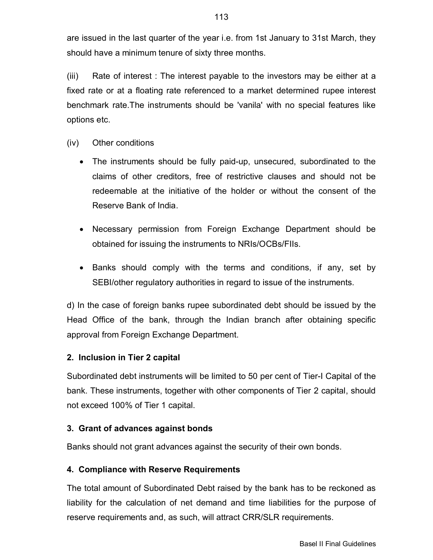are issued in the last quarter of the year i.e. from 1st January to 31st March, they should have a minimum tenure of sixty three months.

(iii) Rate of interest : The interest payable to the investors may be either at a fixed rate or at a floating rate referenced to a market determined rupee interest benchmark rate.The instruments should be 'vanila' with no special features like options etc.

- (iv) Other conditions
	- The instruments should be fully paid-up, unsecured, subordinated to the claims of other creditors, free of restrictive clauses and should not be redeemable at the initiative of the holder or without the consent of the Reserve Bank of India.
	- Necessary permission from Foreign Exchange Department should be obtained for issuing the instruments to NRIs/OCBs/FIIs.
	- Banks should comply with the terms and conditions, if any, set by SEBI/other regulatory authorities in regard to issue of the instruments.

d) In the case of foreign banks rupee subordinated debt should be issued by the Head Office of the bank, through the Indian branch after obtaining specific approval from Foreign Exchange Department.

#### **2. Inclusion in Tier 2 capital**

Subordinated debt instruments will be limited to 50 per cent of Tier-I Capital of the bank. These instruments, together with other components of Tier 2 capital, should not exceed 100% of Tier 1 capital.

## **3. Grant of advances against bonds**

Banks should not grant advances against the security of their own bonds.

#### **4. Compliance with Reserve Requirements**

The total amount of Subordinated Debt raised by the bank has to be reckoned as liability for the calculation of net demand and time liabilities for the purpose of reserve requirements and, as such, will attract CRR/SLR requirements.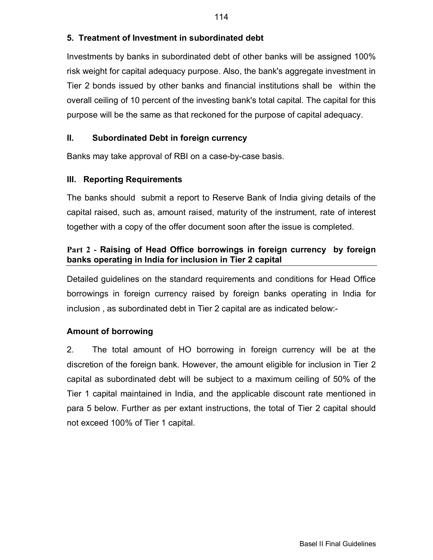## **5. Treatment of Investment in subordinated debt**

Investments by banks in subordinated debt of other banks will be assigned 100% risk weight for capital adequacy purpose. Also, the bank's aggregate investment in Tier 2 bonds issued by other banks and financial institutions shall be within the overall ceiling of 10 percent of the investing bank's total capital. The capital for this purpose will be the same as that reckoned for the purpose of capital adequacy.

## **II. Subordinated Debt in foreign currency**

Banks may take approval of RBI on a case-by-case basis.

## **III. Reporting Requirements**

The banks should submit a report to Reserve Bank of India giving details of the capital raised, such as, amount raised, maturity of the instrument, rate of interest together with a copy of the offer document soon after the issue is completed.

## **Part 2 - Raising of Head Office borrowings in foreign currency by foreign banks operating in India for inclusion in Tier 2 capital**

Detailed guidelines on the standard requirements and conditions for Head Office borrowings in foreign currency raised by foreign banks operating in India for inclusion , as subordinated debt in Tier 2 capital are as indicated below:-

# **Amount of borrowing**

2. The total amount of HO borrowing in foreign currency will be at the discretion of the foreign bank. However, the amount eligible for inclusion in Tier 2 capital as subordinated debt will be subject to a maximum ceiling of 50% of the Tier 1 capital maintained in India, and the applicable discount rate mentioned in para 5 below. Further as per extant instructions, the total of Tier 2 capital should not exceed 100% of Tier 1 capital.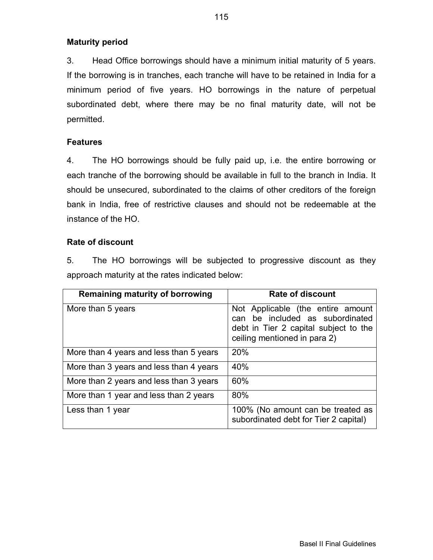## **Maturity period**

3. Head Office borrowings should have a minimum initial maturity of 5 years. If the borrowing is in tranches, each tranche will have to be retained in India for a minimum period of five years. HO borrowings in the nature of perpetual subordinated debt, where there may be no final maturity date, will not be permitted.

#### **Features**

4. The HO borrowings should be fully paid up, i.e. the entire borrowing or each tranche of the borrowing should be available in full to the branch in India. It should be unsecured, subordinated to the claims of other creditors of the foreign bank in India, free of restrictive clauses and should not be redeemable at the instance of the HO.

#### **Rate of discount**

5. The HO borrowings will be subjected to progressive discount as they approach maturity at the rates indicated below:

| Remaining maturity of borrowing         | <b>Rate of discount</b>                                                                                                                       |
|-----------------------------------------|-----------------------------------------------------------------------------------------------------------------------------------------------|
| More than 5 years                       | Not Applicable (the entire amount<br>can be included as subordinated<br>debt in Tier 2 capital subject to the<br>ceiling mentioned in para 2) |
| More than 4 years and less than 5 years | 20%                                                                                                                                           |
| More than 3 years and less than 4 years | 40%                                                                                                                                           |
| More than 2 years and less than 3 years | 60%                                                                                                                                           |
| More than 1 year and less than 2 years  | 80%                                                                                                                                           |
| Less than 1 year                        | 100% (No amount can be treated as<br>subordinated debt for Tier 2 capital)                                                                    |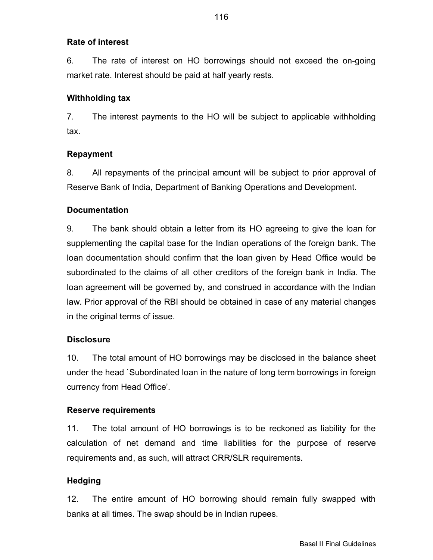## **Rate of interest**

6. The rate of interest on HO borrowings should not exceed the on-going market rate. Interest should be paid at half yearly rests.

## **Withholding tax**

7. The interest payments to the HO will be subject to applicable withholding tax.

#### **Repayment**

8. All repayments of the principal amount will be subject to prior approval of Reserve Bank of India, Department of Banking Operations and Development.

#### **Documentation**

9. The bank should obtain a letter from its HO agreeing to give the loan for supplementing the capital base for the Indian operations of the foreign bank. The loan documentation should confirm that the loan given by Head Office would be subordinated to the claims of all other creditors of the foreign bank in India. The loan agreement will be governed by, and construed in accordance with the Indian law. Prior approval of the RBI should be obtained in case of any material changes in the original terms of issue.

#### **Disclosure**

10. The total amount of HO borrowings may be disclosed in the balance sheet under the head `Subordinated loan in the nature of long term borrowings in foreign currency from Head Office'.

#### **Reserve requirements**

11. The total amount of HO borrowings is to be reckoned as liability for the calculation of net demand and time liabilities for the purpose of reserve requirements and, as such, will attract CRR/SLR requirements.

## **Hedging**

12. The entire amount of HO borrowing should remain fully swapped with banks at all times. The swap should be in Indian rupees.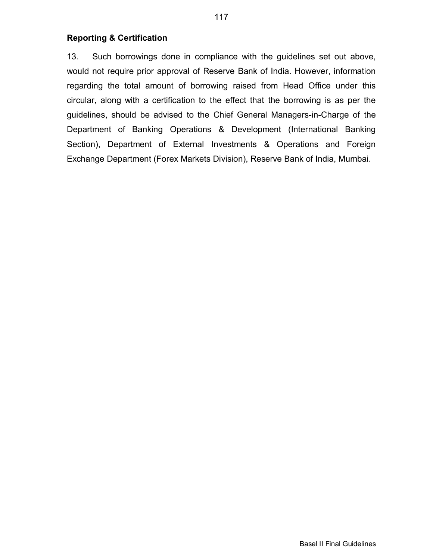## **Reporting & Certification**

13. Such borrowings done in compliance with the guidelines set out above, would not require prior approval of Reserve Bank of India. However, information regarding the total amount of borrowing raised from Head Office under this circular, along with a certification to the effect that the borrowing is as per the guidelines, should be advised to the Chief General Managers-in-Charge of the Department of Banking Operations & Development (International Banking Section), Department of External Investments & Operations and Foreign Exchange Department (Forex Markets Division), Reserve Bank of India, Mumbai.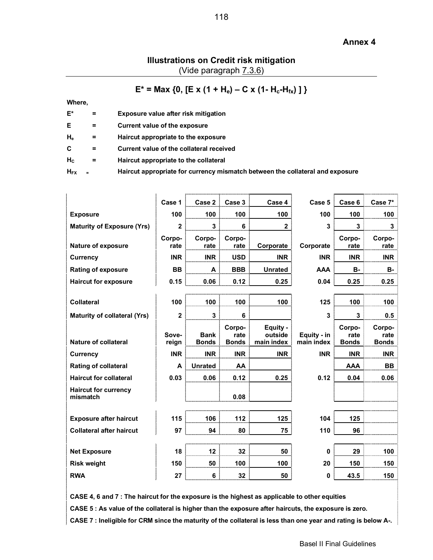#### **Illustrations on Credit risk mitigation** (Vide paragraph **7.3.6)**

# $E^*$  = Max {0, [E x (1 + H<sub>e</sub>) – C x (1- H<sub>c</sub>-H<sub>fx</sub>) ] }

**Where,**

| E*           | $\equiv$ | Exposure value after risk mitigation                                          |
|--------------|----------|-------------------------------------------------------------------------------|
| Е            | $\equiv$ | <b>Current value of the exposure</b>                                          |
| $H_{\alpha}$ | $\equiv$ | Haircut appropriate to the exposure                                           |
| C            | $=$      | Current value of the collateral received                                      |
| $H_{\rm G}$  | $\equiv$ | Haircut appropriate to the collateral                                         |
| $H_{FX}$     |          | Haircut appropriate for currency mismatch between the collateral and exposure |

|                                                                                                       | Case 1         | Case 2                      | Case 3                         | Case 4                            | Case 5                    | Case 6                         | Case 7*                        |
|-------------------------------------------------------------------------------------------------------|----------------|-----------------------------|--------------------------------|-----------------------------------|---------------------------|--------------------------------|--------------------------------|
| <b>Exposure</b>                                                                                       | 100            | 100                         | 100                            | 100                               | 100                       | 100                            | 100                            |
| <b>Maturity of Exposure (Yrs)</b>                                                                     | $\overline{2}$ | 3                           | 6                              | $\overline{2}$                    | $\mathbf{3}$              | 3                              | $\mathbf{3}$                   |
| Nature of exposure                                                                                    | Corpo-<br>rate | Corpo-<br>rate              | Corpo-<br>rate                 | Corporate                         | Corporate                 | Corpo-<br>rate                 | Corpo-<br>rate                 |
| <b>Currency</b>                                                                                       | <b>INR</b>     | <b>INR</b>                  | <b>USD</b>                     | <b>INR</b>                        | <b>INR</b>                | <b>INR</b>                     | <b>INR</b>                     |
| <b>Rating of exposure</b>                                                                             | <b>BB</b>      | A                           | <b>BBB</b>                     | <b>Unrated</b>                    | AAA                       | <b>B-</b>                      | <b>B-</b>                      |
| <b>Haircut for exposure</b>                                                                           | 0.15           | 0.06                        | 0.12                           | 0.25                              | 0.04                      | 0.25                           | 0.25                           |
| <b>Collateral</b>                                                                                     | 100            | 100                         | 100                            | 100                               | 125                       | 100                            | 100                            |
| <b>Maturity of collateral (Yrs)</b>                                                                   | $\overline{2}$ | 3                           | 6                              |                                   | 3                         | 3                              | 0.5                            |
| <b>Nature of collateral</b>                                                                           | Sove-<br>reign | <b>Bank</b><br><b>Bonds</b> | Corpo-<br>rate<br><b>Bonds</b> | Equity -<br>outside<br>main index | Equity - in<br>main index | Corpo-<br>rate<br><b>Bonds</b> | Corpo-<br>rate<br><b>Bonds</b> |
| <b>Currency</b>                                                                                       | <b>INR</b>     | <b>INR</b>                  | <b>INR</b>                     | <b>INR</b>                        | <b>INR</b>                | <b>INR</b>                     | <b>INR</b>                     |
| <b>Rating of collateral</b>                                                                           | A              | <b>Unrated</b>              | AA                             |                                   |                           | <b>AAA</b>                     | <b>BB</b>                      |
| <b>Haircut for collateral</b>                                                                         | 0.03           | 0.06                        | 0.12                           | 0.25                              | 0.12                      | 0.04                           | 0.06                           |
| <b>Haircut for currency</b><br>mismatch                                                               |                |                             | 0.08                           |                                   |                           |                                |                                |
| <b>Exposure after haircut</b>                                                                         | 115            | 106                         | 112                            | 125                               | 104                       | 125                            |                                |
| <b>Collateral after haircut</b>                                                                       | 97             | 94                          | 80                             | 75                                | 110                       | 96                             |                                |
| <b>Net Exposure</b>                                                                                   | 18             | 12                          | 32                             | 50                                | 0                         | 29                             | 100                            |
| <b>Risk weight</b>                                                                                    | 150            | 50                          | 100                            | 100                               | 20                        | 150                            | 150                            |
| <b>RWA</b>                                                                                            | 27             | 6                           | 32                             | 50                                | 0                         | 43.5                           | 150                            |
| CASE 4, 6 and 7 : The haircut for the exposure is the highest as applicable to other equities         |                |                             |                                |                                   |                           |                                |                                |
| CASE 5 : As value of the collateral is higher than the exposure after haircuts, the exposure is zero. |                |                             |                                |                                   |                           |                                |                                |

**CASE 7 : Ineligible for CRM since the maturity of the collateral is less than one year and rating is below A-.**

118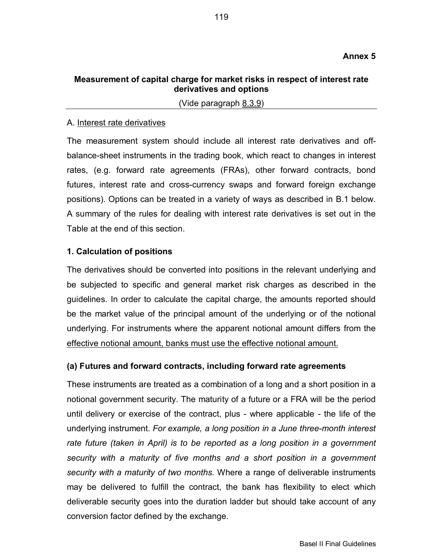## **Measurement of capital charge for market risks in respect of interest rate derivatives and options**

(Vide paragraph  $8.3.9$ )

#### A. Interest rate derivatives

The measurement system should include all interest rate derivatives and offbalance-sheet instruments in the trading book, which react to changes in interest rates, (e.g. forward rate agreements (FRAs), other forward contracts, bond futures, interest rate and cross-currency swaps and forward foreign exchange positions). Options can be treated in a variety of ways as described in B.1 below. A summary of the rules for dealing with interest rate derivatives is set out in the Table at the end of this section.

#### **1. Calculation of positions**

The derivatives should be converted into positions in the relevant underlying and be subjected to specific and general market risk charges as described in the guidelines. In order to calculate the capital charge, the amounts reported should be the market value of the principal amount of the underlying or of the notional underlying. For instruments where the apparent notional amount differs from the effective notional amount, banks must use the effective notional amount.

#### **(a) Futures and forward contracts, including forward rate agreements**

These instruments are treated as a combination of a long and a short position in a notional government security. The maturity of a future or a FRA will be the period until delivery or exercise of the contract, plus - where applicable - the life of the underlying instrument. *For example, a long position in a June three-month interest rate future (taken in April) is to be reported as a long position in a government security with a maturity of five months and a short position in a government security with a maturity of two months.* Where a range of deliverable instruments may be delivered to fulfill the contract, the bank has flexibility to elect which deliverable security goes into the duration ladder but should take account of any conversion factor defined by the exchange.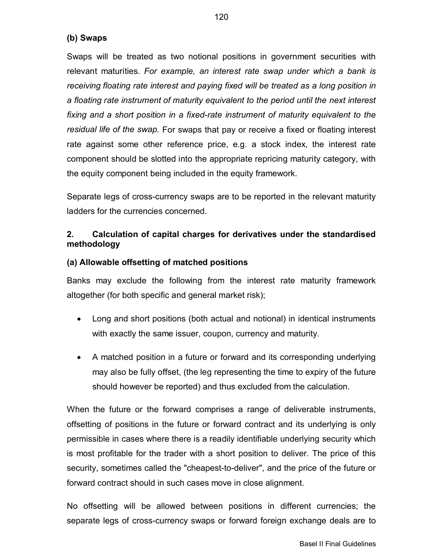**(b) Swaps**

Swaps will be treated as two notional positions in government securities with relevant maturities. *For example, an interest rate swap under which a bank is receiving floating rate interest and paying fixed will be treated as a long position in a floating rate instrument of maturity equivalent to the period until the next interest fixing and a short position in a fixed-rate instrument of maturity equivalent to the residual life of the swap.* For swaps that pay or receive a fixed or floating interest rate against some other reference price, e.g. a stock index, the interest rate component should be slotted into the appropriate repricing maturity category, with the equity component being included in the equity framework.

Separate legs of cross-currency swaps are to be reported in the relevant maturity ladders for the currencies concerned.

## **2. Calculation of capital charges for derivatives under the standardised methodology**

## **(a) Allowable offsetting of matched positions**

Banks may exclude the following from the interest rate maturity framework altogether (for both specific and general market risk);

- Long and short positions (both actual and notional) in identical instruments with exactly the same issuer, coupon, currency and maturity.
- A matched position in a future or forward and its corresponding underlying may also be fully offset, (the leg representing the time to expiry of the future should however be reported) and thus excluded from the calculation.

When the future or the forward comprises a range of deliverable instruments, offsetting of positions in the future or forward contract and its underlying is only permissible in cases where there is a readily identifiable underlying security which is most profitable for the trader with a short position to deliver. The price of this security, sometimes called the "cheapest-to-deliver", and the price of the future or forward contract should in such cases move in close alignment.

No offsetting will be allowed between positions in different currencies; the separate legs of cross-currency swaps or forward foreign exchange deals are to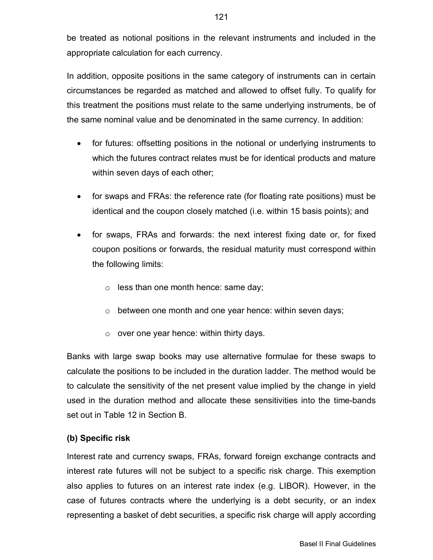be treated as notional positions in the relevant instruments and included in the appropriate calculation for each currency.

In addition, opposite positions in the same category of instruments can in certain circumstances be regarded as matched and allowed to offset fully. To qualify for this treatment the positions must relate to the same underlying instruments, be of the same nominal value and be denominated in the same currency. In addition:

- for futures: offsetting positions in the notional or underlying instruments to which the futures contract relates must be for identical products and mature within seven days of each other;
- for swaps and FRAs: the reference rate (for floating rate positions) must be identical and the coupon closely matched (i.e. within 15 basis points); and
- for swaps, FRAs and forwards: the next interest fixing date or, for fixed coupon positions or forwards, the residual maturity must correspond within the following limits:
	- $\circ$  less than one month hence: same day;
	- $\circ$  between one month and one year hence: within seven days;
	- $\circ$  over one year hence: within thirty days.

Banks with large swap books may use alternative formulae for these swaps to calculate the positions to be included in the duration ladder. The method would be to calculate the sensitivity of the net present value implied by the change in yield used in the duration method and allocate these sensitivities into the time-bands set out in Table 12 in Section B.

## **(b) Specific risk**

Interest rate and currency swaps, FRAs, forward foreign exchange contracts and interest rate futures will not be subject to a specific risk charge. This exemption also applies to futures on an interest rate index (e.g. LIBOR). However, in the case of futures contracts where the underlying is a debt security, or an index representing a basket of debt securities, a specific risk charge will apply according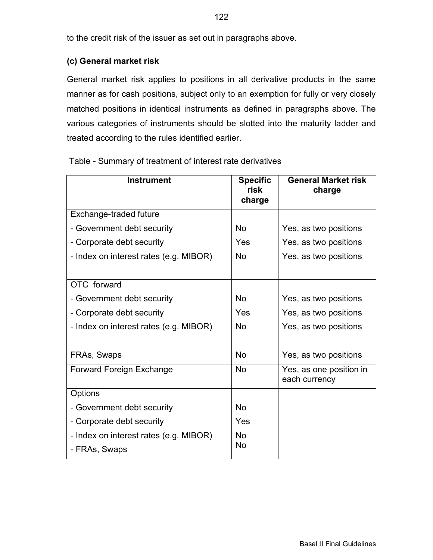to the credit risk of the issuer as set out in paragraphs above.

## **(c) General market risk**

General market risk applies to positions in all derivative products in the same manner as for cash positions, subject only to an exemption for fully or very closely matched positions in identical instruments as defined in paragraphs above. The various categories of instruments should be slotted into the maturity ladder and treated according to the rules identified earlier.

| <b>Instrument</b>                                       | <b>Specific</b><br>risk<br>charge | <b>General Market risk</b><br>charge     |
|---------------------------------------------------------|-----------------------------------|------------------------------------------|
| Exchange-traded future                                  |                                   |                                          |
| - Government debt security                              | <b>No</b>                         | Yes, as two positions                    |
| - Corporate debt security                               | Yes                               | Yes, as two positions                    |
| - Index on interest rates (e.g. MIBOR)                  | <b>No</b>                         | Yes, as two positions                    |
| OTC forward                                             |                                   |                                          |
| - Government debt security                              | <b>No</b>                         | Yes, as two positions                    |
| - Corporate debt security                               | Yes                               | Yes, as two positions                    |
| - Index on interest rates (e.g. MIBOR)                  | <b>No</b>                         | Yes, as two positions                    |
| FRAs, Swaps                                             | <b>No</b>                         | Yes, as two positions                    |
| Forward Foreign Exchange                                | <b>No</b>                         | Yes, as one position in<br>each currency |
| Options                                                 |                                   |                                          |
| - Government debt security                              | <b>No</b>                         |                                          |
| - Corporate debt security                               | Yes                               |                                          |
| - Index on interest rates (e.g. MIBOR)<br>- FRAs, Swaps | <b>No</b><br><b>No</b>            |                                          |

Table - Summary of treatment of interest rate derivatives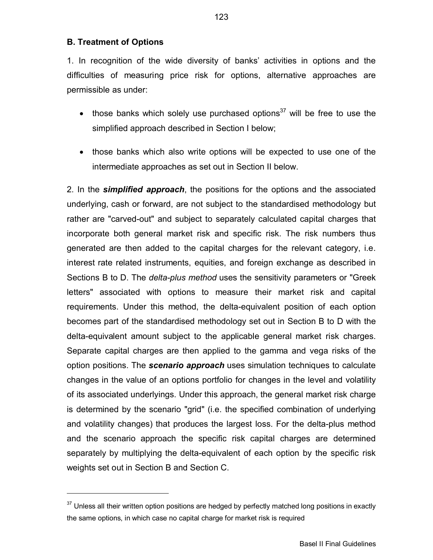#### **B. Treatment of Options**

 $\overline{a}$ 

1. In recognition of the wide diversity of banks' activities in options and the difficulties of measuring price risk for options, alternative approaches are permissible as under:

- those banks which solely use purchased options<sup>37</sup> will be free to use the simplified approach described in Section I below;
- those banks which also write options will be expected to use one of the intermediate approaches as set out in Section II below.

2. In the *simplified approach*, the positions for the options and the associated underlying, cash or forward, are not subject to the standardised methodology but rather are "carved-out" and subject to separately calculated capital charges that incorporate both general market risk and specific risk. The risk numbers thus generated are then added to the capital charges for the relevant category, i.e. interest rate related instruments, equities, and foreign exchange as described in Sections B to D. The *delta-plus method* uses the sensitivity parameters or "Greek letters" associated with options to measure their market risk and capital requirements. Under this method, the delta-equivalent position of each option becomes part of the standardised methodology set out in Section B to D with the delta-equivalent amount subject to the applicable general market risk charges. Separate capital charges are then applied to the gamma and vega risks of the option positions. The *scenario approach* uses simulation techniques to calculate changes in the value of an options portfolio for changes in the level and volatility of its associated underlyings. Under this approach, the general market risk charge is determined by the scenario "grid" (i.e. the specified combination of underlying and volatility changes) that produces the largest loss. For the delta-plus method and the scenario approach the specific risk capital charges are determined separately by multiplying the delta-equivalent of each option by the specific risk weights set out in Section B and Section C.

 $37$  Unless all their written option positions are hedged by perfectly matched long positions in exactly the same options, in which case no capital charge for market risk is required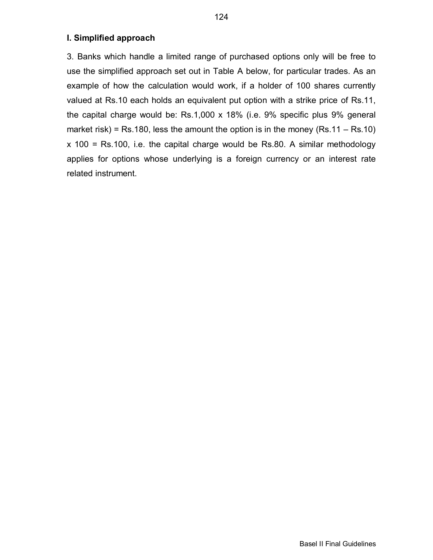## **I. Simplified approach**

3. Banks which handle a limited range of purchased options only will be free to use the simplified approach set out in Table A below, for particular trades. As an example of how the calculation would work, if a holder of 100 shares currently valued at Rs.10 each holds an equivalent put option with a strike price of Rs.11, the capital charge would be: Rs.1,000 x 18% (i.e. 9% specific plus 9% general market risk) = Rs.180, less the amount the option is in the money  $(Rs.11 - Rs.10)$ x 100 = Rs.100, i.e. the capital charge would be Rs.80. A similar methodology applies for options whose underlying is a foreign currency or an interest rate related instrument.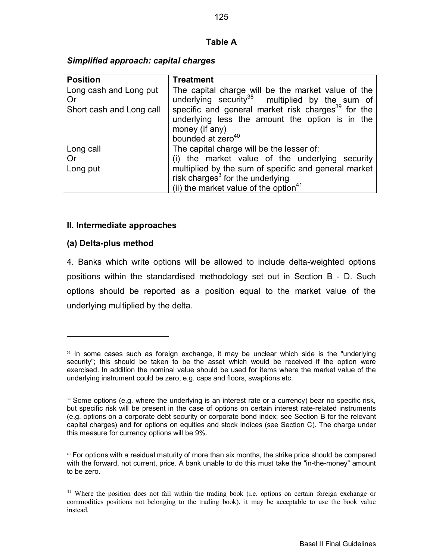## **Table A**

# *Simplified approach: capital charges*

| <b>Position</b>                                                 | <b>Treatment</b>                                                                                                                                                                                                                                                                         |
|-----------------------------------------------------------------|------------------------------------------------------------------------------------------------------------------------------------------------------------------------------------------------------------------------------------------------------------------------------------------|
| Long cash and Long put<br><b>Or</b><br>Short cash and Long call | The capital charge will be the market value of the<br>underlying security <sup>38</sup> multiplied by the sum of<br>specific and general market risk charges <sup>39</sup> for the<br>underlying less the amount the option is in the<br>money (if any)<br>bounded at zero <sup>40</sup> |
| Long call<br><b>Or</b><br>Long put                              | The capital charge will be the lesser of:<br>the market value of the underlying security<br>(1)<br>multiplied by the sum of specific and general market<br>risk charges $3$ for the underlying<br>(ii) the market value of the option <sup>41</sup>                                      |

## **II. Intermediate approaches**

## **(a) Delta-plus method**

l

4. Banks which write options will be allowed to include delta-weighted options positions within the standardised methodology set out in Section B - D. Such options should be reported as a position equal to the market value of the underlying multiplied by the delta.

<sup>&</sup>lt;sup>38</sup> In some cases such as foreign exchange, it may be unclear which side is the "underlying security"; this should be taken to be the asset which would be received if the option were exercised. In addition the nominal value should be used for items where the market value of the underlying instrument could be zero, e.g. caps and floors, swaptions etc.

<sup>39</sup> Some options (e.g. where the underlying is an interest rate or a currency) bear no specific risk, but specific risk will be present in the case of options on certain interest rate-related instruments (e.g. options on a corporate debt security or corporate bond index; see Section B for the relevant capital charges) and for options on equities and stock indices (see Section C). The charge under this measure for currency options will be 9%.

<sup>40</sup> For options with a residual maturity of more than six months, the strike price should be compared with the forward, not current, price. A bank unable to do this must take the "in-the-money" amount to be zero.

<sup>&</sup>lt;sup>41</sup> Where the position does not fall within the trading book (i.e. options on certain foreign exchange or commodities positions not belonging to the trading book), it may be acceptable to use the book value instead.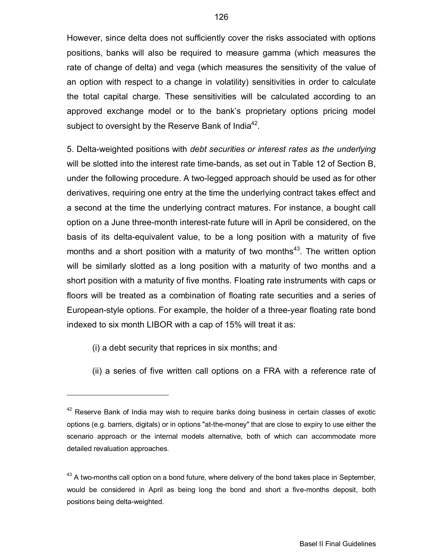However, since delta does not sufficiently cover the risks associated with options positions, banks will also be required to measure gamma (which measures the rate of change of delta) and vega (which measures the sensitivity of the value of an option with respect to a change in volatility) sensitivities in order to calculate the total capital charge. These sensitivities will be calculated according to an approved exchange model or to the bank's proprietary options pricing model subject to oversight by the Reserve Bank of India<sup>42</sup>.

5. Delta-weighted positions with *debt securities or interest rates as the underlying* will be slotted into the interest rate time-bands, as set out in Table 12 of Section B, under the following procedure. A two-legged approach should be used as for other derivatives, requiring one entry at the time the underlying contract takes effect and a second at the time the underlying contract matures. For instance, a bought call option on a June three-month interest-rate future will in April be considered, on the basis of its delta-equivalent value, to be a long position with a maturity of five months and a short position with a maturity of two months<sup>43</sup>. The written option will be similarly slotted as a long position with a maturity of two months and a short position with a maturity of five months. Floating rate instruments with caps or floors will be treated as a combination of floating rate securities and a series of European-style options. For example, the holder of a three-year floating rate bond indexed to six month LIBOR with a cap of 15% will treat it as:

(i) a debt security that reprices in six months; and

l

(ii) a series of five written call options on a FRA with a reference rate of

 $42$  Reserve Bank of India may wish to require banks doing business in certain classes of exotic options (e.g. barriers, digitals) or in options "at-the-money" that are close to expiry to use either the scenario approach or the internal models alternative, both of which can accommodate more detailed revaluation approaches.

 $^{43}$  A two-months call option on a bond future, where delivery of the bond takes place in September, would be considered in April as being long the bond and short a five-months deposit, both positions being delta-weighted.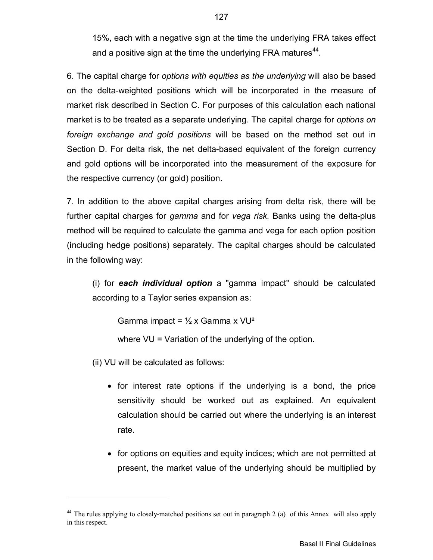15%, each with a negative sign at the time the underlying FRA takes effect and a positive sign at the time the underlying FRA matures $44$ .

6. The capital charge for *options with equities as the underlying* will also be based on the delta-weighted positions which will be incorporated in the measure of market risk described in Section C. For purposes of this calculation each national market is to be treated as a separate underlying. The capital charge for *options on foreign exchange and gold positions* will be based on the method set out in Section D. For delta risk, the net delta-based equivalent of the foreign currency and gold options will be incorporated into the measurement of the exposure for the respective currency (or gold) position.

7. In addition to the above capital charges arising from delta risk, there will be further capital charges for *gamma* and for *vega risk.* Banks using the delta-plus method will be required to calculate the gamma and vega for each option position (including hedge positions) separately. The capital charges should be calculated in the following way:

(i) for *each individual option* a "gamma impact" should be calculated according to a Taylor series expansion as:

Gamma impact =  $\frac{1}{2}$  x Gamma x VU<sup>2</sup>

where VU = Variation of the underlying of the option.

(ii) VU will be calculated as follows:

l

- for interest rate options if the underlying is a bond, the price sensitivity should be worked out as explained. An equivalent calculation should be carried out where the underlying is an interest rate.
- for options on equities and equity indices; which are not permitted at present, the market value of the underlying should be multiplied by

<sup>&</sup>lt;sup>44</sup> The rules applying to closely-matched positions set out in paragraph 2 (a) of this Annex will also apply in this respect.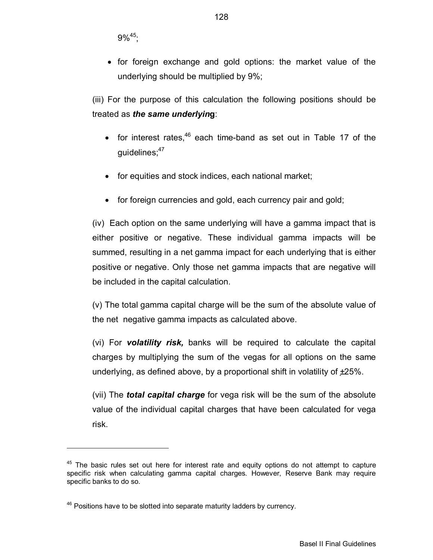$9\%^{45}$ 

• for foreign exchange and gold options: the market value of the underlying should be multiplied by 9%;

(iii) For the purpose of this calculation the following positions should be treated as *the same underlyin***g**:

- $\bullet$  for interest rates,  $46$  each time-band as set out in Table 17 of the quidelines: 47
- for equities and stock indices, each national market;
- for foreign currencies and gold, each currency pair and gold;

(iv) Each option on the same underlying will have a gamma impact that is either positive or negative. These individual gamma impacts will be summed, resulting in a net gamma impact for each underlying that is either positive or negative. Only those net gamma impacts that are negative will be included in the capital calculation.

(v) The total gamma capital charge will be the sum of the absolute value of the net negative gamma impacts as calculated above.

(vi) For *volatility risk,* banks will be required to calculate the capital charges by multiplying the sum of the vegas for all options on the same underlying, as defined above, by a proportional shift in volatility of ±25%.

(vii) The *total capital charge* for vega risk will be the sum of the absolute value of the individual capital charges that have been calculated for vega risk.

l

 $45$  The basic rules set out here for interest rate and equity options do not attempt to capture specific risk when calculating gamma capital charges. However, Reserve Bank may require specific banks to do so.

 $46$  Positions have to be slotted into separate maturity ladders by currency.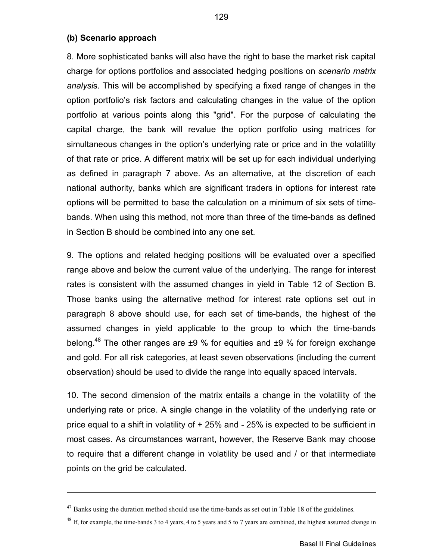#### **(b) Scenario approach**

l

8. More sophisticated banks will also have the right to base the market risk capital charge for options portfolios and associated hedging positions on *scenario matrix analysi*s. This will be accomplished by specifying a fixed range of changes in the option portfolio's risk factors and calculating changes in the value of the option portfolio at various points along this "grid". For the purpose of calculating the capital charge, the bank will revalue the option portfolio using matrices for simultaneous changes in the option's underlying rate or price and in the volatility of that rate or price. A different matrix will be set up for each individual underlying as defined in paragraph 7 above. As an alternative, at the discretion of each national authority, banks which are significant traders in options for interest rate options will be permitted to base the calculation on a minimum of six sets of timebands. When using this method, not more than three of the time-bands as defined in Section B should be combined into any one set.

9. The options and related hedging positions will be evaluated over a specified range above and below the current value of the underlying. The range for interest rates is consistent with the assumed changes in yield in Table 12 of Section B. Those banks using the alternative method for interest rate options set out in paragraph 8 above should use, for each set of time-bands, the highest of the assumed changes in yield applicable to the group to which the time-bands belong.<sup>48</sup> The other ranges are  $\pm 9$  % for equities and  $\pm 9$  % for foreign exchange and gold. For all risk categories, at least seven observations (including the current observation) should be used to divide the range into equally spaced intervals.

10. The second dimension of the matrix entails a change in the volatility of the underlying rate or price. A single change in the volatility of the underlying rate or price equal to a shift in volatility of + 25% and - 25% is expected to be sufficient in most cases. As circumstances warrant, however, the Reserve Bank may choose to require that a different change in volatility be used and / or that intermediate points on the grid be calculated.

 $^{47}$  Banks using the duration method should use the time-bands as set out in Table 18 of the guidelines.

 $^{48}$  If, for example, the time-bands 3 to 4 years, 4 to 5 years and 5 to 7 years are combined, the highest assumed change in